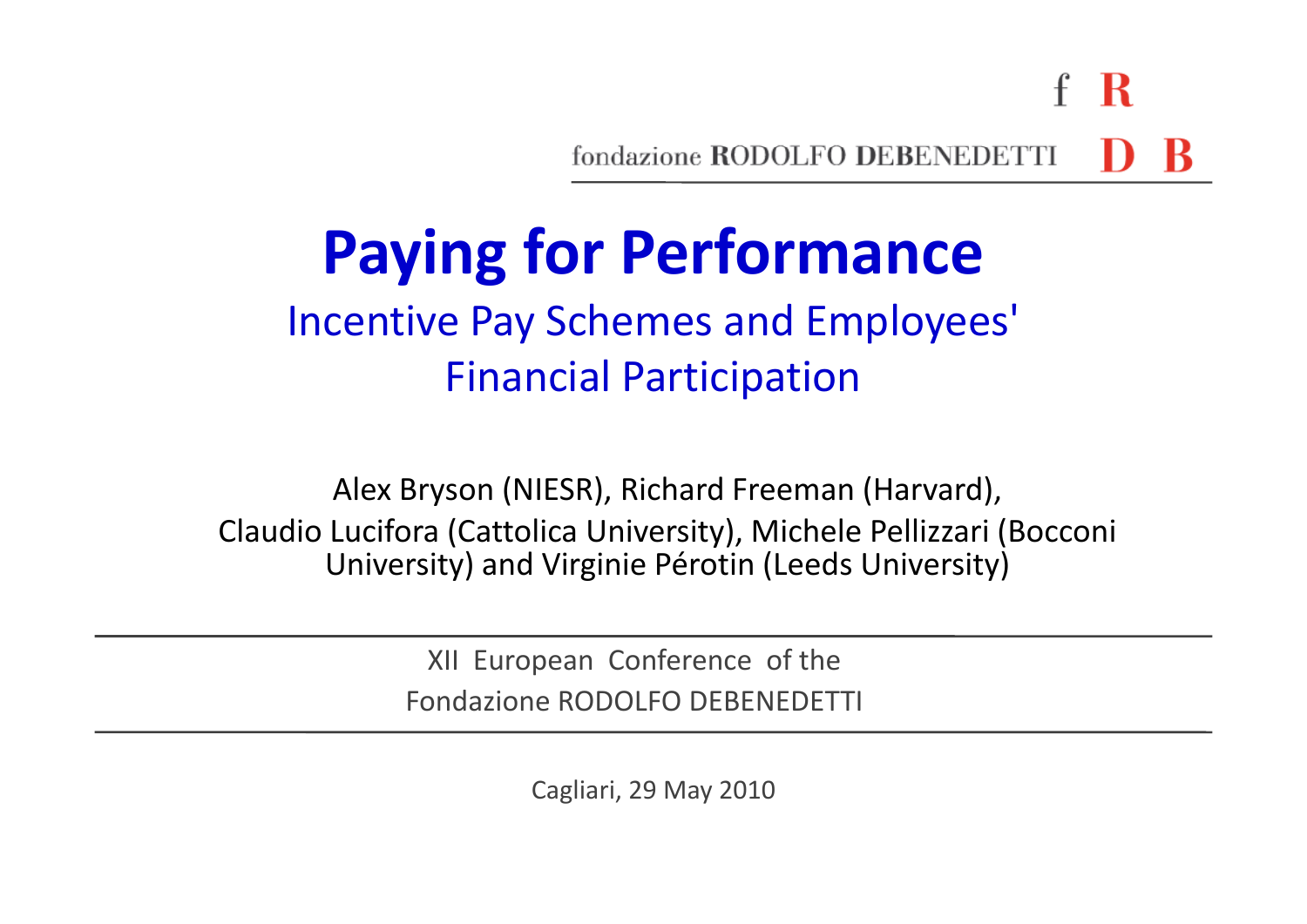-R fondazione RODOLFO DEBENEDETTI

# **Paying for Performance**

### Incentive Pay Schemes and Employees' Financial Participation

Alex Bryson (NIESR), Richard Freeman (Harvard), Claudio Lucifora (Cattolica University), Michele Pellizzari (Bocconi University) and Virginie Pérotin (Leeds University)

> XII European Conference of the Fondazione RODOLFO DEBENEDETTI

> > Cagliari, 29 May 2010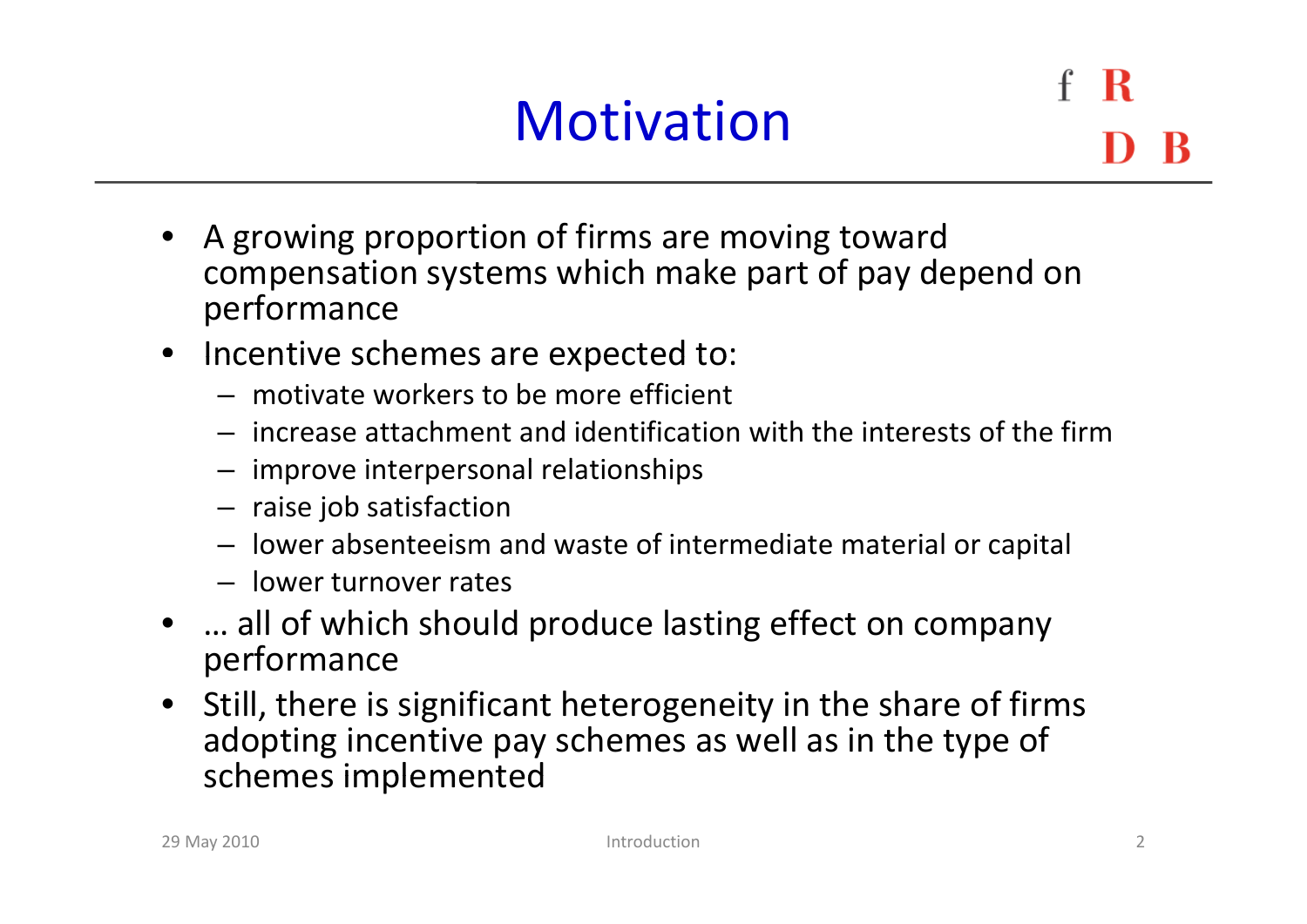### **Motivation**

R

- A growing proportion of firms are moving toward compensation systems which make part of pay depend on performance
- Incentive schemes are expected to:
	- motivate workers to be more efficient
	- increase attachment and identification with the interests of the firm
	- $-$  improve interpersonal relationships
	- raise job satisfaction
	- lower absenteeism and waste of intermediate material or capital
	- lower turnover rates
- •… all of which should produce lasting effect on company performance
- Still, there is significant heterogeneity in the share of firms adopting incentive pay schemes as well as in the type of schemes implemented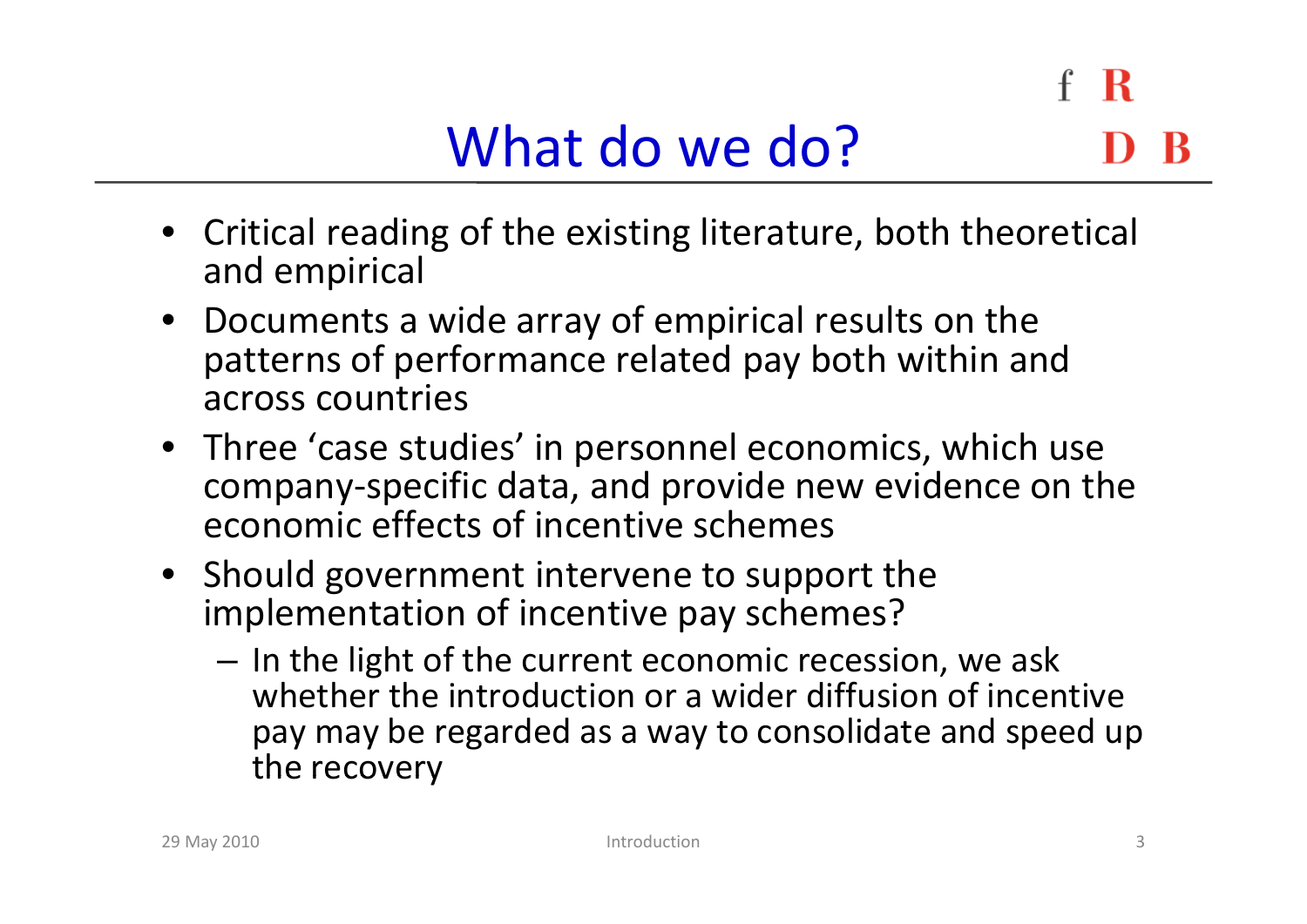- Critical reading of the existing literature, both theoretical and empirical
- Documents a wide array of empirical results on the patterns of performance related pay both within and across countries
- Three 'case studies' in personnel economics, which use company‐specific data, and provide new evidence on the economic effects of incentive schemes
- Should government intervene to support the implementation of incentive pay schemes?
	- $-$  In the light of the current economic recession, we ask whether the introduction or <sup>a</sup> wider diffusion of incentive pay may be regarded as <sup>a</sup> way to consolidate and speed up the recovery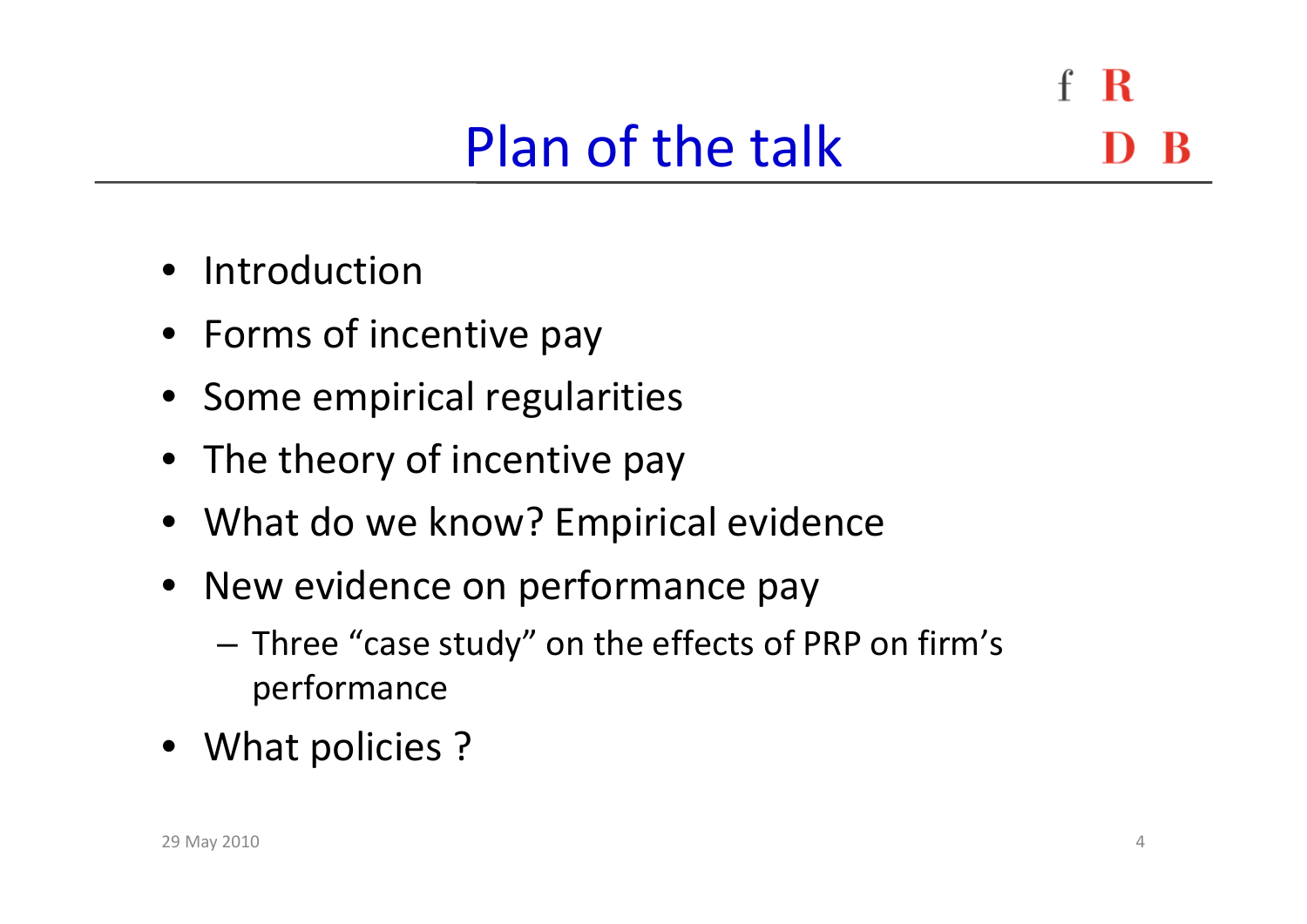- R

### Plan of the talk

- $\bullet$ Introduction
- Forms of incentive pay
- Some empirical regularities
- The theory of incentive pay
- What do we know? Empirical evidence
- New evidence on performance pay
	- – Three "case study" on the effects of PRP on firm's performance
- What policies ?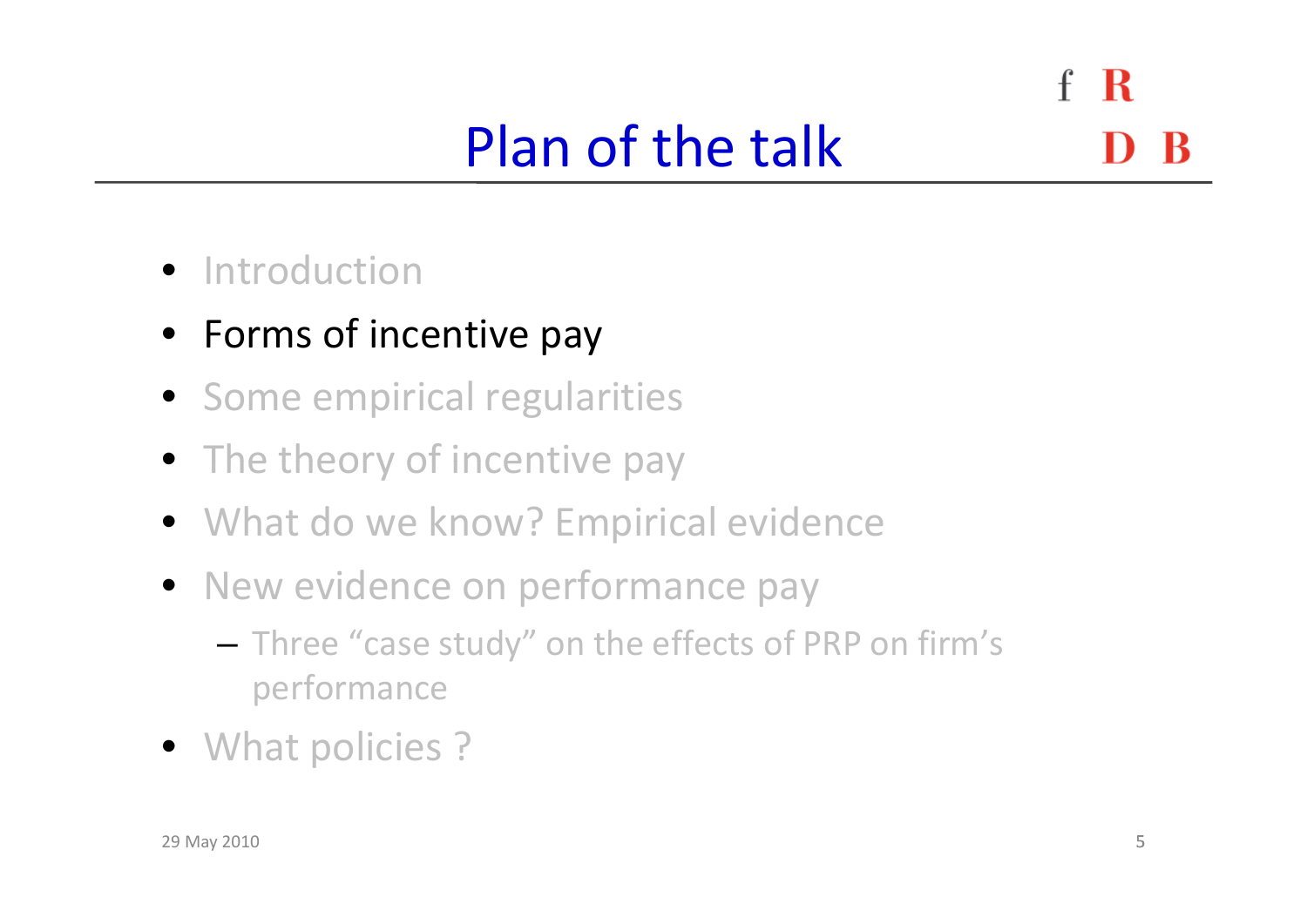#### $\mathbf{f}$ R Plan of the talk

- **•** Introduction
- Forms of incentive pay
- Some empirical regularities
- The theory of incentive pay
- What do we know? Empirical evidence
- New evidence on performance pay
	- – $-$  Three "case study" on the effects of PRP on firm's performance
- What policies ?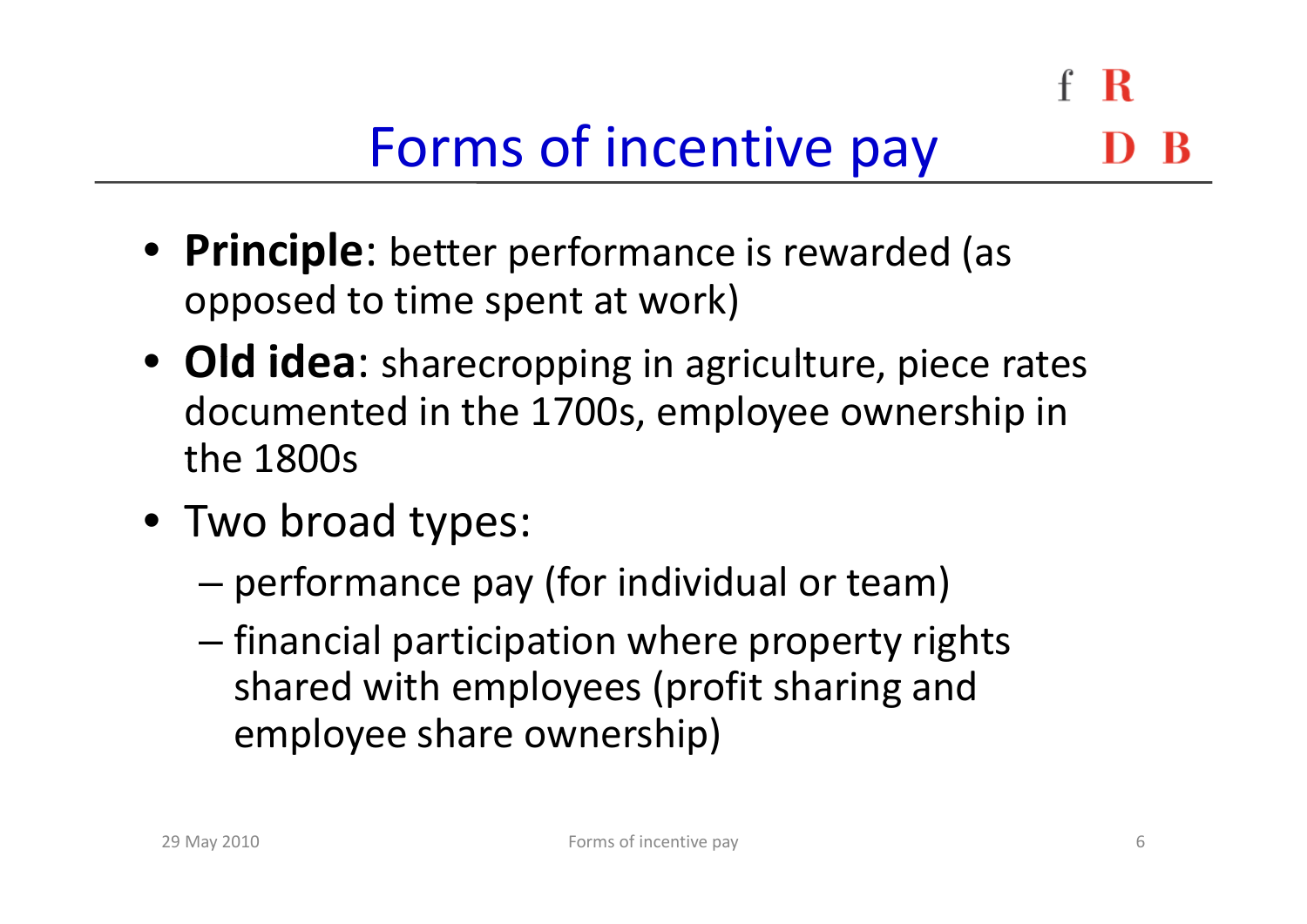R

# Forms of incentive pay

- **Principle** : better performance is rewarded (as opposed to time spent at work)
- Old idea: sharecropping in agriculture, piece rates documented in the 1700s, employee ownership in the 1800s
- Two broad types:
	- –performance pay (for individual or team)
	- – $-$  financial participation where property rights shared with employees (profit sharing and employee share ownership)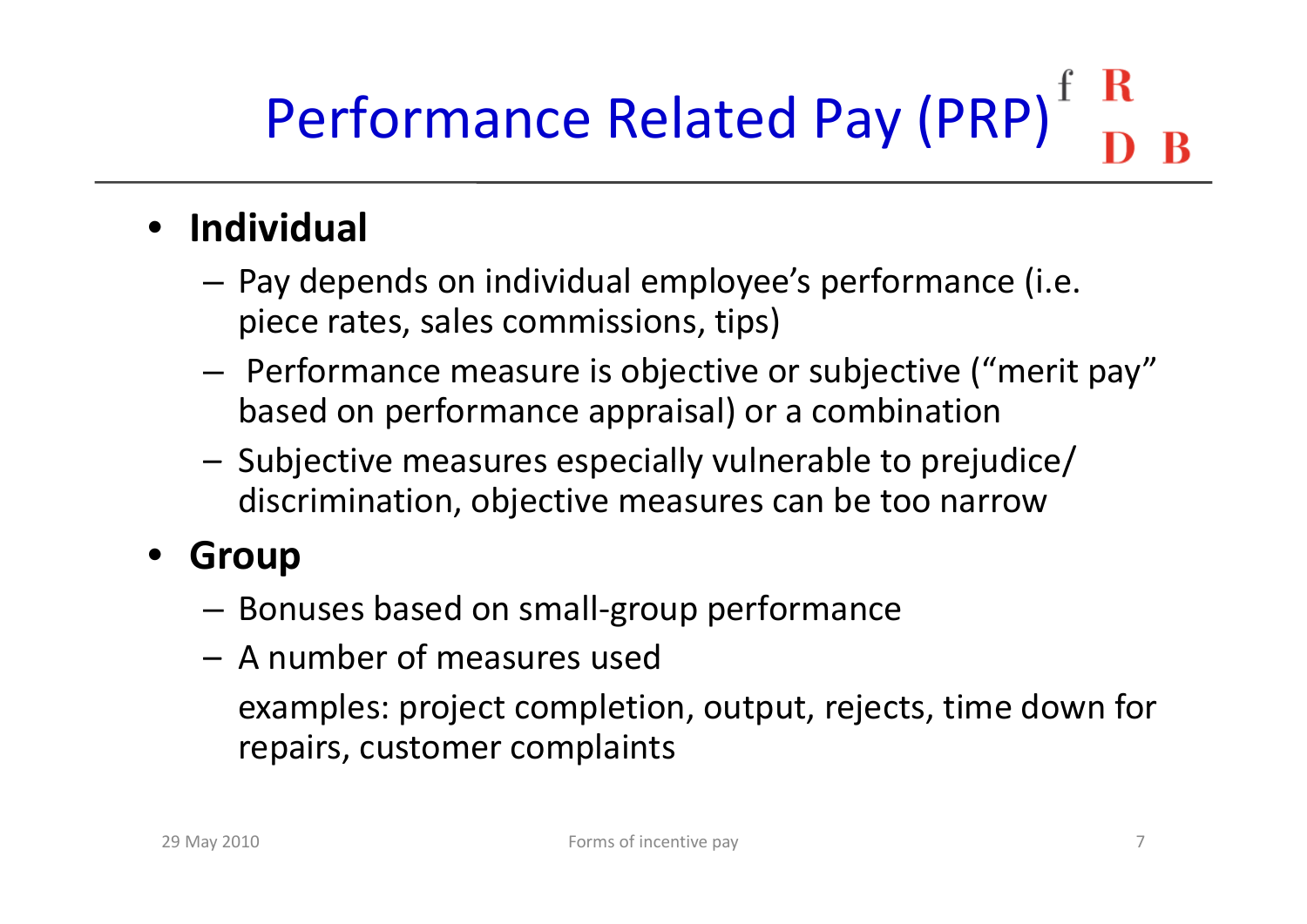# Performance Related Pay (PRP)

#### •**Individual**

- – $-$  Pay depends on individual employee's performance (i.e. piece rates, sales commissions, tips)
- – $-$  Performance measure is objective or subjective ("merit pay" based on performance appraisal) or <sup>a</sup> combination
- –- Subjective measures especially vulnerable to prejudice/ discrimination, objective measures can be too narrow

#### $\bullet$ **Group**

- –Bonuses based on small‐group performance
- A number of measures used

examples: project completion, output, rejects, time down for repairs, customer complaints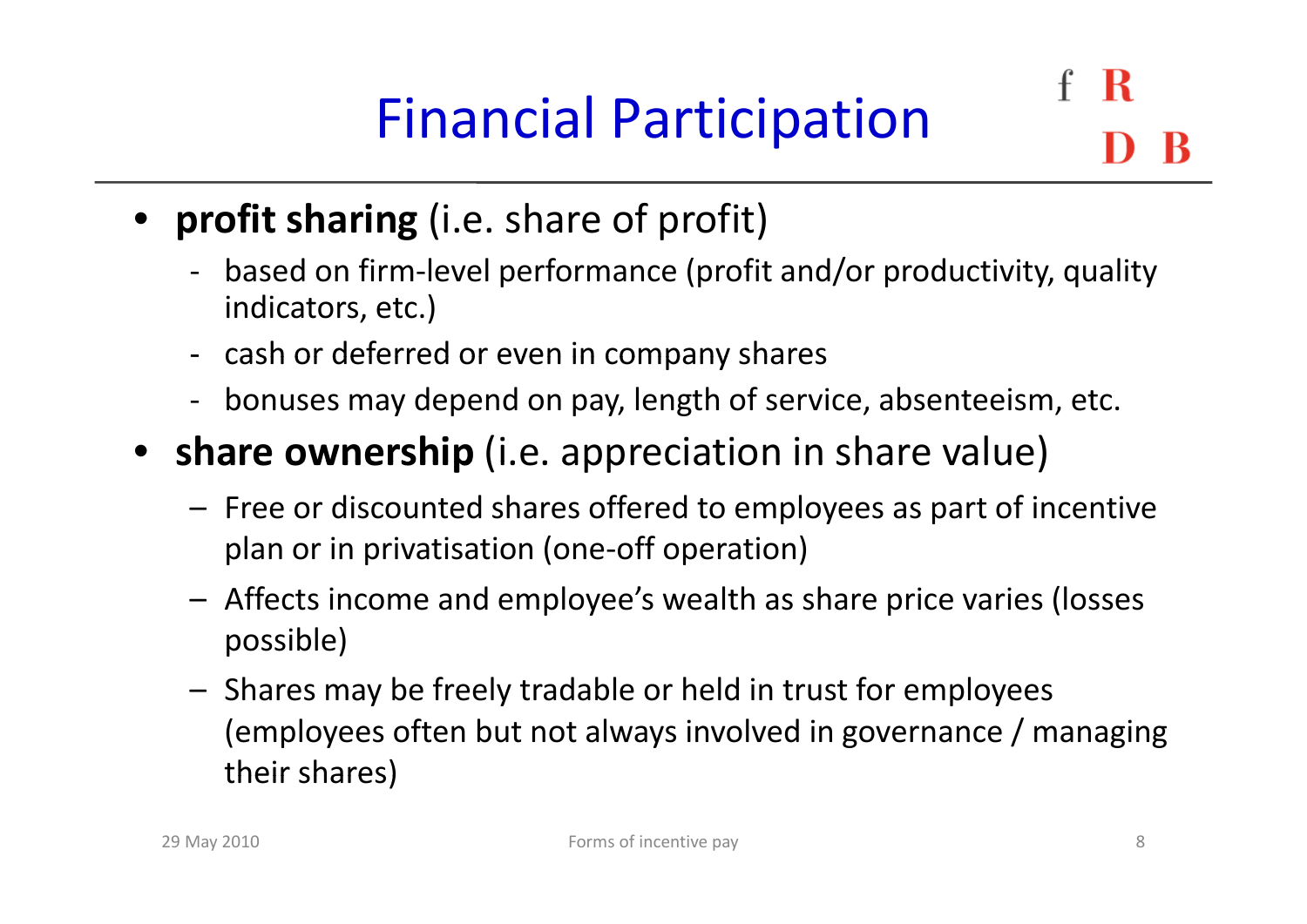# Financial Participation

- **profit sharing** (i.e. share of profit)
	- ‐ based on firm‐level performance (profit and/or productivity, quality indicators, etc.)
	- ‐- cash or deferred or even in company shares
	- ‐ bonuses may depend on pay, length of service, absenteeism, etc.
- **share ownership** (i.e. appreciation in share value)
	- Free or discounted shares offered to employees as part of incentive plan or in privatisation (one‐off operation)
	- Affects income and employee's wealth as share price varies (losses possible)
	- Shares may be freely tradable or held in trust for employees (employees often but not always involved in governance / managing their shares)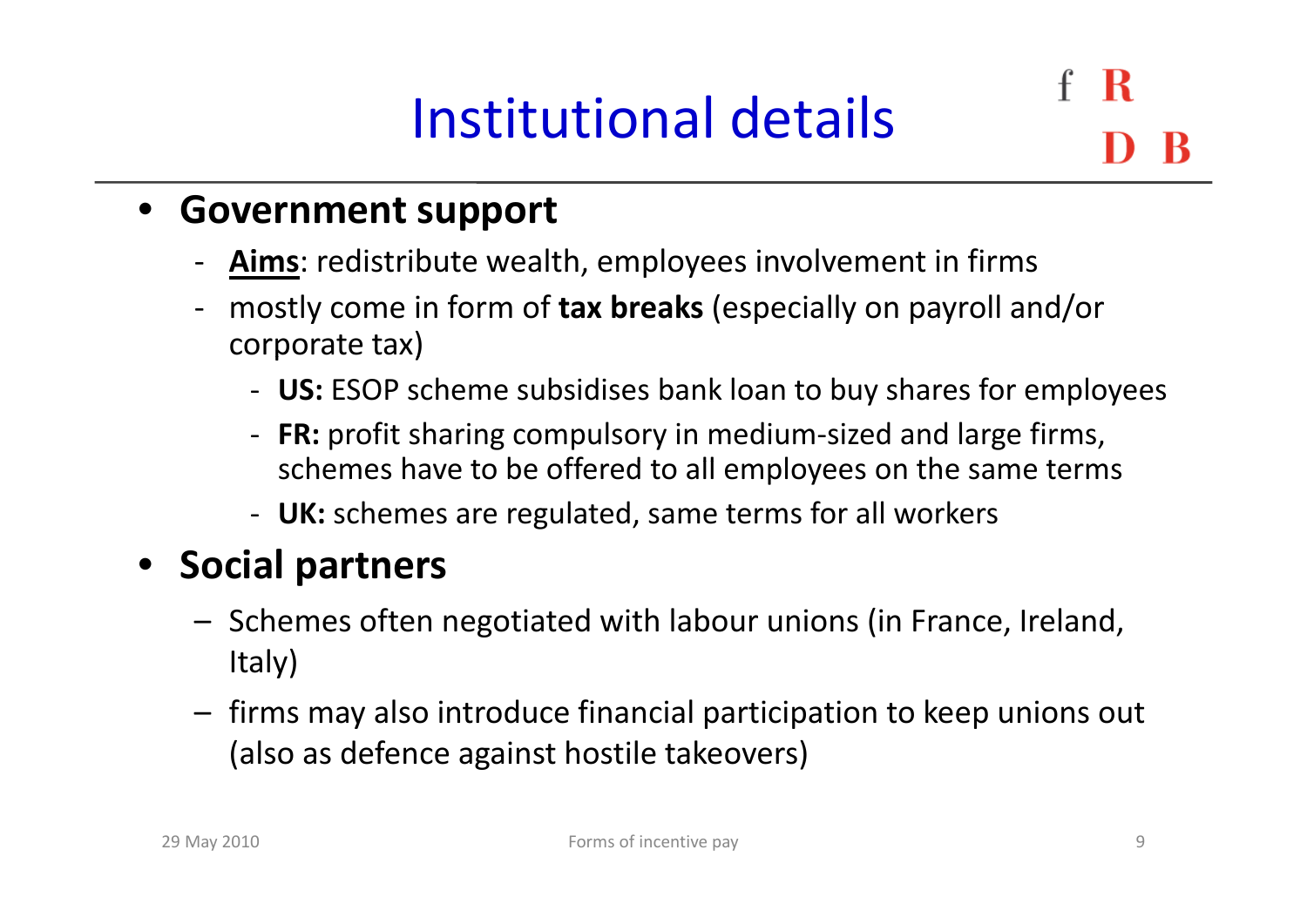## Institutional details

R

### • **Government support**

- ‐- **Aims**: redistribute wealth, employees involvement in firms
- ‐ mostly come in form of **tax breaks** (especially on payroll and/or corporate tax)
	- ‐ **US:** ESOP scheme subsidises bank loan to buy shares for employees
	- **FR:** profit sharing compulsory in medium‐sized and large firms, schemes have to be offered to all employees on the same terms
	- ‐ **UK:** schemes are regulated, same terms for all workers

#### $\bullet$ **Social partners**

- Schemes often negotiated with labour unions (in France, Ireland, Italy)
- firms may also introduce financial participation to keep unions out (also as defence against hostile takeovers)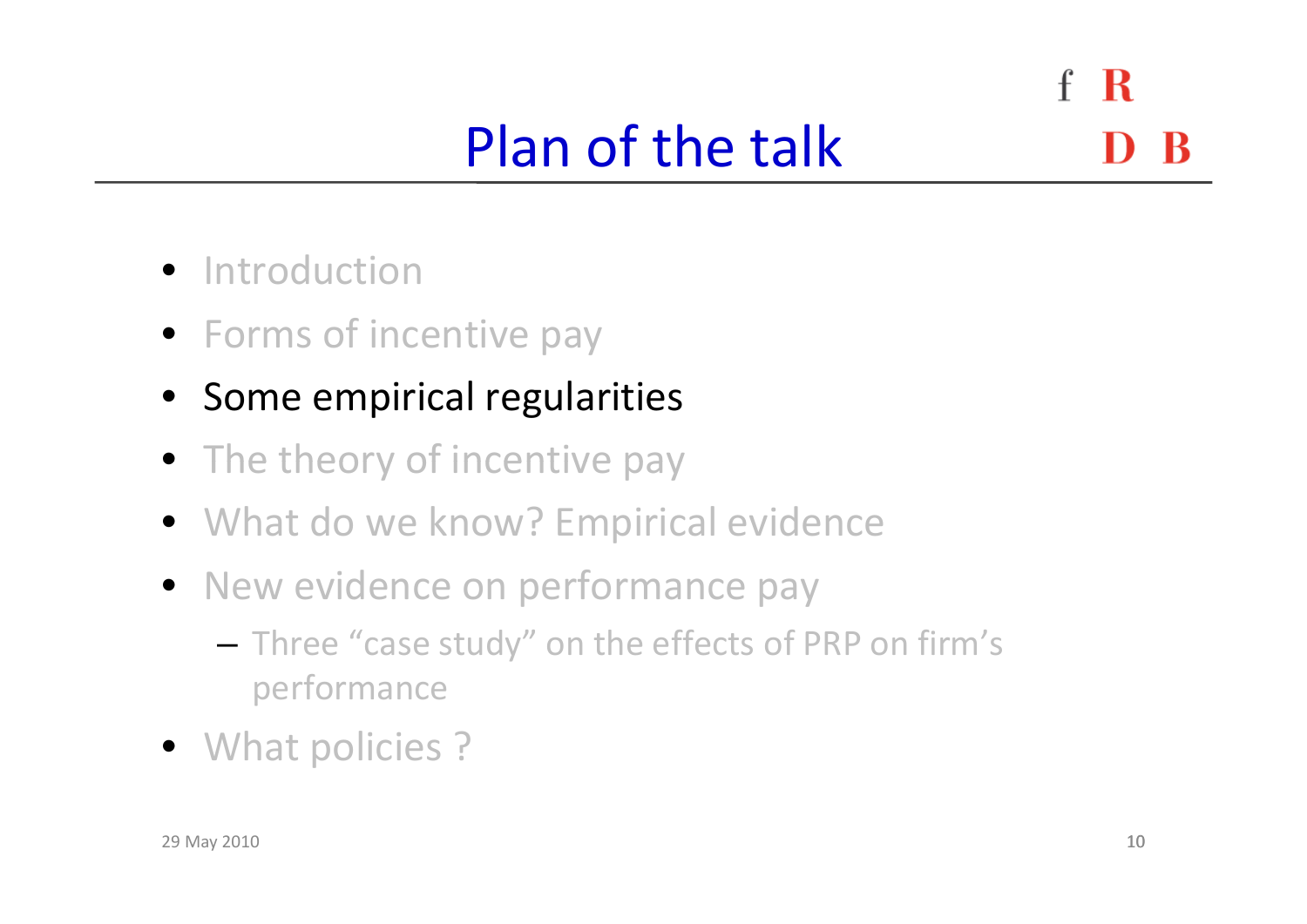$\mathbf{f}$ R Plan of the talk

- **•** Introduction
- Forms of incentive pay
- Some empirical regularities
- The theory of incentive pay
- What do we know? Empirical evidence
- New evidence on performance pay
	- – $-$  Three "case study" on the effects of PRP on firm's performance
- What policies ?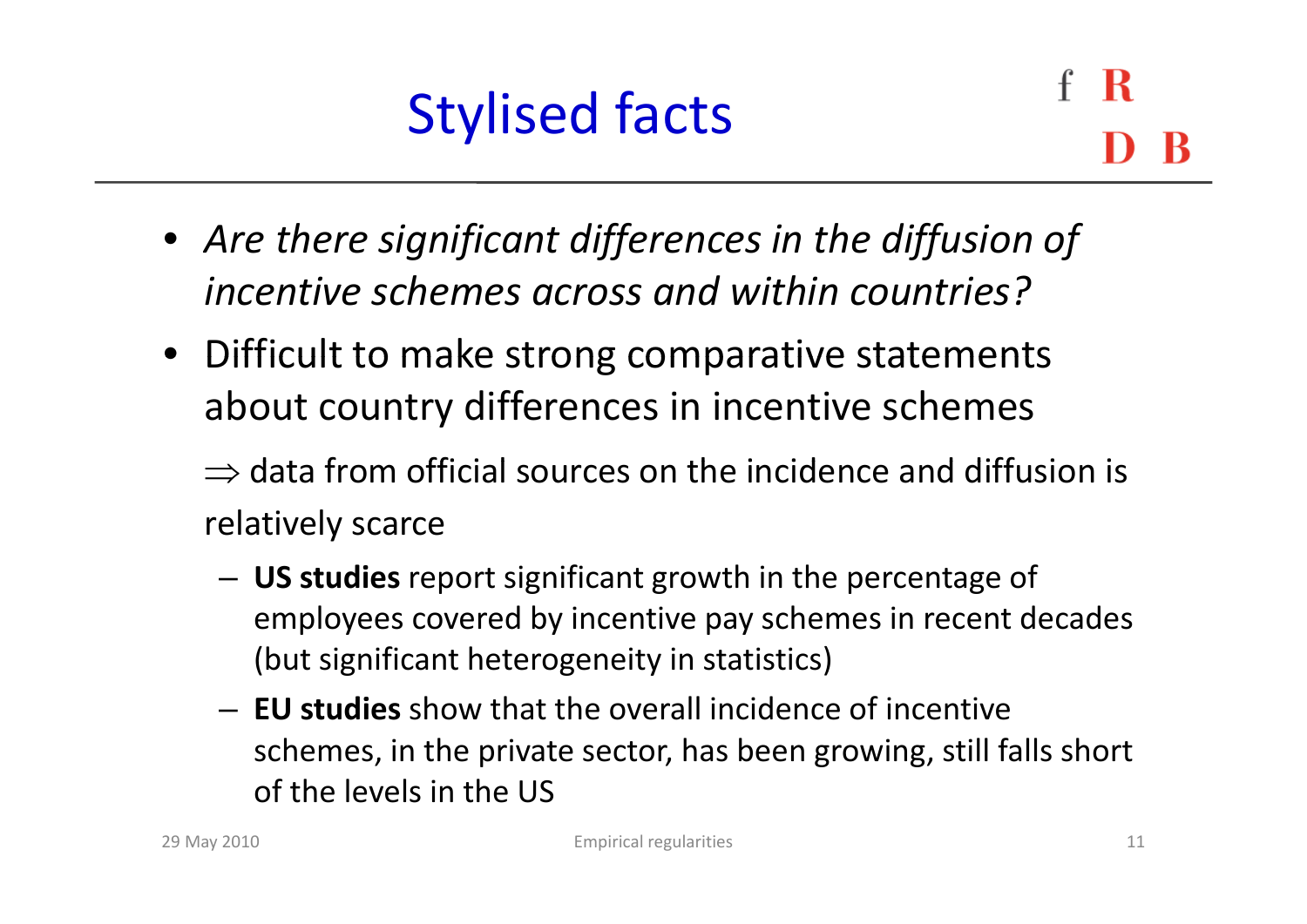- *Are there significant differences in the diffusion of incentive schemes across and within countries?*
- Difficult to make strong comparative statements about country differences in incentive schemes

 $\Rightarrow$  data from official sources on the incidence and diffusion is relatively scarce

- **US studies** report significant growth in the percentage of employees covered by incentive pay schemes in recent decades (but significant heterogeneity in statistics)
- **EU studies** show that the overall incidence of incentive schemes, in the private sector, has been growing, still falls short of the levels in the US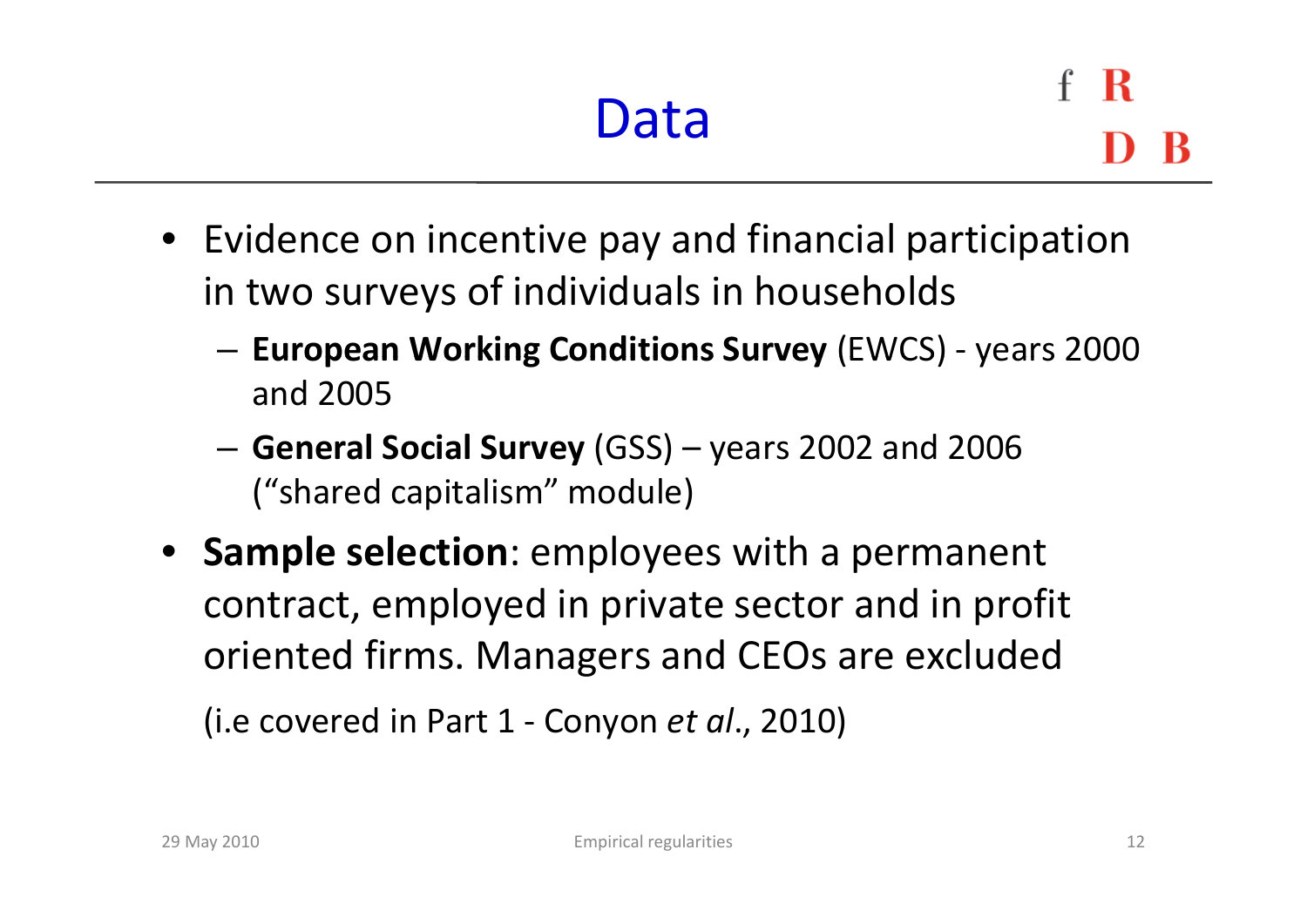- Evidence on incentive pay and financial participation in two surveys of individuals in households
	- – **European Working Conditions Survey** (EWCS) ‐ years 2000 and 2005
	- – **General Social Survey** (GSS) – years 2002 and 2006 ("shared capitalism" module)
- **Sample selection**: employees with a permanent contract, employed in private sector and in profit oriented firms. Managers and CEOs are excluded

(i.e covered in Part 1 ‐ Conyon *et al*., 2010)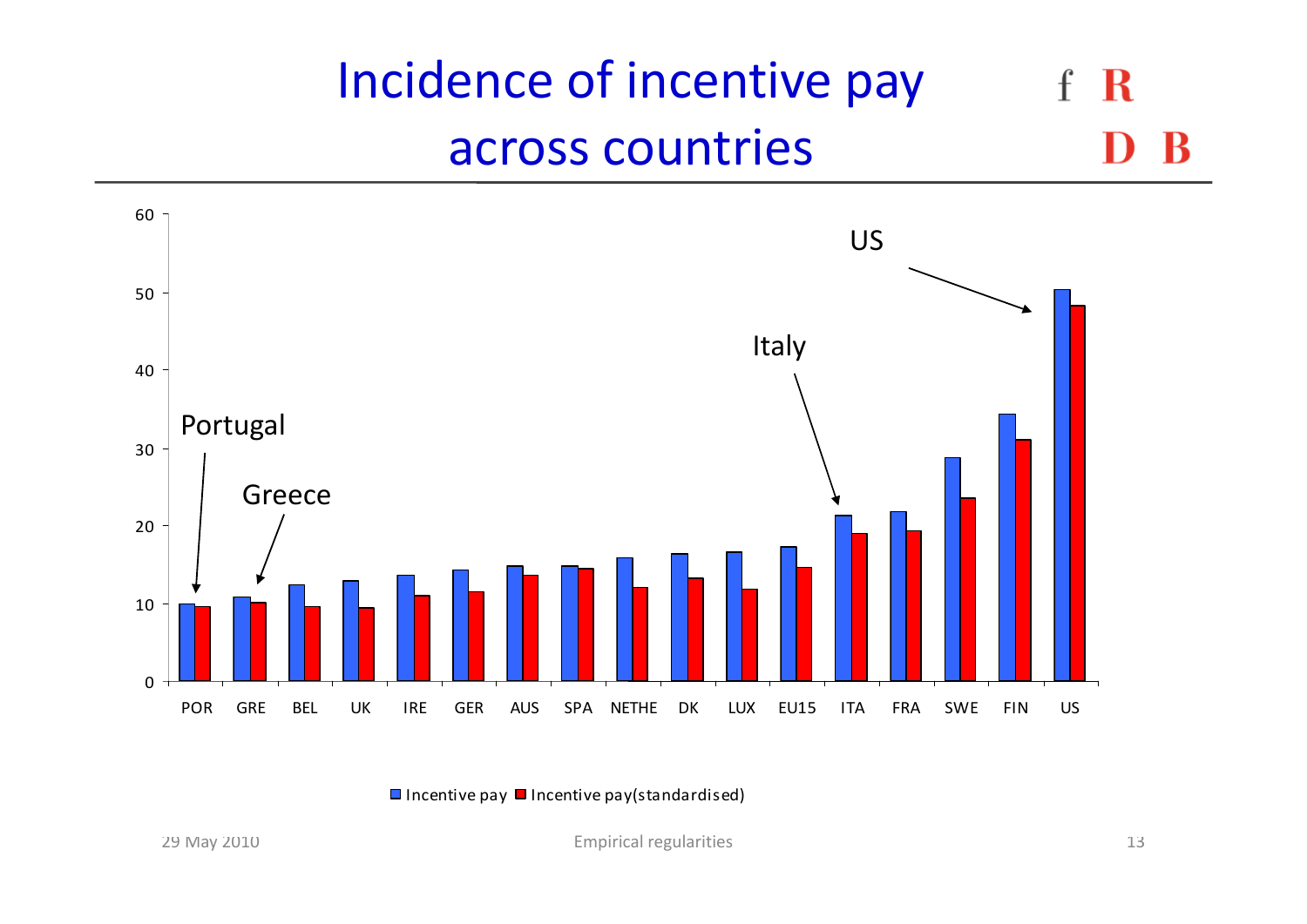#### Incidence of incentive pay R  $\mathbf{f}$ across countries



Incentive pay  $\blacksquare$  Incentive pay(standardised)

May 2010 13 Empirical regularities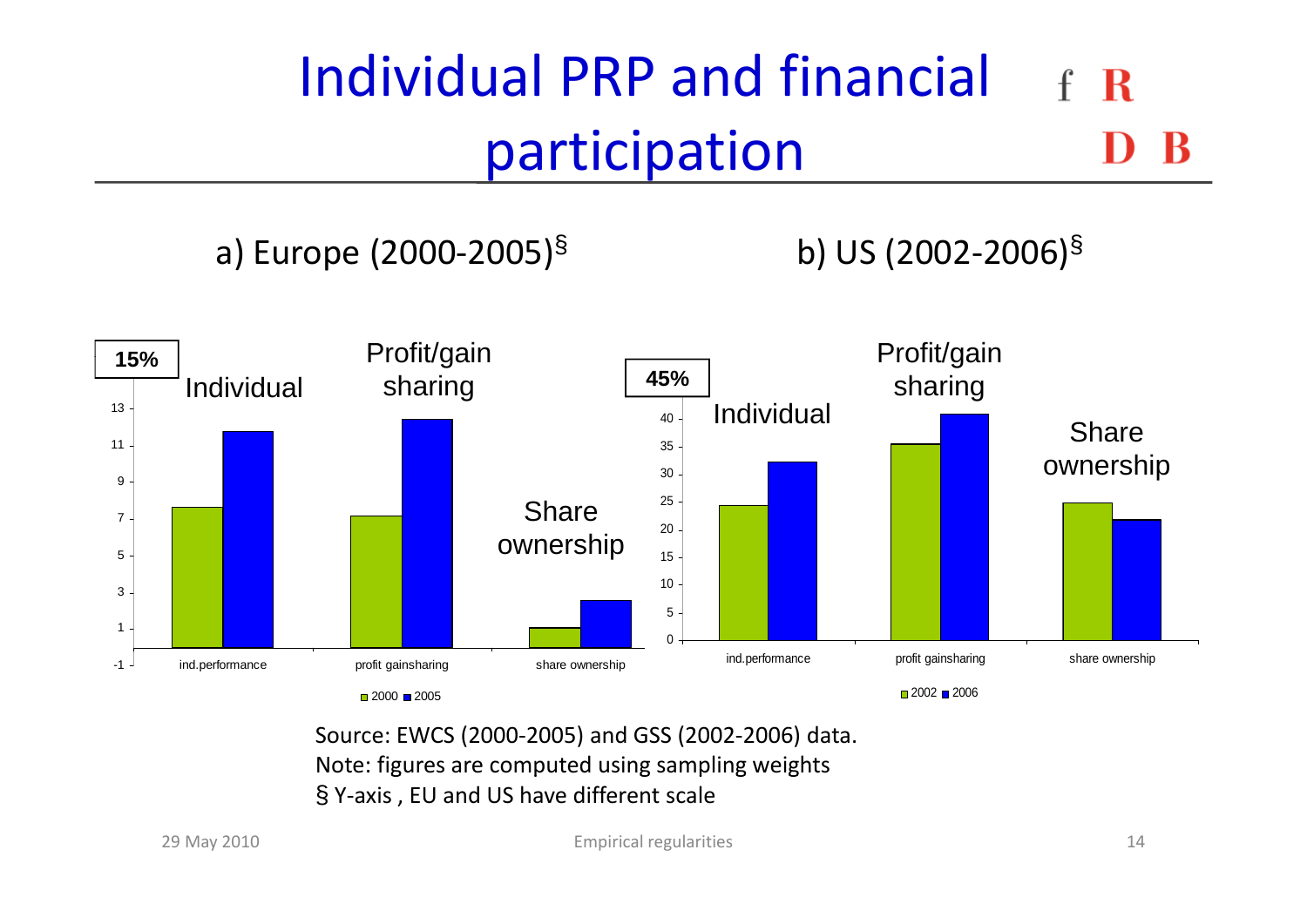#### Individual PRP and financial  $\mathbf R$ participation

#### a) Europe  $(2000-2005)^{\S}$  b) US  $(2002-2006)^{\S}$



Source: EWCS (2000‐2005) and GSS (2002‐2006) data. Note: figures are computed using sampling weights § <sup>Y</sup>‐axis , EU and US have different scale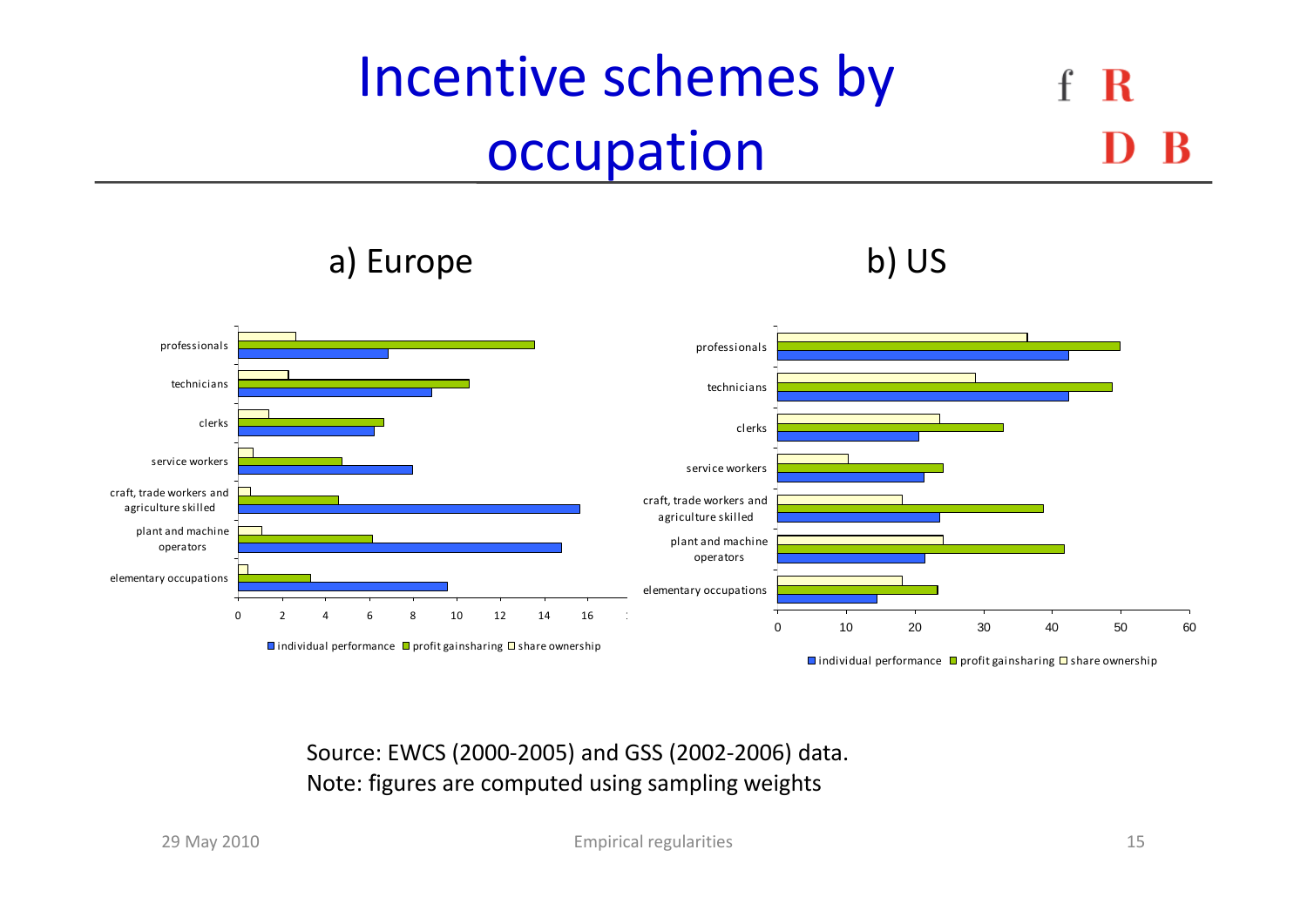#### Incentive schemes by R occupation

professionals **professionals** professionals and professionals and professionals and professionals service workers clerkstechniciansclerks technicians plant and machine operators craft, trade workers and agriculture skilled plant and machine operators craft, trade workers and agriculture skilled service workers 0 2 4 6 8 10 12 14 16 18elementary occupations individual performance  $\Box$  profit gainsharing  $\Box$  share ownership 0 10 20 30 40 50 60elementary occupations

) E b) US a)Europe

individual performance  $\Box$  profit gainsharing  $\Box$  share ownership

Source: EWCS (2000‐2005) and GSS (2002‐2006) data. Note: figures are computed using sampling weights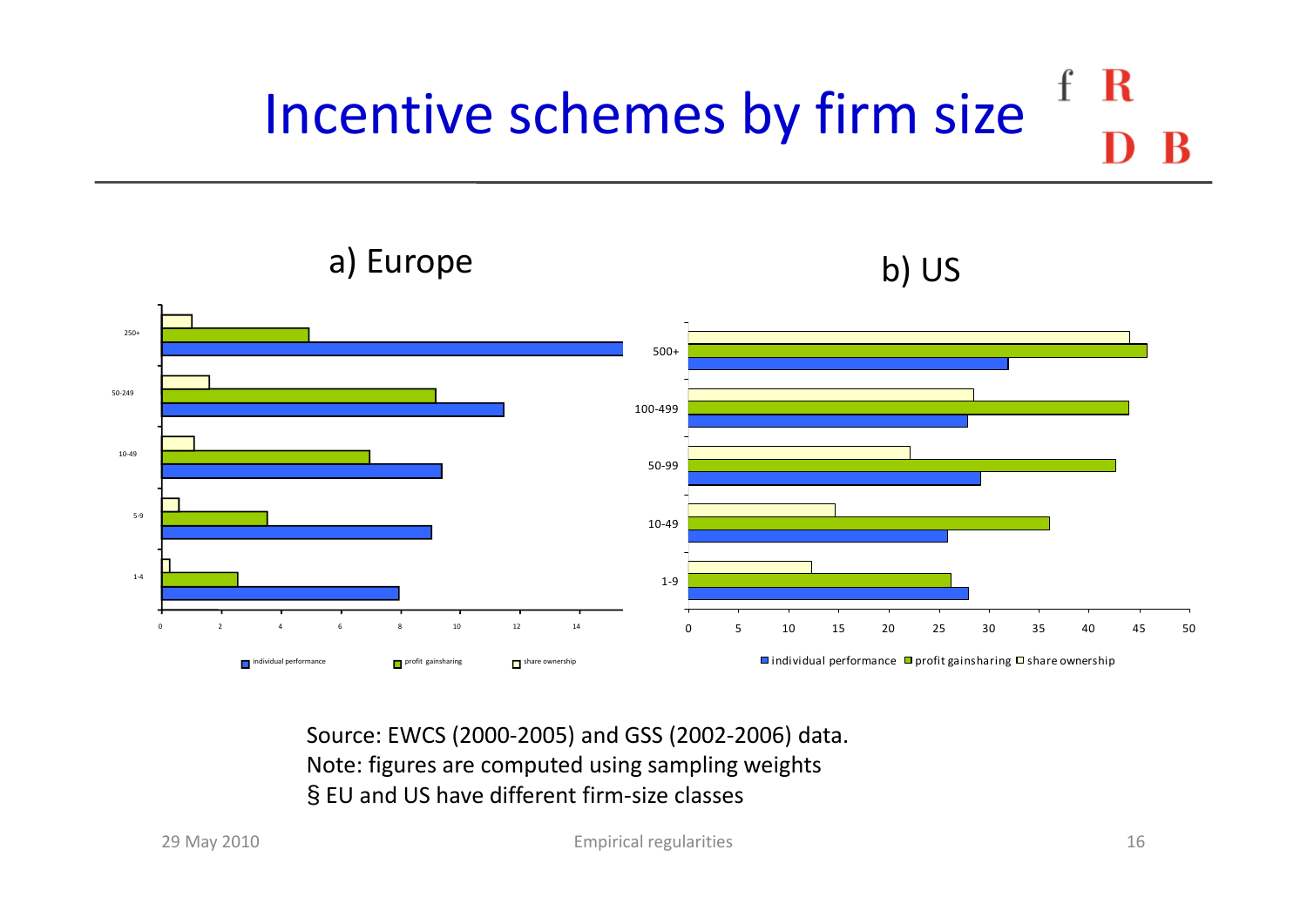#### $\mathbf{f}$ R Incentive schemes by firm size



Source: EWCS (2000‐2005) and GSS (2002‐2006) data. Note: figures are computed using sampling weights § EU and US have different firm‐size classes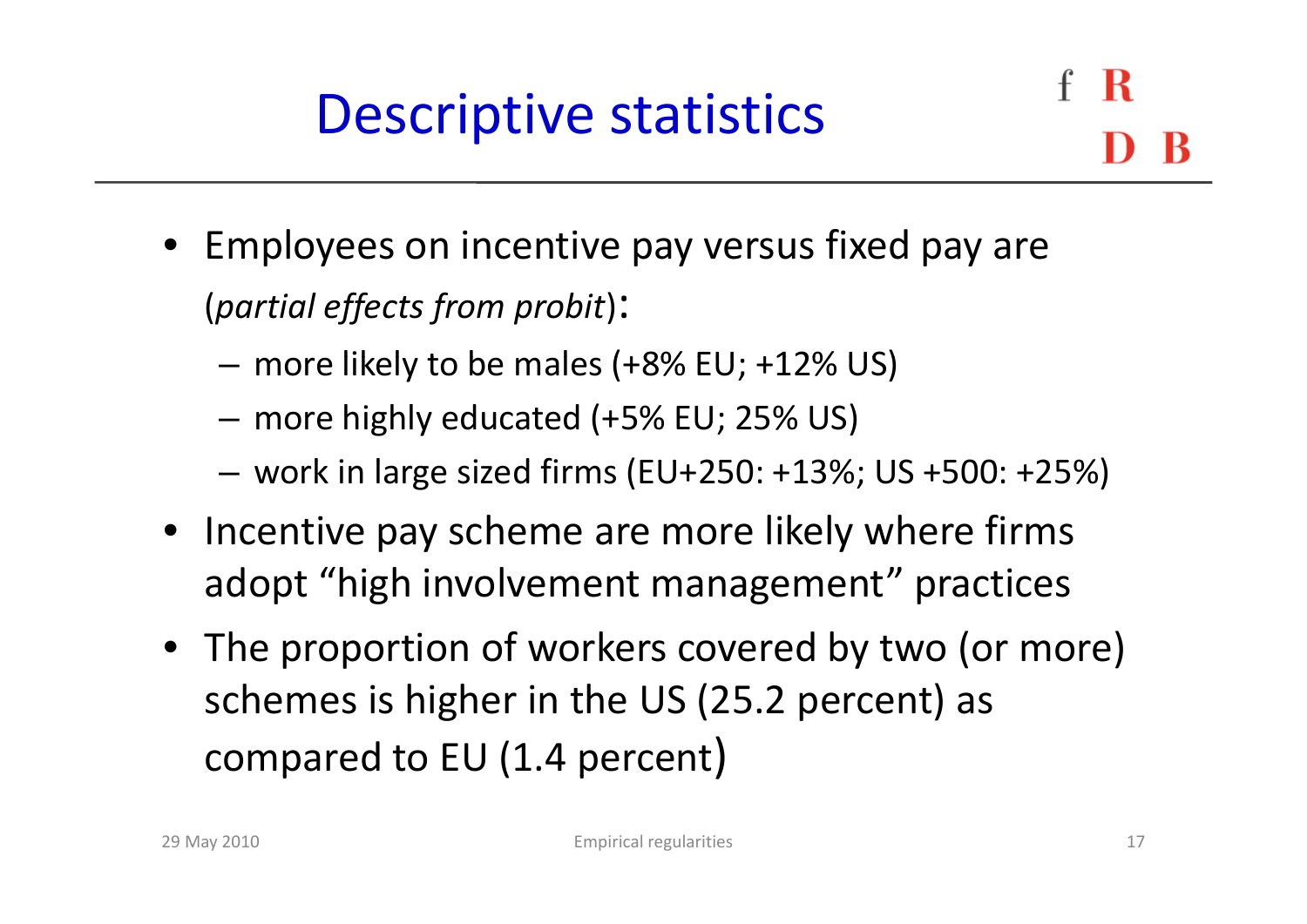- Employees on incentive pay versus fixed pay are (*partial effects from probit*):
	- – $-$  more likely to be males (+8% EU; +12% US)
	- more highly educated (+5% EU; 25% US)
	- work in large sized firms (EU+250: +13%; US +500: +25%)
- Incentive pay scheme are more likely where firms adopt "high involvement management" practices
- The proportion of workers covered by two (or more) schemes is higher in the US (25.2 percent) as  $\;\;$  compared to EU (1.4 percent)<br>Empirical regularities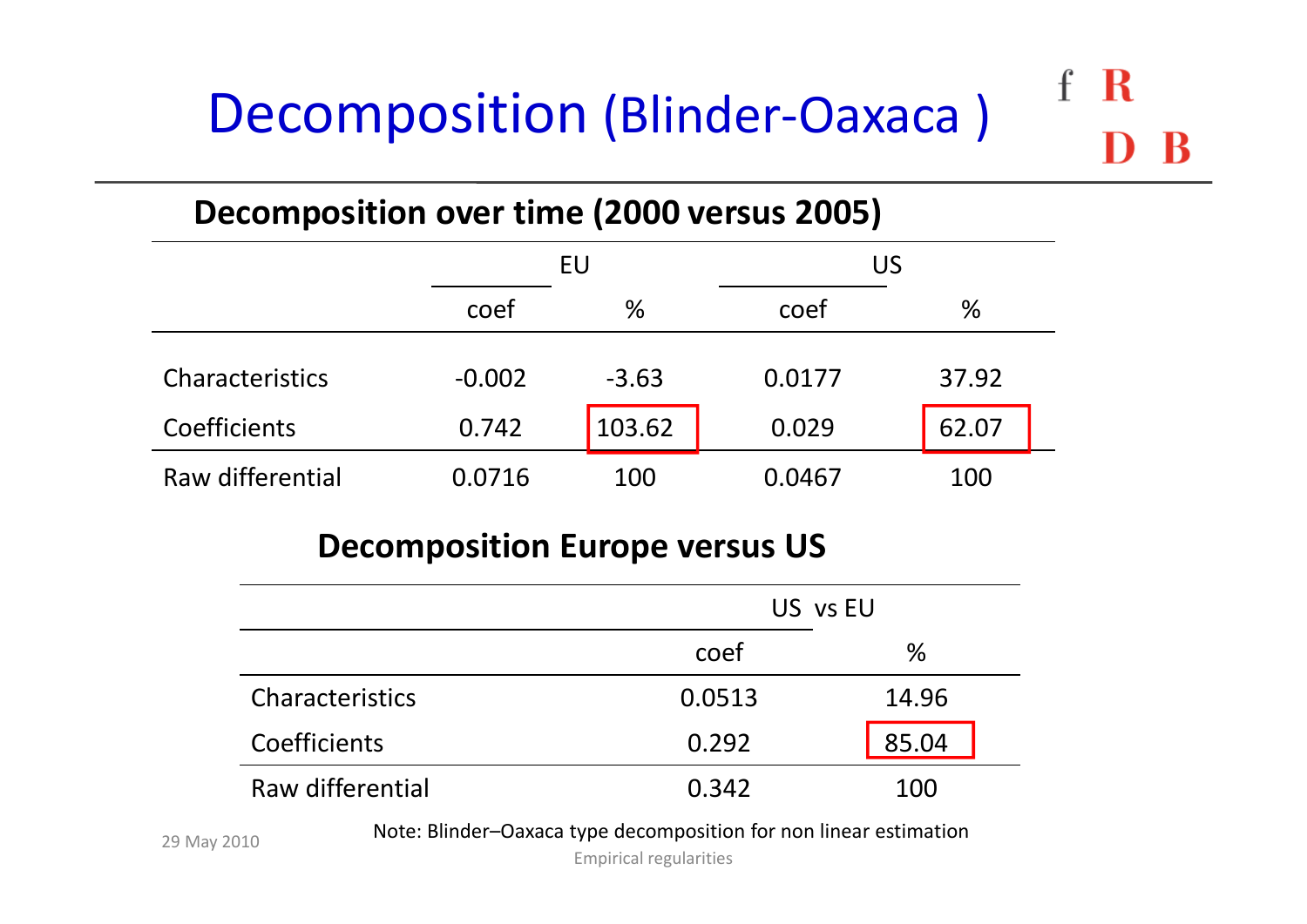#### $\mathbf{f}$ R Decomposition (Blinder-Oaxaca)

#### **Decomposition over time (2000 versus 2005)**

|                  |          | EU      |        | US    |  |  |
|------------------|----------|---------|--------|-------|--|--|
|                  | coef     | %       | coef   | %     |  |  |
| Characteristics  | $-0.002$ | $-3.63$ | 0.0177 | 37.92 |  |  |
| Coefficients     | 0.742    | 103.62  | 0.029  | 62.07 |  |  |
| Raw differential | 0.0716   | 100     | 0.0467 | 100   |  |  |

#### **Decomposition Europe versus US**

|                  | US vs EU |       |  |
|------------------|----------|-------|--|
|                  | coef     | $\%$  |  |
| Characteristics  | 0.0513   | 14.96 |  |
| Coefficients     | 0.292    | 85.04 |  |
| Raw differential | 0.342    | 100   |  |

Note: Blinder–Oaxaca type decomposition for non linear estimation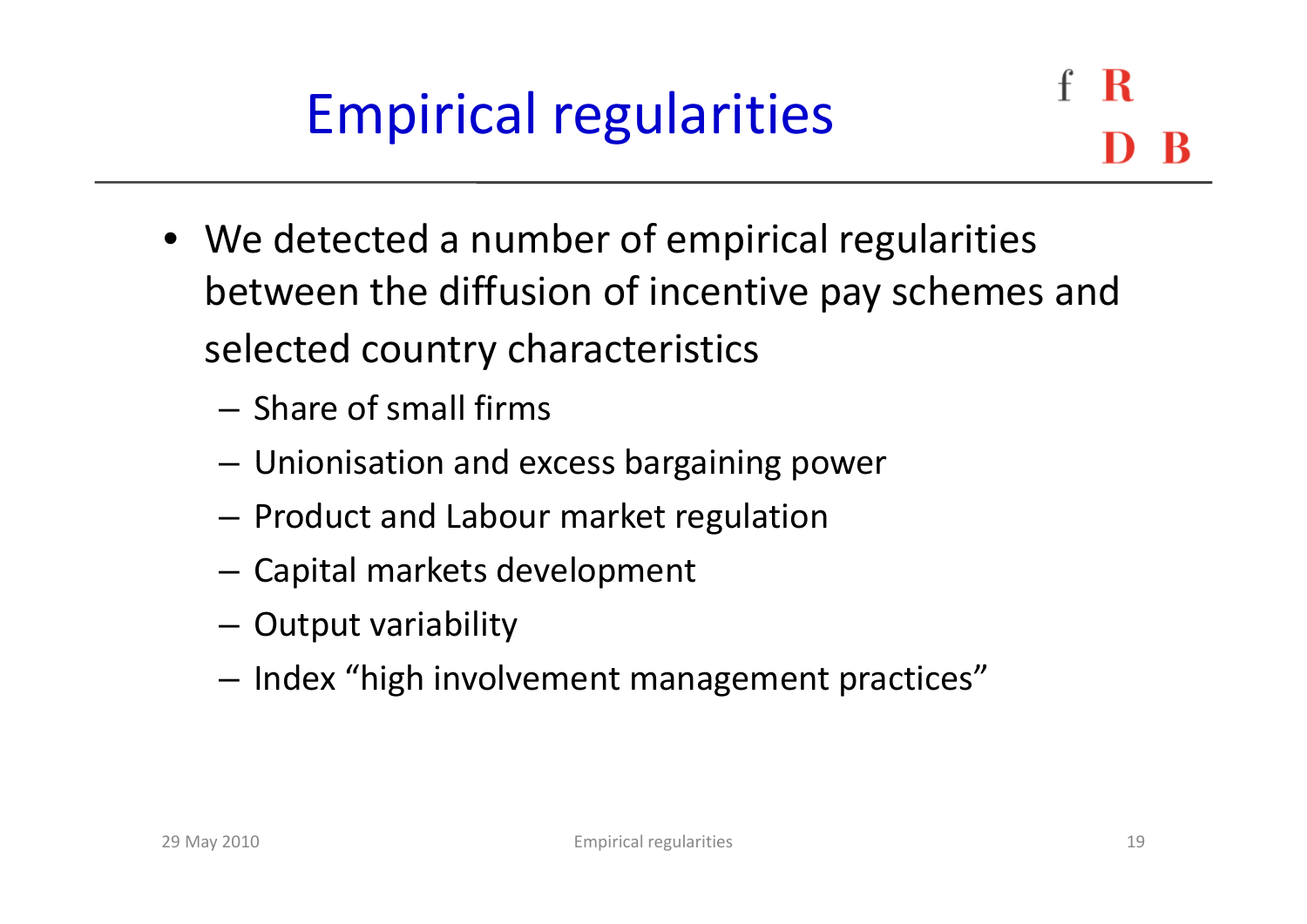- We detected <sup>a</sup> number of empirical regularities between the diffusion of incentive pay schemes and selected country characteristics
	- Share of small firms
	- –Unionisation and excess bargaining power
	- $-$  Product and Labour market regulation
	- Capital markets development
	- –Output variability
	- $-$  Index "high involvement management practices"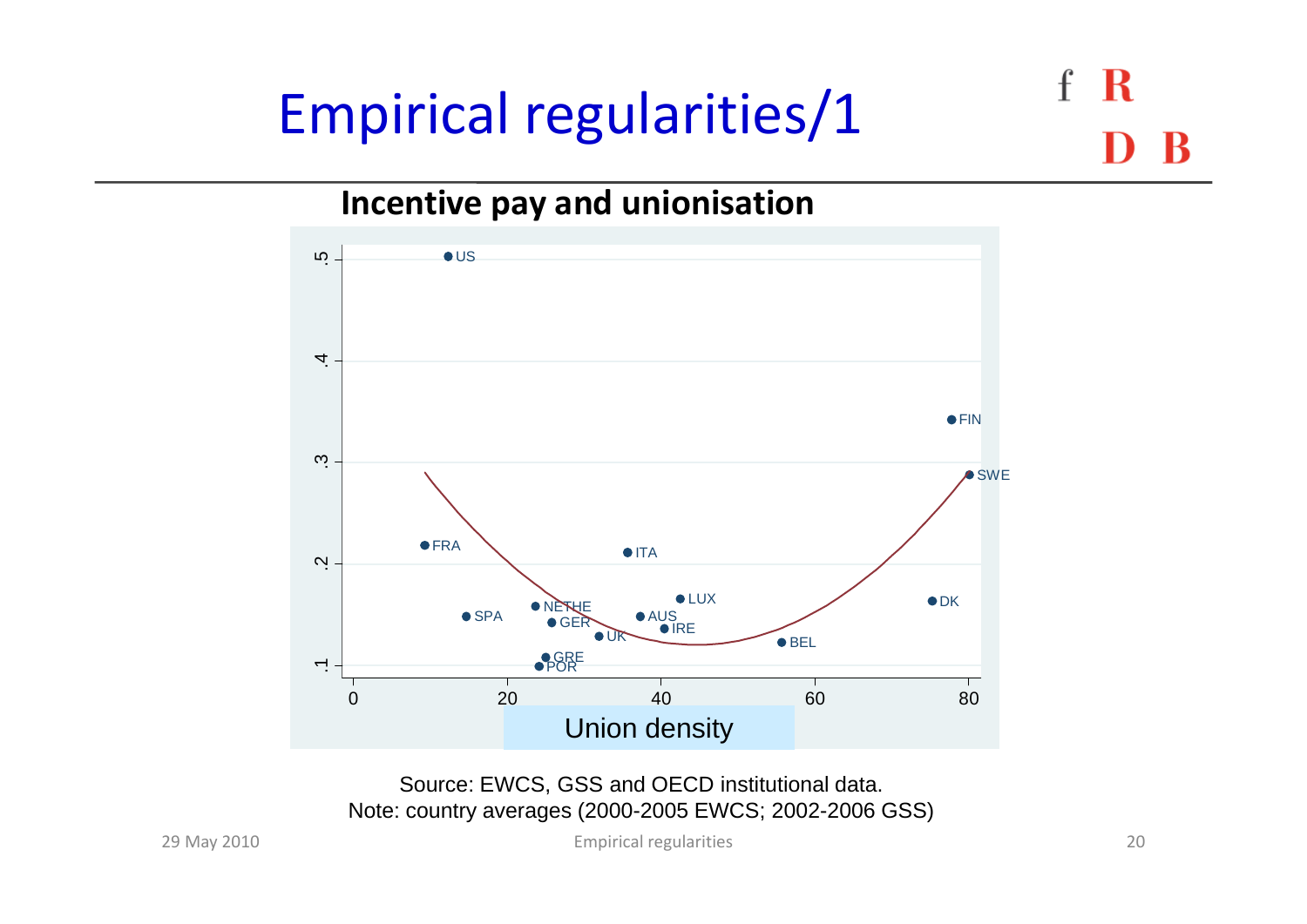# Empirical regularities/1

 $\mathbf{f}$ 

#### **Incentive pay and unionisation**



Source: EWCS, GSS and OECD institutional data. Note: country averages (2000-2005 EWCS; 2002-2006 GSS)

May 2010 20 Empirical regularities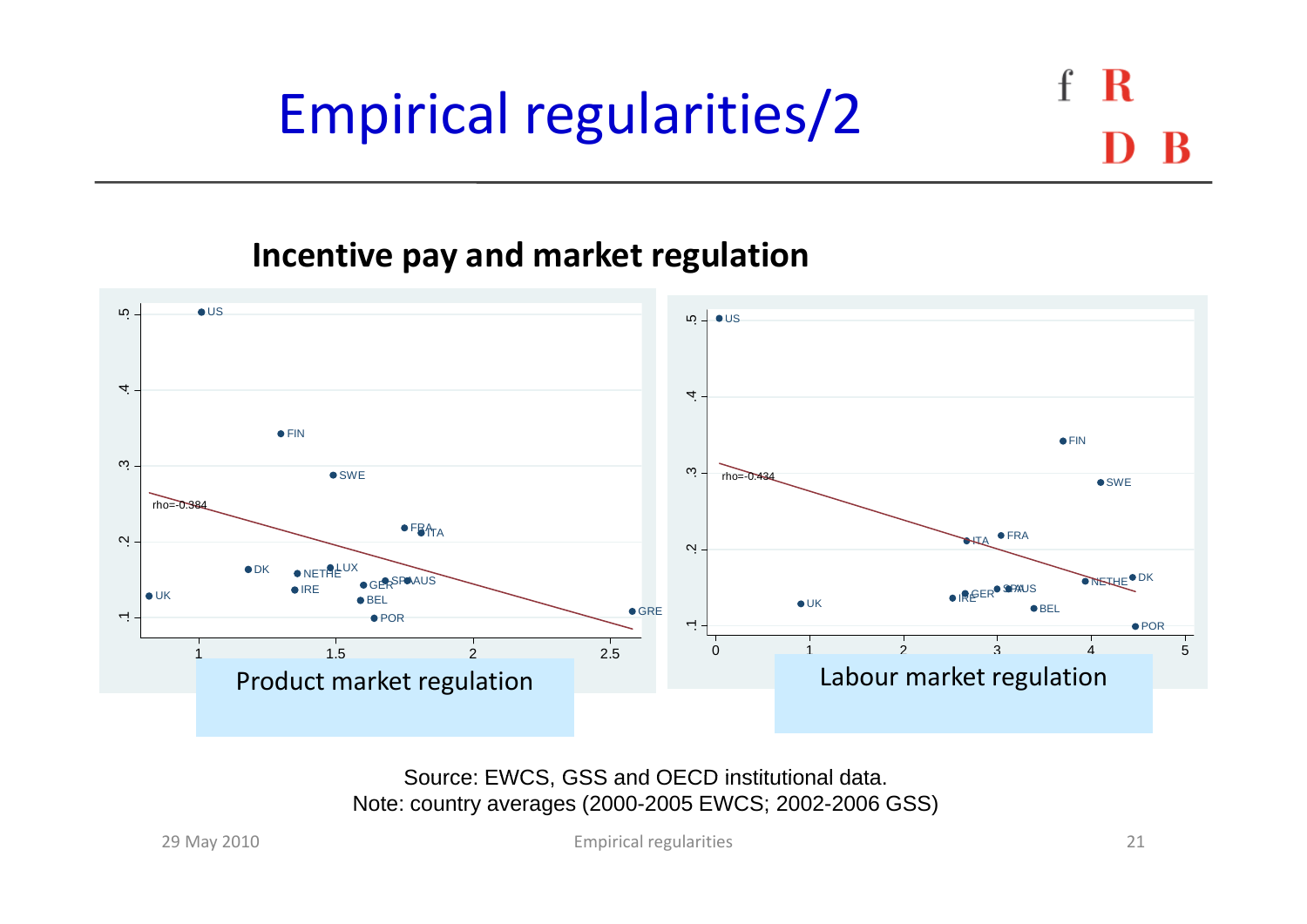# Empirical regularities/2

#### **Incentive pay and market regulation**



Source: EWCS, GSS and OECD institutional data. Note: country averages (2000-2005 EWCS; 2002-2006 GSS)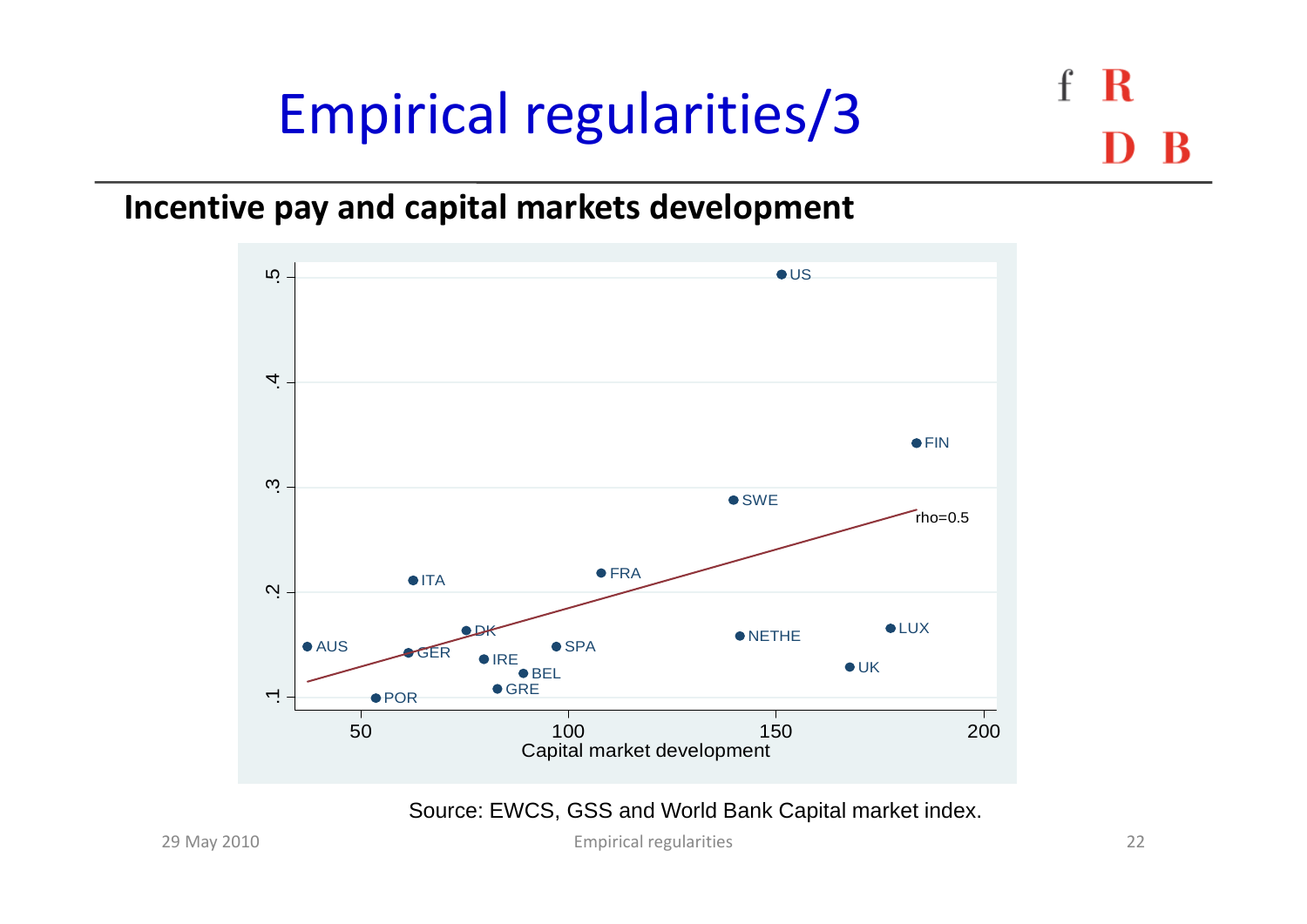## Empirical regularities/3

**Incentive pay and capital markets development**



Source: EWCS, GSS and World Bank Capital market index.

May 2010 22 Empirical regularities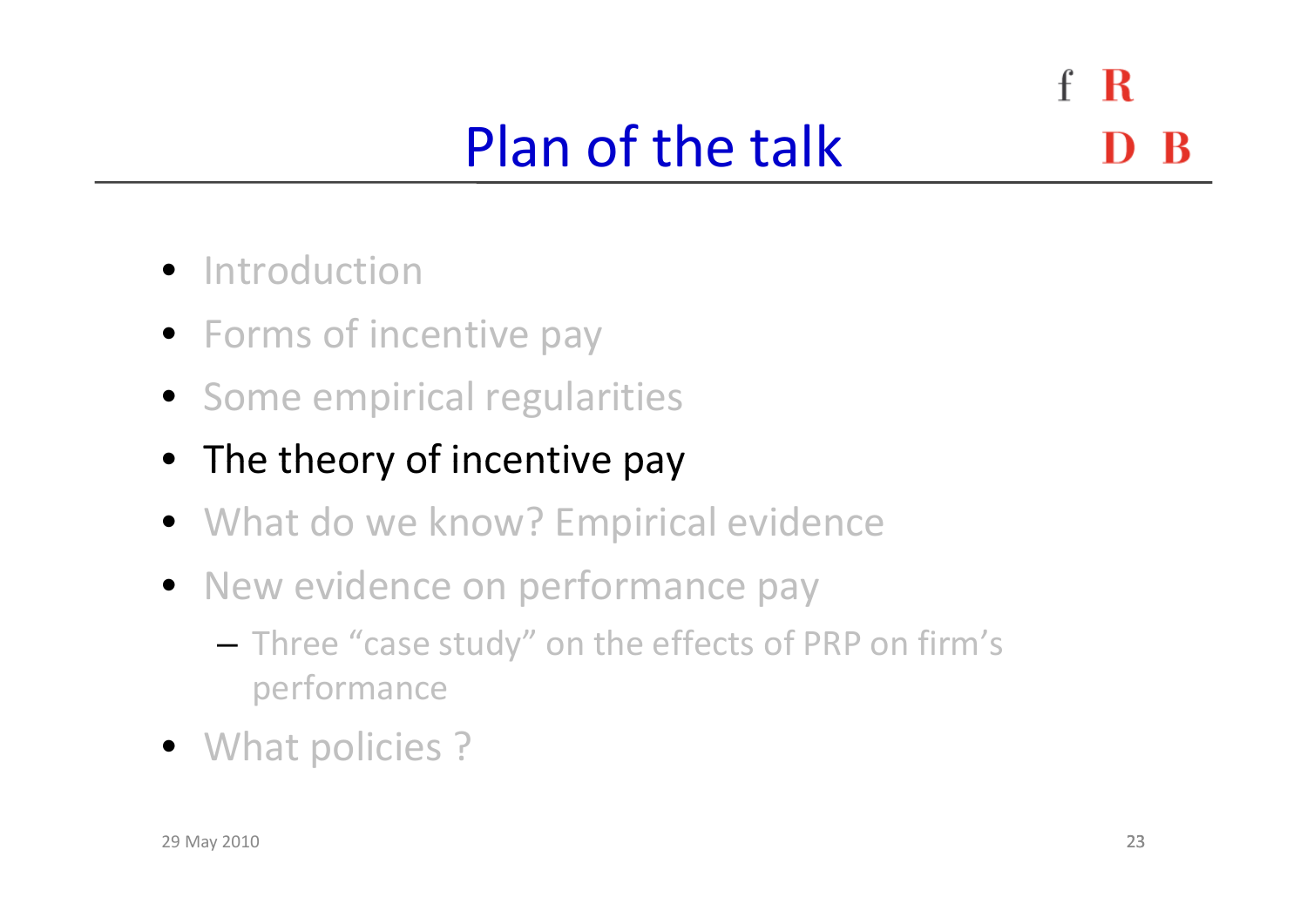$\mathbf{f}$ R Plan of the talk

- **•** Introduction
- Forms of incentive pay
- Some empirical regularities
- The theory of incentive pay
- What do we know? Empirical evidence
- New evidence on performance pay
	- – $-$  Three "case study" on the effects of PRP on firm's performance
- What policies ?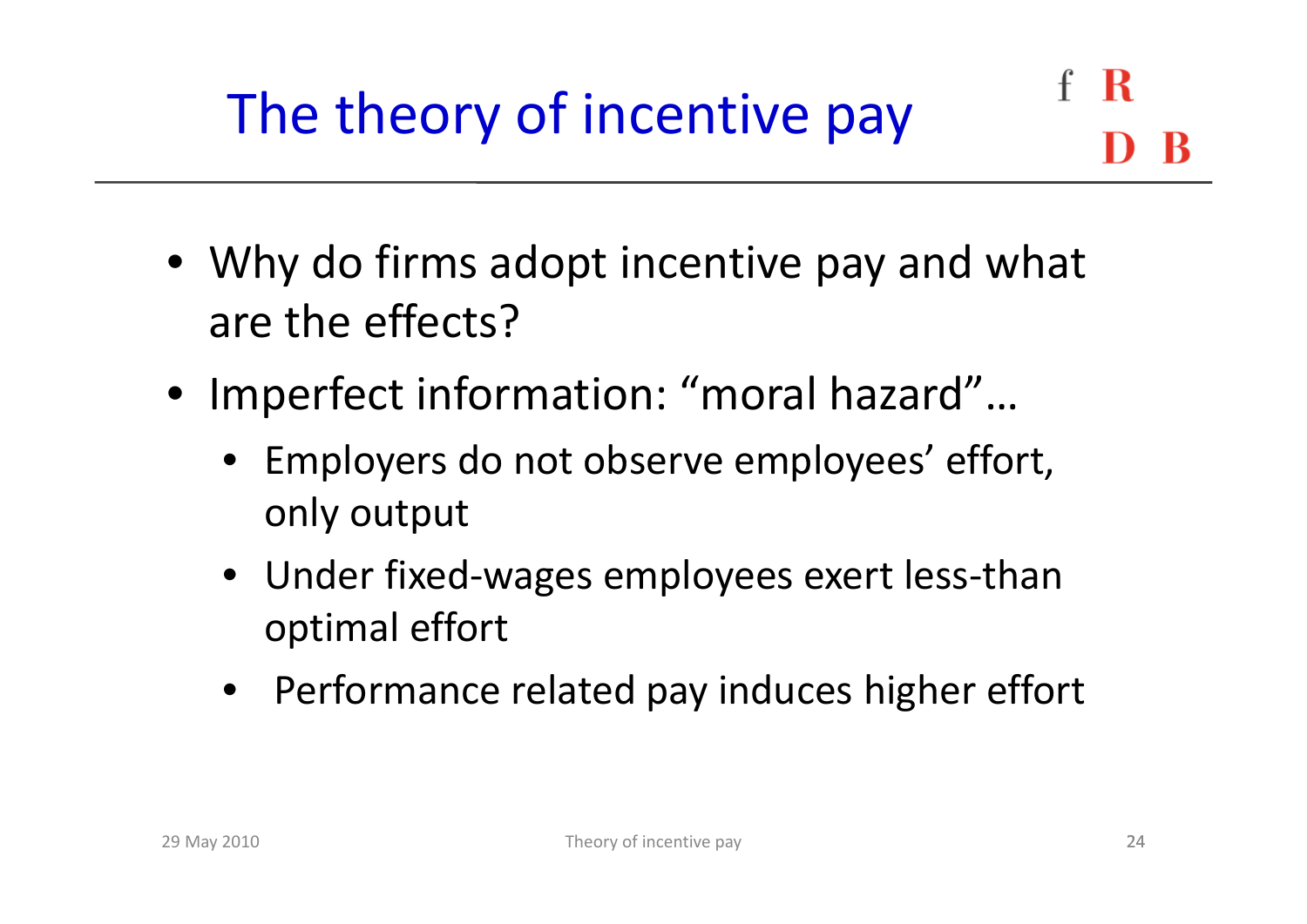- Why do firms adopt incentive pay and what are the effects?
- Imperfect information: "moral hazard"…
	- Employers do not observe employees' effort, only output
	- Under fixed-wages employees exert less-than optimal effort
	- Performance related pay induces higher effort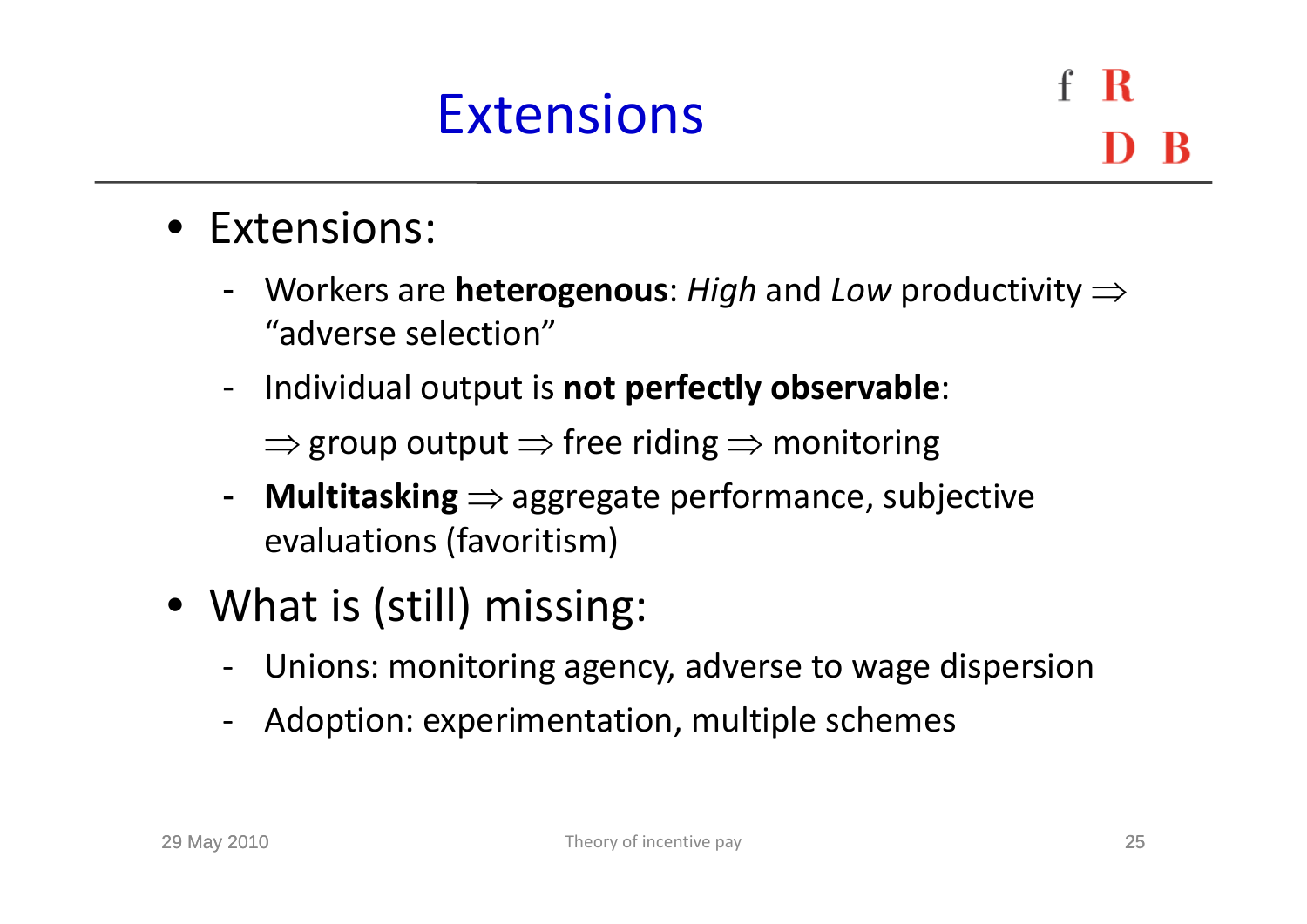### Extensions

- Extensions:
	- Workers are **heterogenous**: *High* and *Low* productivity "adverse selection"
	- - Individual output is **not perfectly observable**:  $\Rightarrow$  group output  $\Rightarrow$  free riding  $\Rightarrow$  monitoring
	- -**- Multitasking**  $\Rightarrow$  aggregate performance, subjective evaluations (favoritism)
- What is (still) missing:
	- ‐Unions: monitoring agency, adverse to wage dispersion
	- Adoption: experimentation, multiple schemes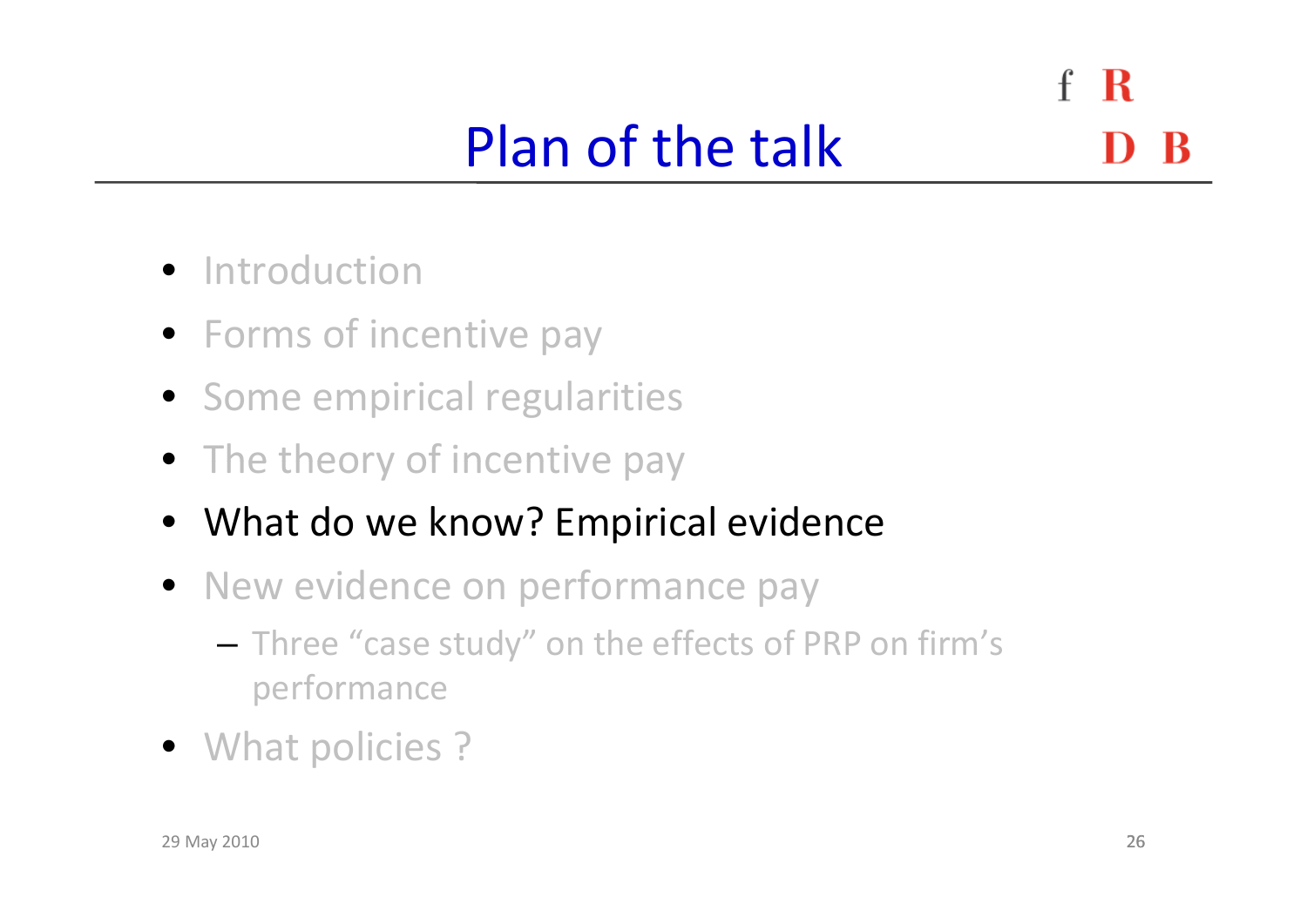$f \, R$ Plan of the talk

- **•** Introduction
- Forms of incentive pay
- Some empirical regularities
- The theory of incentive pay
- What do we know? Empirical evidence
- New evidence on performance pay
	- – $-$  Three "case study" on the effects of PRP on firm's performance
- What policies ?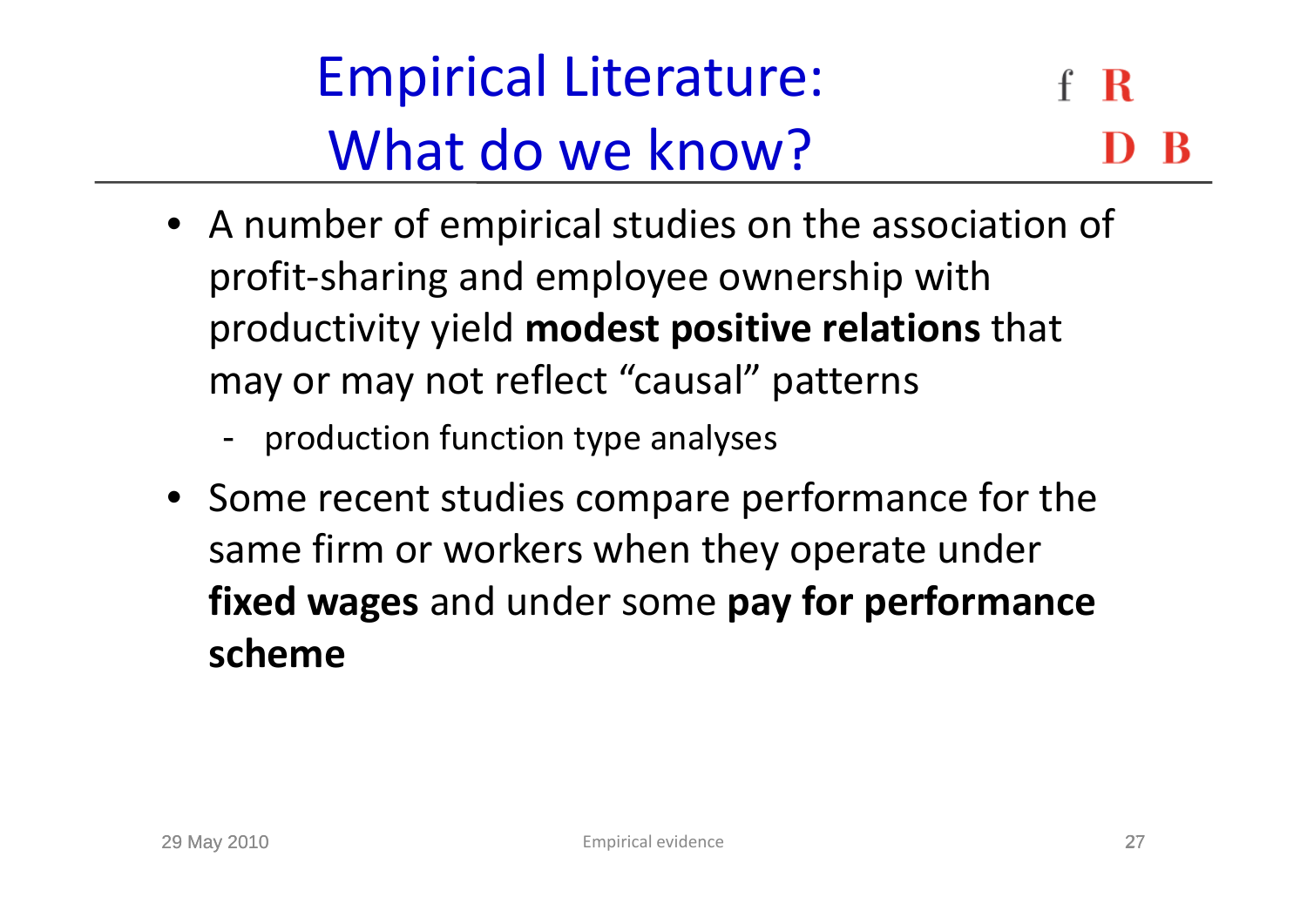Empirical Literature: R What do we know?

- A number of empirical studies on the association of profit‐sharing and employee ownership with productivity yield **modest positive relations** that may or may not reflect "causal" patterns
	- -- production function type analyses
- Some recent studies compare performance for the same firm or workers when they operate under **fixed wages** and under some **pay for performance scheme**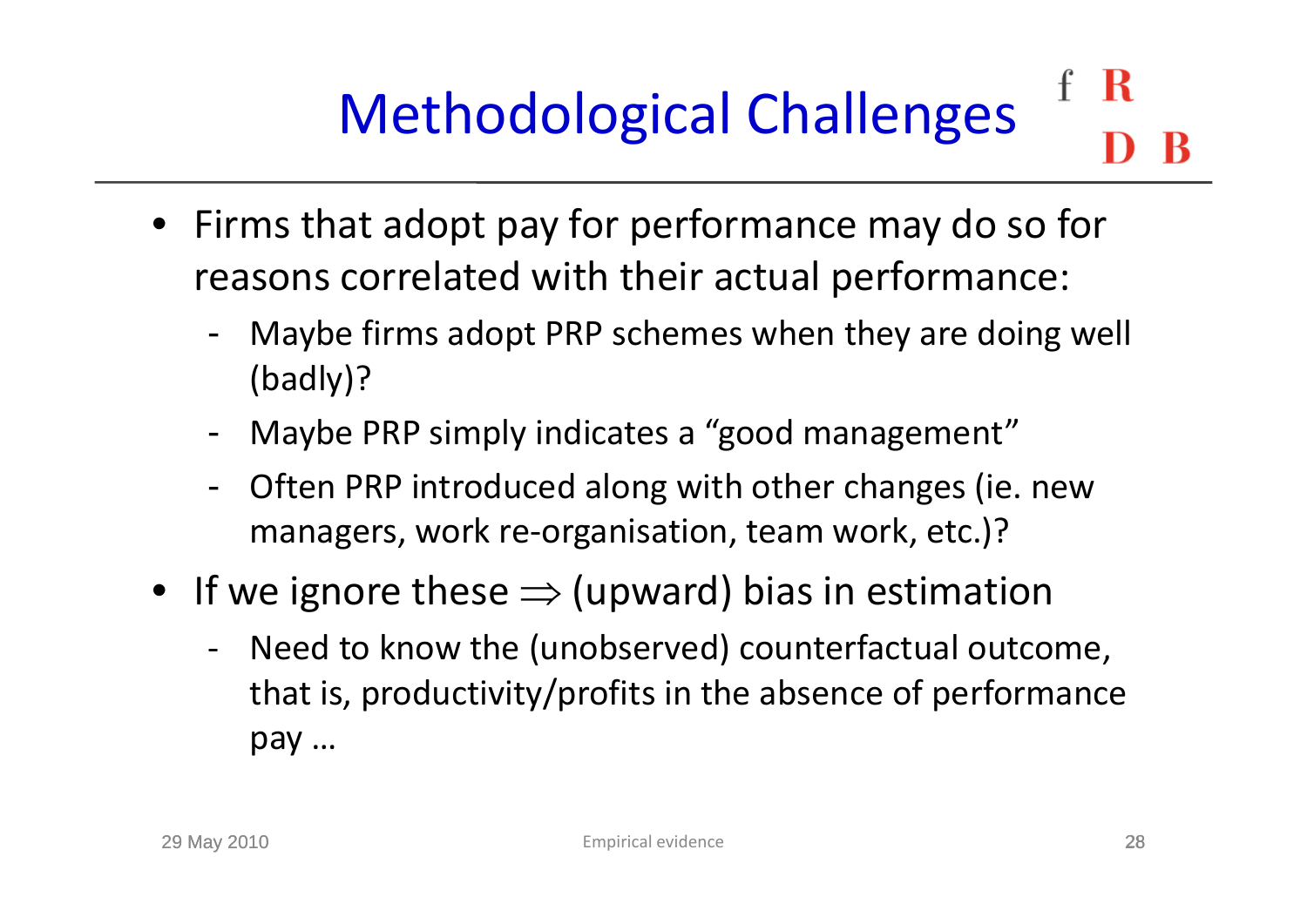### R Methodological Challenges

- Firms that adopt pay for performance may do so for reasons correlated with their actual performance:
	- - Maybe firms adopt PRP schemes when they are doing well (badly)?
	- -Maybe PRP simply indicates <sup>a</sup> "good management"
	- Often PRP introduced along with other changes (ie. new managers, work re-organisation, team work, etc.)?
- If we ignore these  $\Rightarrow$  (upward) bias in estimation
	- ‐ Need to know the (unobserved) counterfactual outcome, that is, productivity/profits in the absence of performance pay …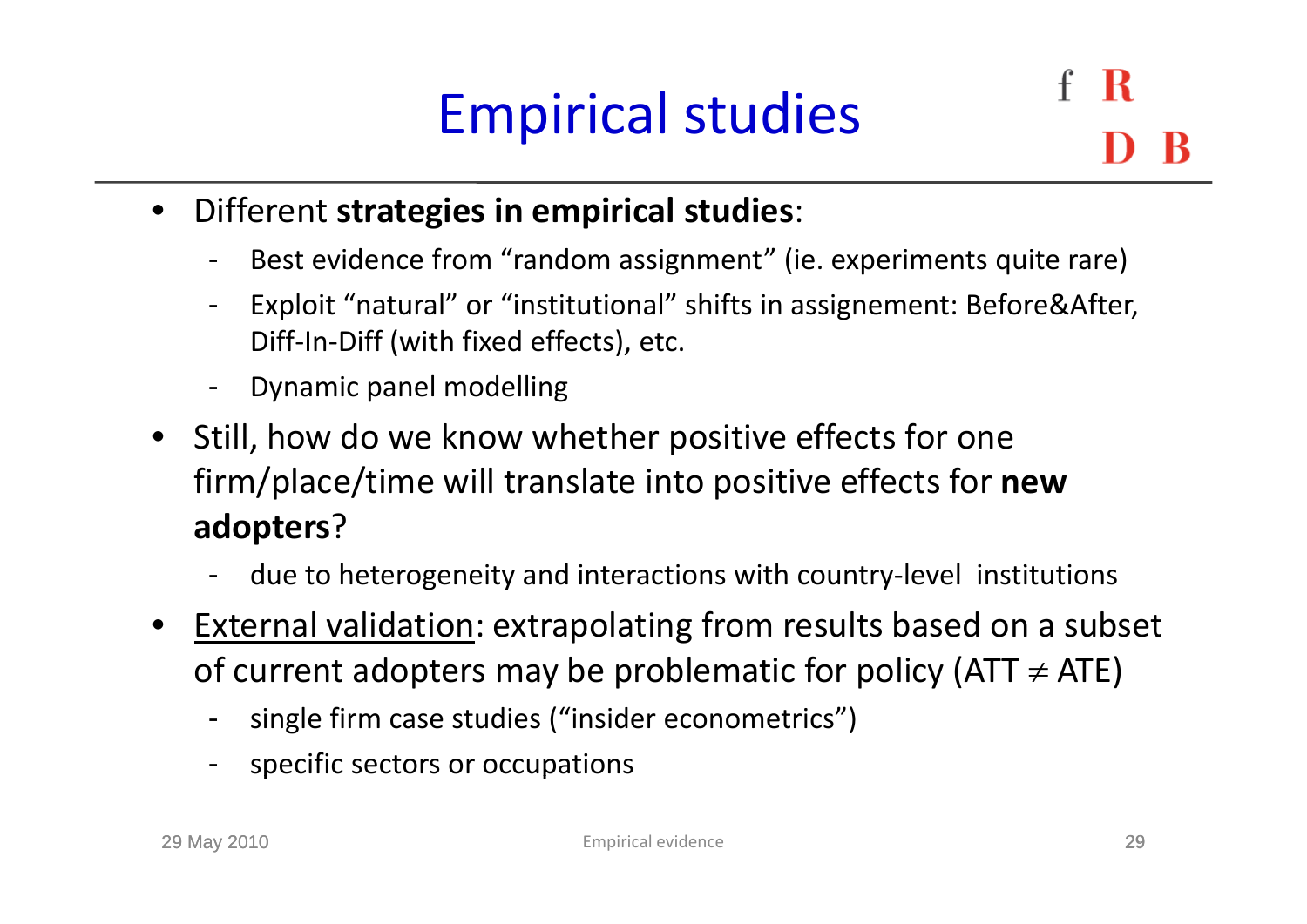### Empirical studies

R

- • Different **strategies in empirical studies**:
	- -- Best evidence from " random assignment" (ie. experiments quite rare)
	- - Exploit "natural" or "institutional" shifts in assignement: Before&After, Diff‐In‐Diff (with fixed effects), etc.
	- -Dynamic panel modelling
- Still, how do we know whether positive effects for one firm/place/time will translate into positive effects for **new adopters**?
	- -- due to heterogeneity and interactions with country-level institutions
- • External validation: extrapolating from results based on <sup>a</sup> subset of current adopters may be problematic for policy (ATT  $\neq$  ATE)
	- single firm case studies ("insider econometrics")
	- -- specific sectors or occupations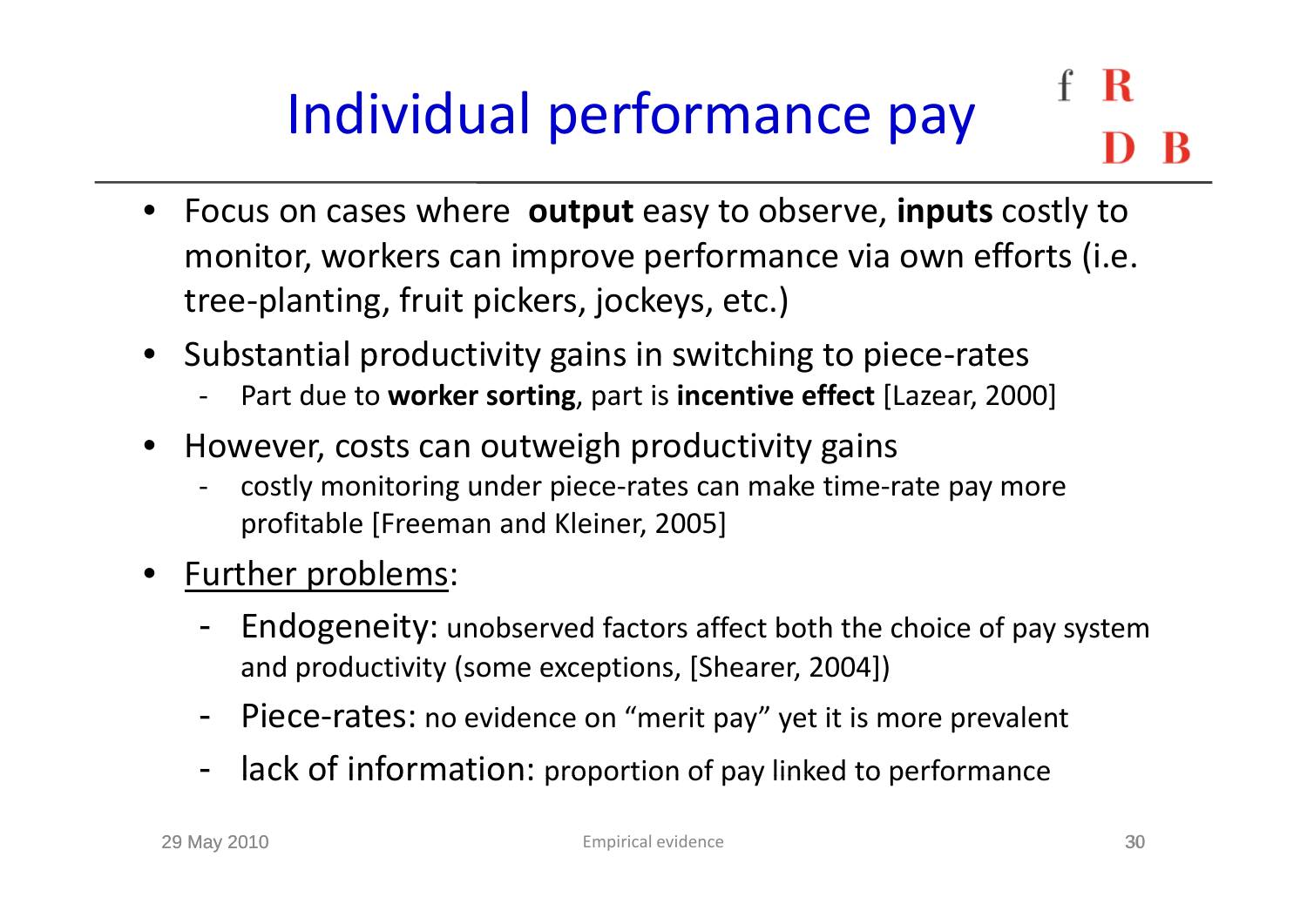### R Individual performance pay

- Focus on cases where **output** easy to observe, **inputs** costly to monitor, workers can improve performance via own efforts (i.e. tree‐planting, fruit pickers, jockeys, etc.)
- $\bullet$  Substantial productivity gains in switching to piece‐rates
	- Part due to **worker sorting**, part is **incentive effect** [Lazear, 2000]
- $\bullet$ However, costs can outweigh productivity gains
	- costly monitoring under piece‐rates can make time‐rate pay more profitable [Freeman and Kleiner, 2005]
- •• <u>Further problems</u>:
	- - Endogeneity: unobserved factors affect both the choice of pay system and productivity (some exceptions, [Shearer, 2004])
	- -- Piece-rates: no evidence on "merit pay" yet it is more prevalent
	- -- lack of information: proportion of pay linked to performance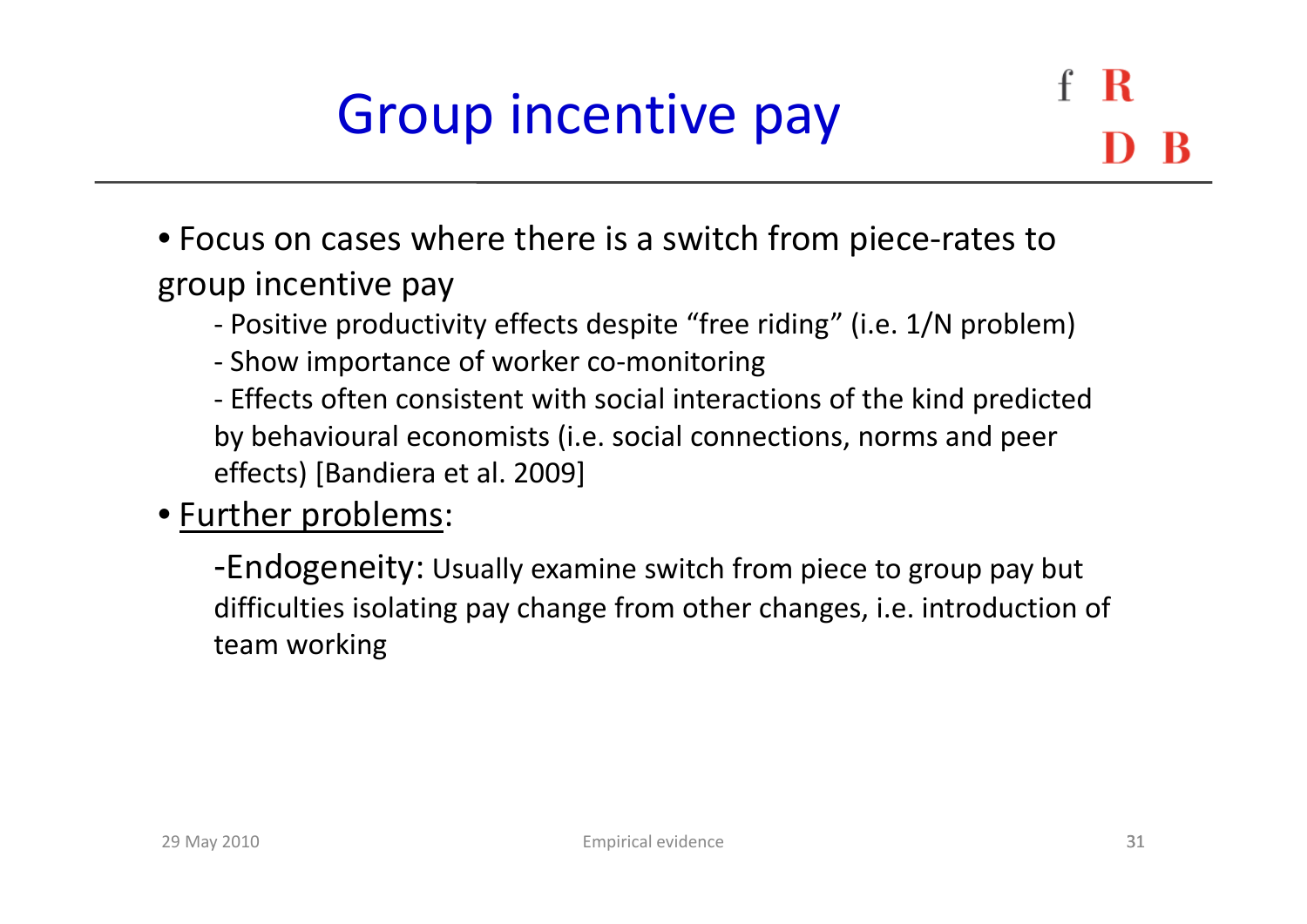### Group incentive pay

- Focus on cases where there is <sup>a</sup> switch from piece‐rates to group incentive pay
	- ‐ Positive productivity effects despite "free riding" (i.e. 1/N problem)
	- Show importance of worker co-monitoring
	- ‐ Effects often consistent with social interactions of the kind predicted by behavioural economists (i.e. social connections, norms and peer effects) [Bandiera et al. 2009]

#### • Further problems:

-Endogeneity: Usually examine switch from piece to group pay but difficulties isolating pay change from other changes, i.e. introduction of team working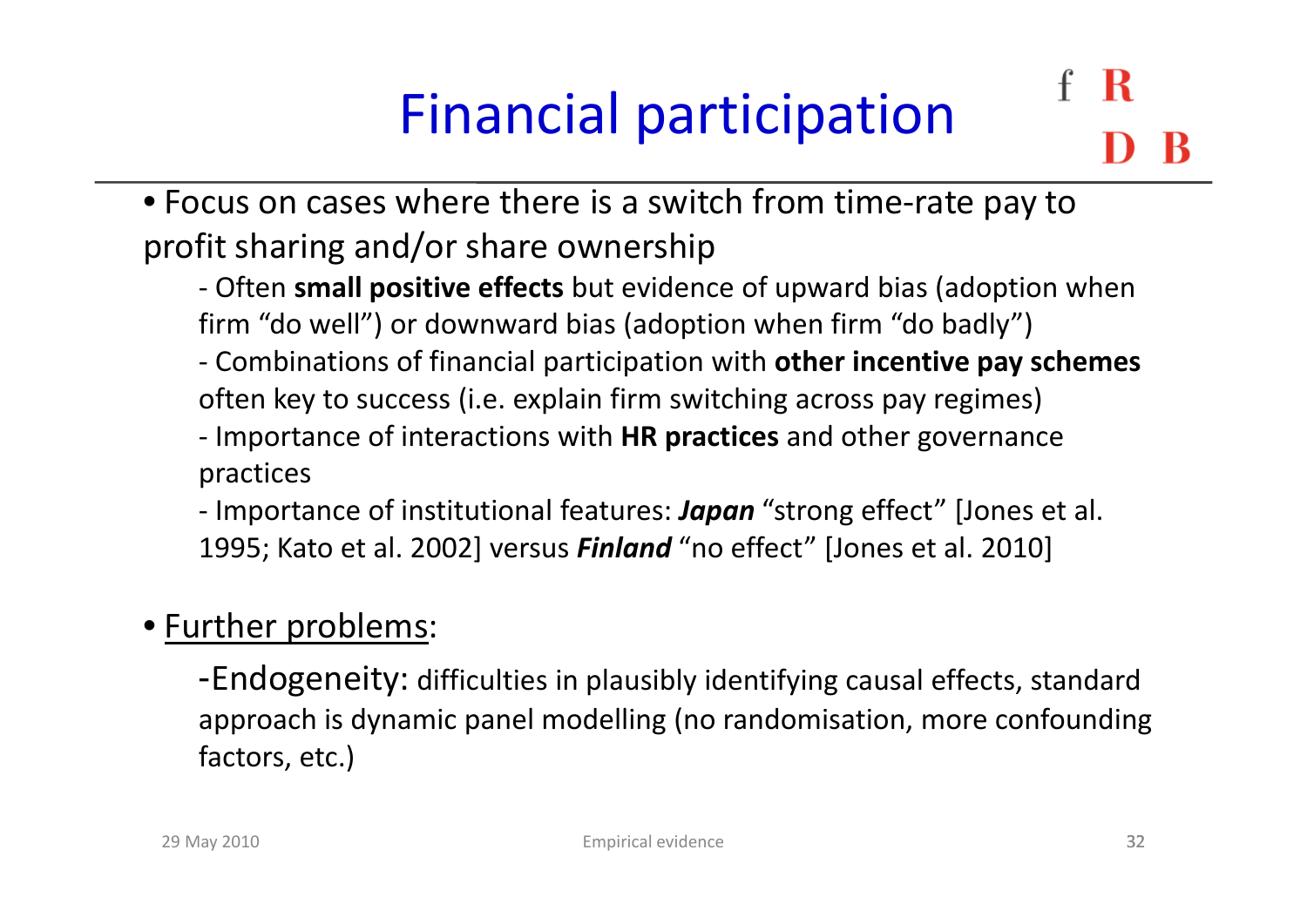# Financial participation

• Focus on cases where there is <sup>a</sup> switch from time‐rate pay to profit sharing and/or share ownership

- ‐ Often **small positive effects** but evidence of upward bias (adoption when firm "do well") or downward bias (adoption when firm "do badly")
- ‐ C bi ti Combinations of fi i l nancialparti i ti ticipation with **other incenti <sup>e</sup> incentivepay schemes** often key to success (i.e. explain firm switching across pay regimes)
- ‐ Importance of interactions with **HR practices** and other governance practices
- ‐ Importance of institutional features: *Japan* "strong effect" [Jones et al. 1995; Kato et al. 2002] versus *Finland* "no effect" [Jones et al. 2010]

#### • Further problems:

-Endogeneity: difficulties in plausibly identifying causal effects, standard approach is dynamic panel modelling (no randomisation, more confounding factors, etc.)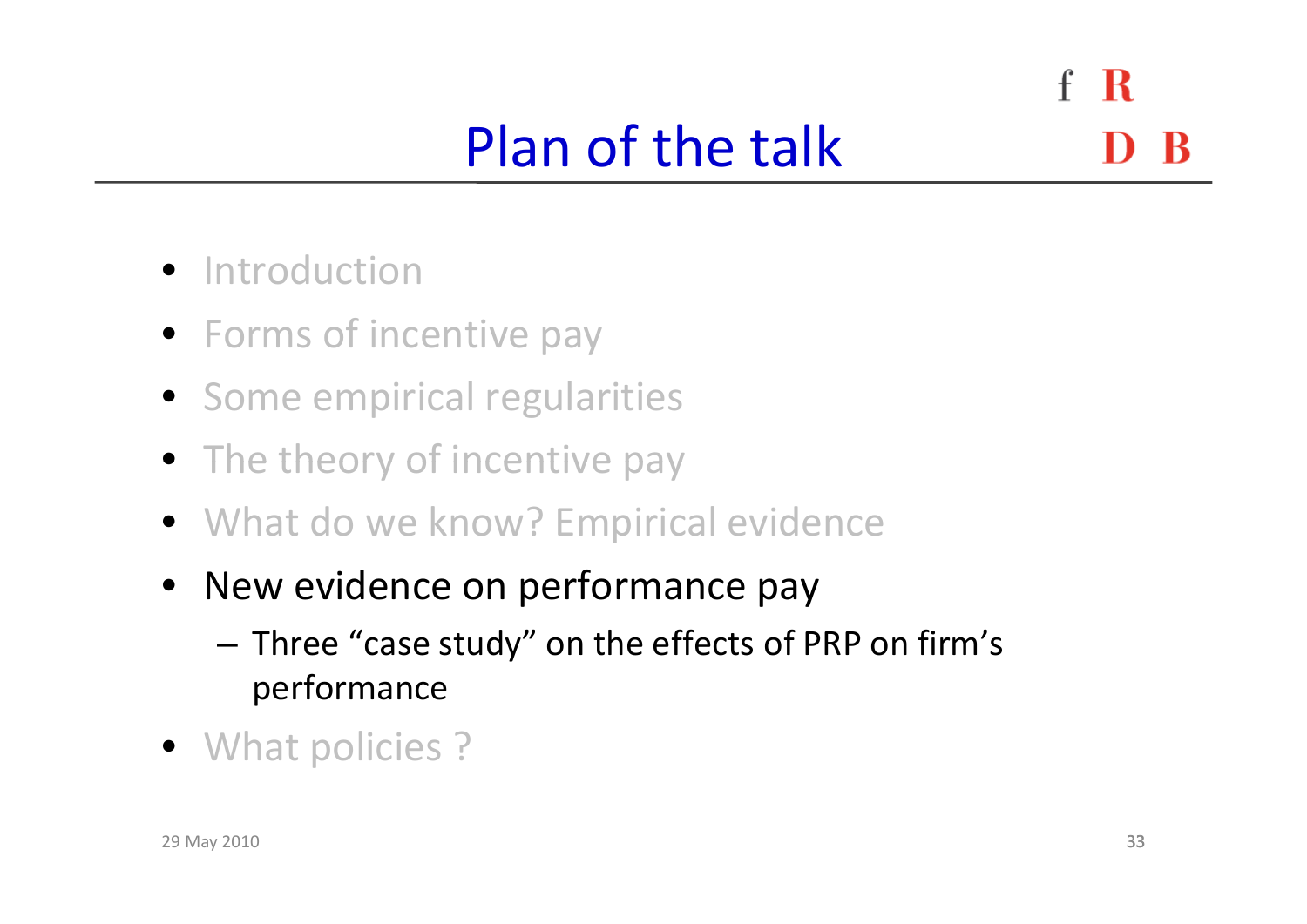$\mathbf{f}$ R Plan of the talk

- **•** Introduction
- Forms of incentive pay
- Some empirical regularities
- The theory of incentive pay
- What do we know? Empirical evidence
- New evidence on performance pay
	- – Three "case study" on the effects of PRP on firm's performance
- What policies ?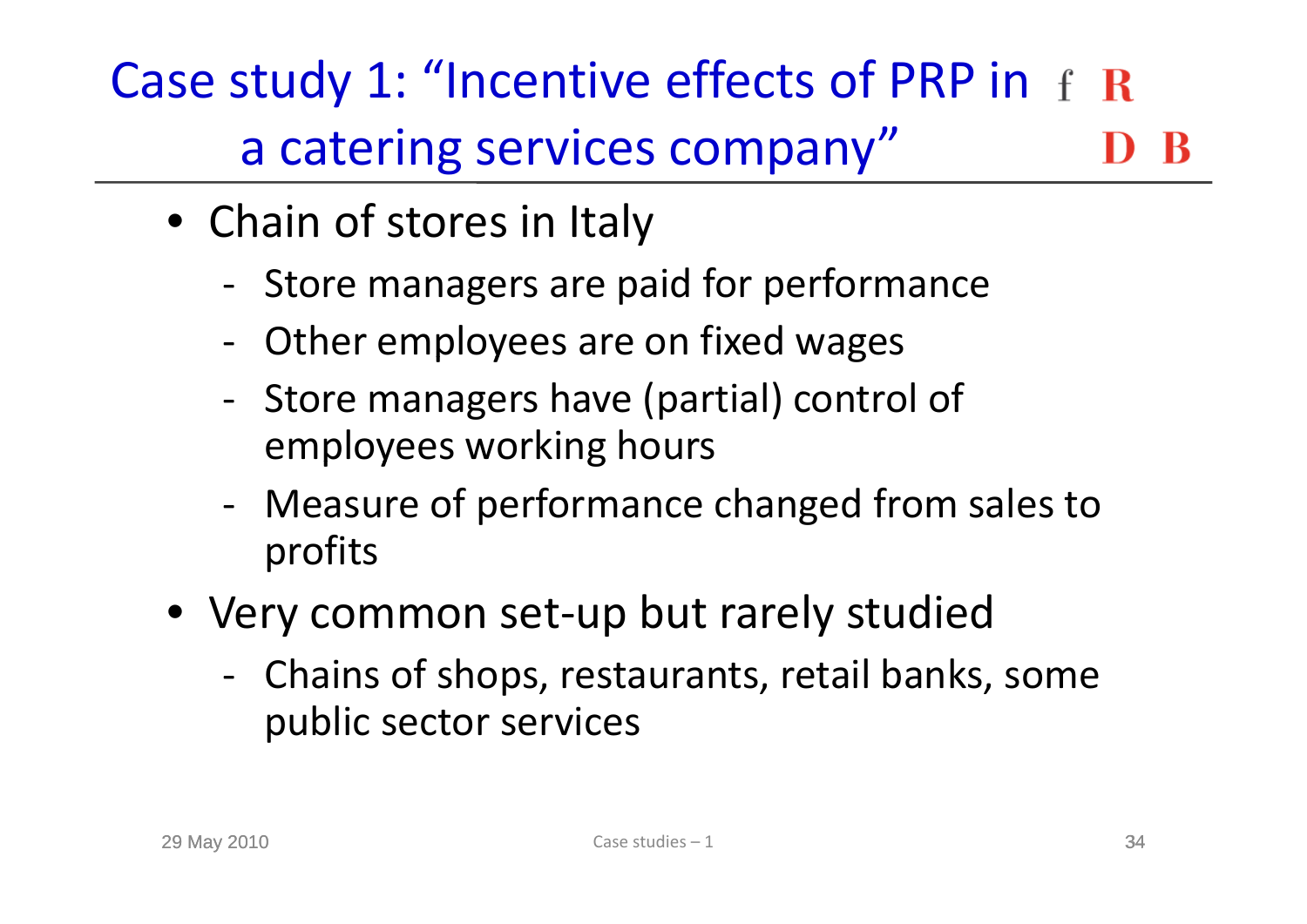Case study 1: "Incentive effects of PRP in a catering services company"

- Chain of stores in Italy
	- Store managers are paid for performance
	- ‐- Other employees are on fixed wages
	- Store managers have (partial) control of employees working hours
	- Measure of performance changed from sales to profits
- Very common set‐up but rarely studied
	- Chains of shops, restaurants, retail banks, some public sector services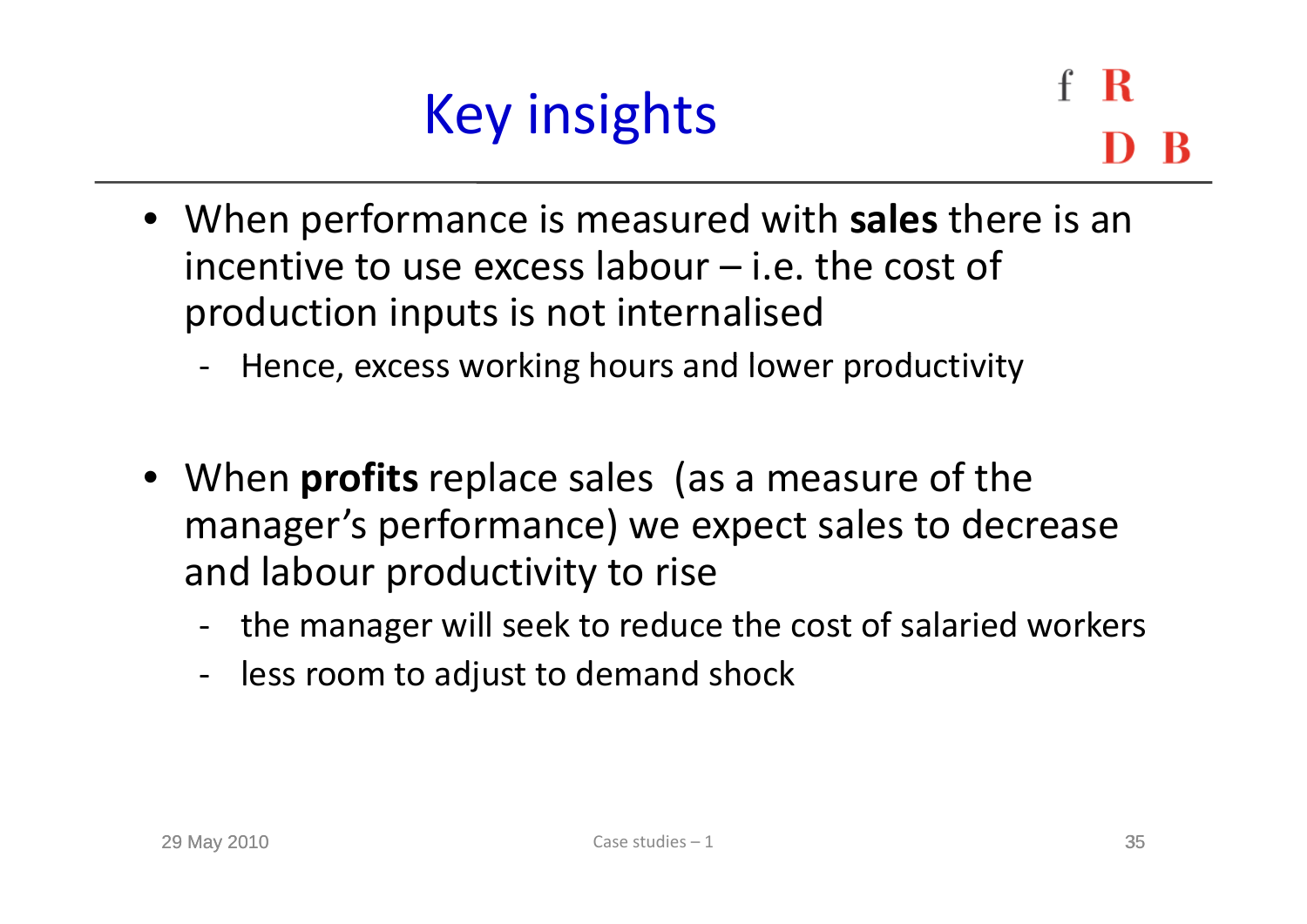

R

- When performance is measured with **sales** there is an incentive to use excess labour  $-$  i.e. the cost of production inputs is not internalised
	- ‐Hence, excess working hours and lower productivity
- When **profits** replace sales (as <sup>a</sup> measure of the manager's performance) we expect sales to decrease and labour productivity to rise
	- ‐ the manager will seek to reduce the cost of salaried workers
	- ‐ less room to adjust to demand shock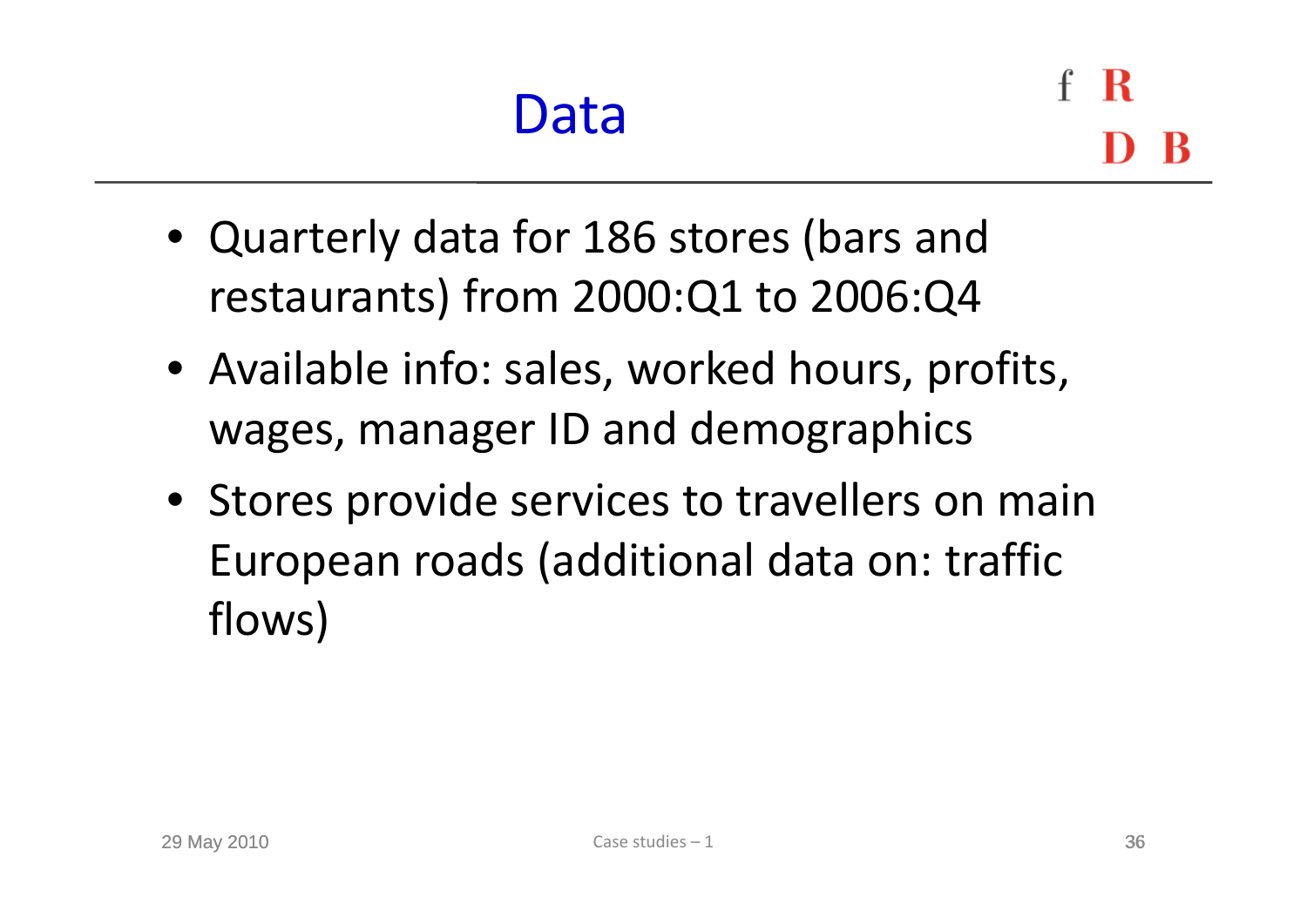R

- Quarterly data for 186 stores (bars and restaurants) from 2000:Q1 to 2006:Q4
- Available info: sales, worked hours, profits, wages, manager ID and demographics
- Stores provide services to travellers on main European roads (additional data on: traffic flows)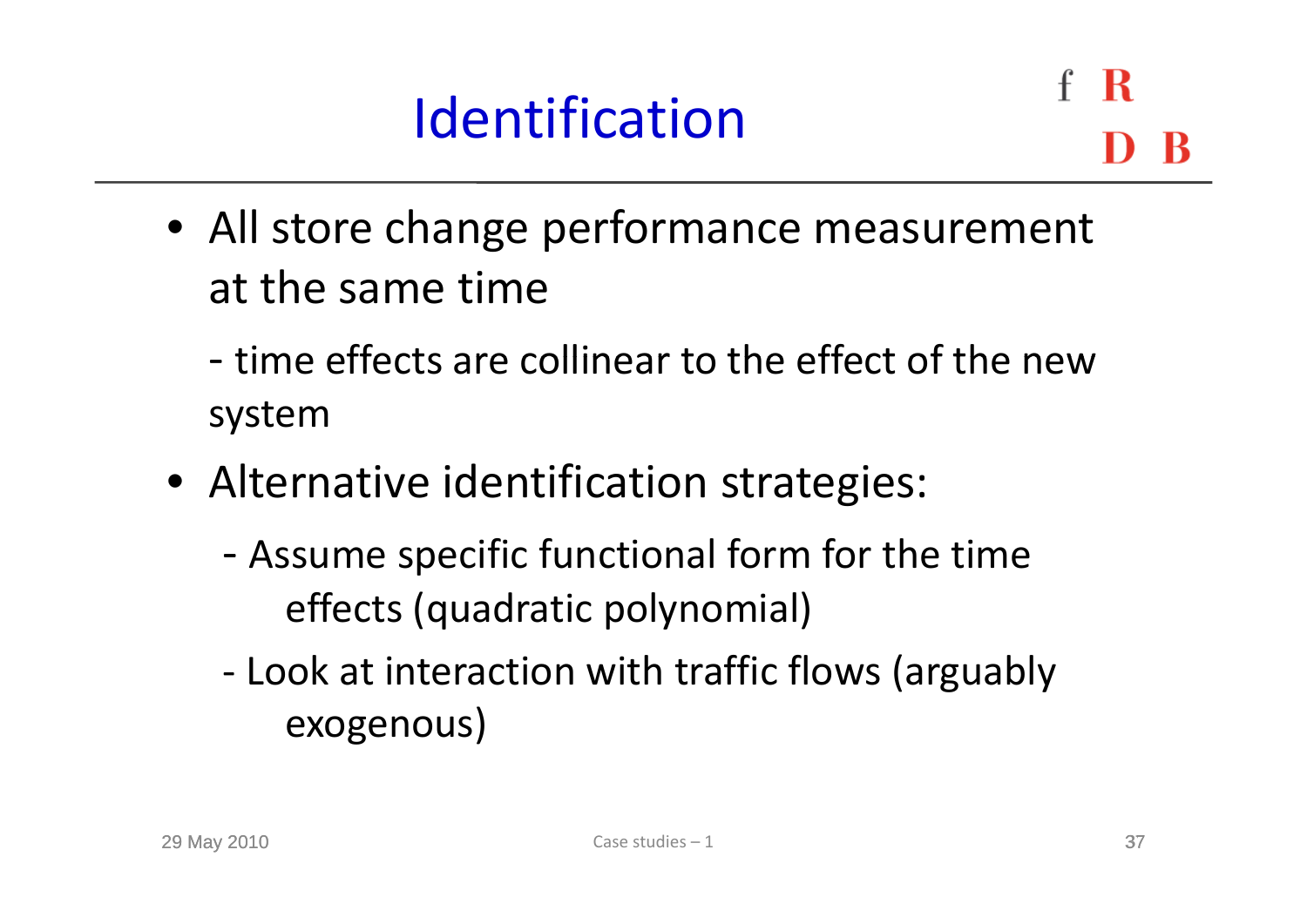### Identification

 $\mathbf R$ 

- All store change performance measurement at the same time
	- ‐ time effects are collinear to the effect of the newsystem
- Alternative identification strategies:
	- ‐ Assume specific functional form for the time effects (quadratic polynomial)
	- ‐ Look at interaction with traffic flows (arguably exogenous)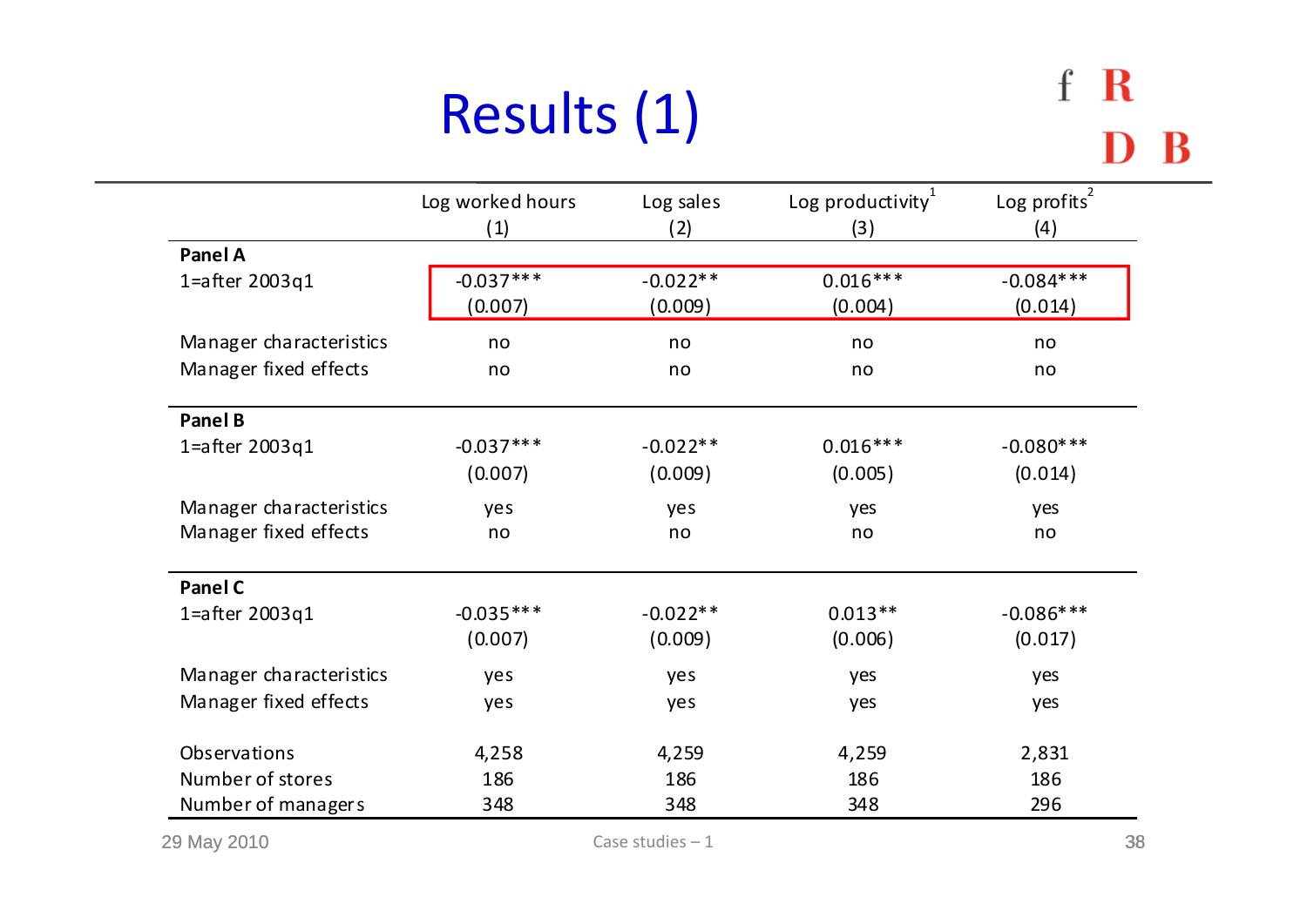# Results (1)

|                         | Log worked hours | Log sales  | Log productivity $1$ | Log profits $^{2}$ |  |  |
|-------------------------|------------------|------------|----------------------|--------------------|--|--|
|                         | (1)              | (2)        | (3)                  | (4)                |  |  |
| Panel A                 |                  |            |                      |                    |  |  |
| 1= $a$ fter 2003q1      | $-0.037***$      | $-0.022**$ | $0.016***$           | $-0.084***$        |  |  |
|                         | (0.007)          | (0.009)    | (0.004)              | (0.014)            |  |  |
| Manager characteristics | no               | no         | no                   | no                 |  |  |
| Manager fixed effects   | no               | no         | no                   | no                 |  |  |
| Panel B                 |                  |            |                      |                    |  |  |
| 1= $a$ fter 2003q1      | $-0.037***$      | $-0.022**$ | $0.016***$           | $-0.080***$        |  |  |
|                         | (0.007)          | (0.009)    | (0.005)              | (0.014)            |  |  |
| Manager characteristics | yes              | yes        | yes                  | yes                |  |  |
| Manager fixed effects   | no               | no         | no                   | no                 |  |  |
| <b>Panel C</b>          |                  |            |                      |                    |  |  |
| 1= $a$ fter 2003q1      | $-0.035***$      | $-0.022**$ | $0.013**$            | $-0.086***$        |  |  |
|                         | (0.007)          | (0.009)    | (0.006)              | (0.017)            |  |  |
| Manager characteristics | yes              | yes        | yes                  | yes                |  |  |
| Manager fixed effects   | yes              | yes        | yes                  | yes                |  |  |
| Observations            | 4,258            | 4,259      | 4,259                | 2,831              |  |  |
| Number of stores        | 186              | 186        | 186                  | 186                |  |  |
| Number of managers      | 348              | 348        | 348                  | 296                |  |  |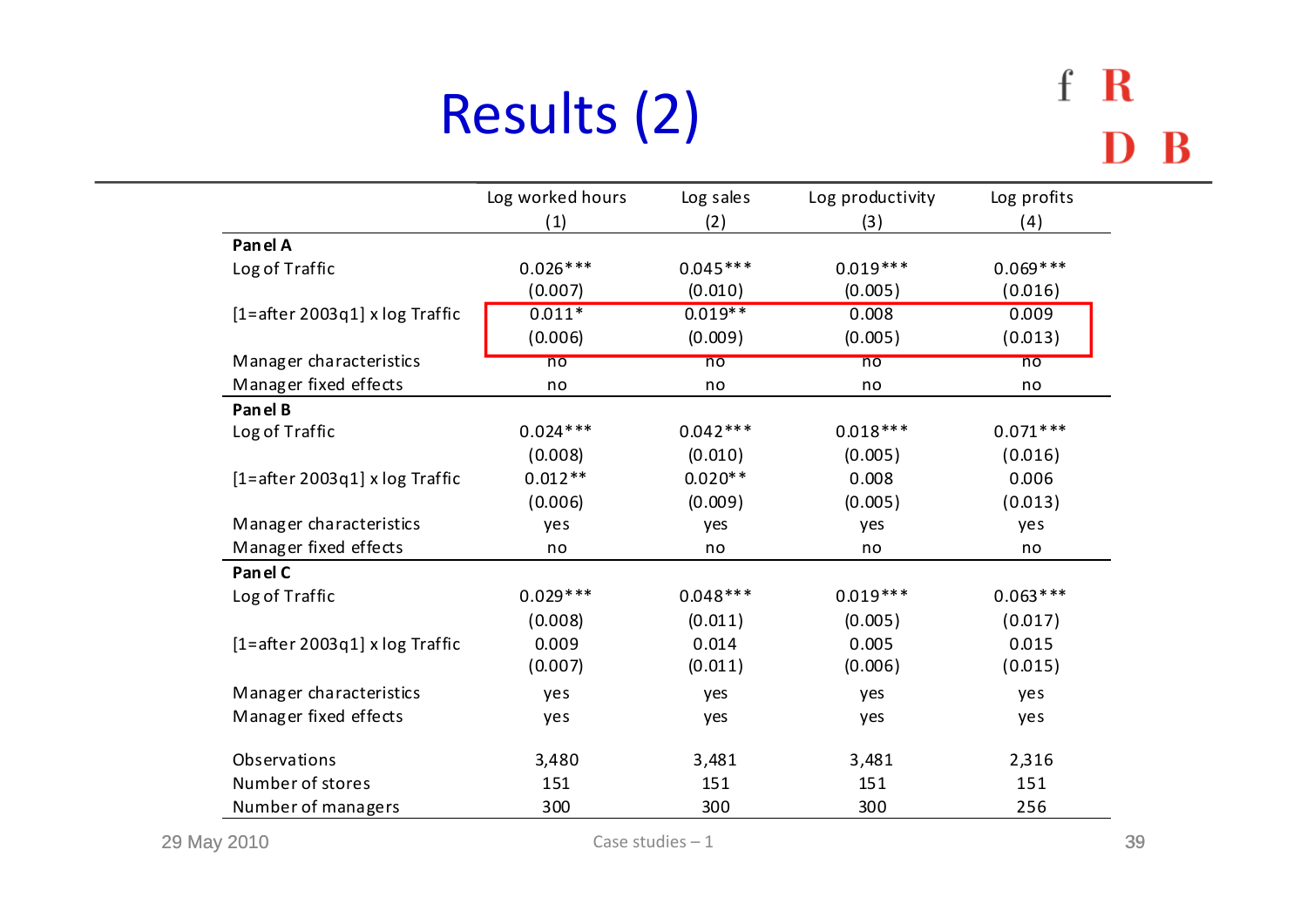# Results (2)

### f R D B

|                                    | Log worked hours | Log sales      | Log productivity | Log profits    |
|------------------------------------|------------------|----------------|------------------|----------------|
|                                    | (1)              | (2)            | (3)              | (4)            |
| Panel A                            |                  |                |                  |                |
| Log of Traffic                     | $0.026***$       | $0.045***$     | $0.019***$       | $0.069***$     |
|                                    | (0.007)          | (0.010)        | (0.005)          | (0.016)        |
| $[1 = after 2003q1]$ x log Traffic | $0.011*$         | $0.019**$      | 0.008            | 0.009          |
|                                    | (0.006)          | (0.009)        | (0.005)          | (0.013)        |
| Manager characteristics            | $\overline{no}$  | n <sub>o</sub> | n <sub>o</sub>   | n <sub>o</sub> |
| Manager fixed effects              | no               | no             | no               | no             |
| Panel B                            |                  |                |                  |                |
| Log of Traffic                     | $0.024***$       | $0.042***$     | $0.018***$       | $0.071***$     |
|                                    | (0.008)          | (0.010)        | (0.005)          | (0.016)        |
| $[1 = after 2003q1]$ x log Traffic | $0.012**$        | $0.020**$      | 0.008            | 0.006          |
|                                    | (0.006)          | (0.009)        | (0.005)          | (0.013)        |
| Manager characteristics            | yes              | yes            | yes              | yes            |
| Manager fixed effects              | no               | no             | no               | no             |
| Panel C                            |                  |                |                  |                |
| Log of Traffic                     | $0.029***$       | $0.048***$     | $0.019***$       | $0.063***$     |
|                                    | (0.008)          | (0.011)        | (0.005)          | (0.017)        |
| $[1 = after 2003q1]$ x log Traffic | 0.009            | 0.014          | 0.005            | 0.015          |
|                                    | (0.007)          | (0.011)        | (0.006)          | (0.015)        |
| Manager characteristics            | yes              | yes            | yes              | yes            |
| Manager fixed effects              | yes              | yes            | yes              | yes            |
| Observations                       | 3,480            | 3,481          | 3,481            | 2,316          |
| Number of stores                   | 151              | 151            | 151              | 151            |
| Number of managers                 | 300              | 300            | 300              | 256            |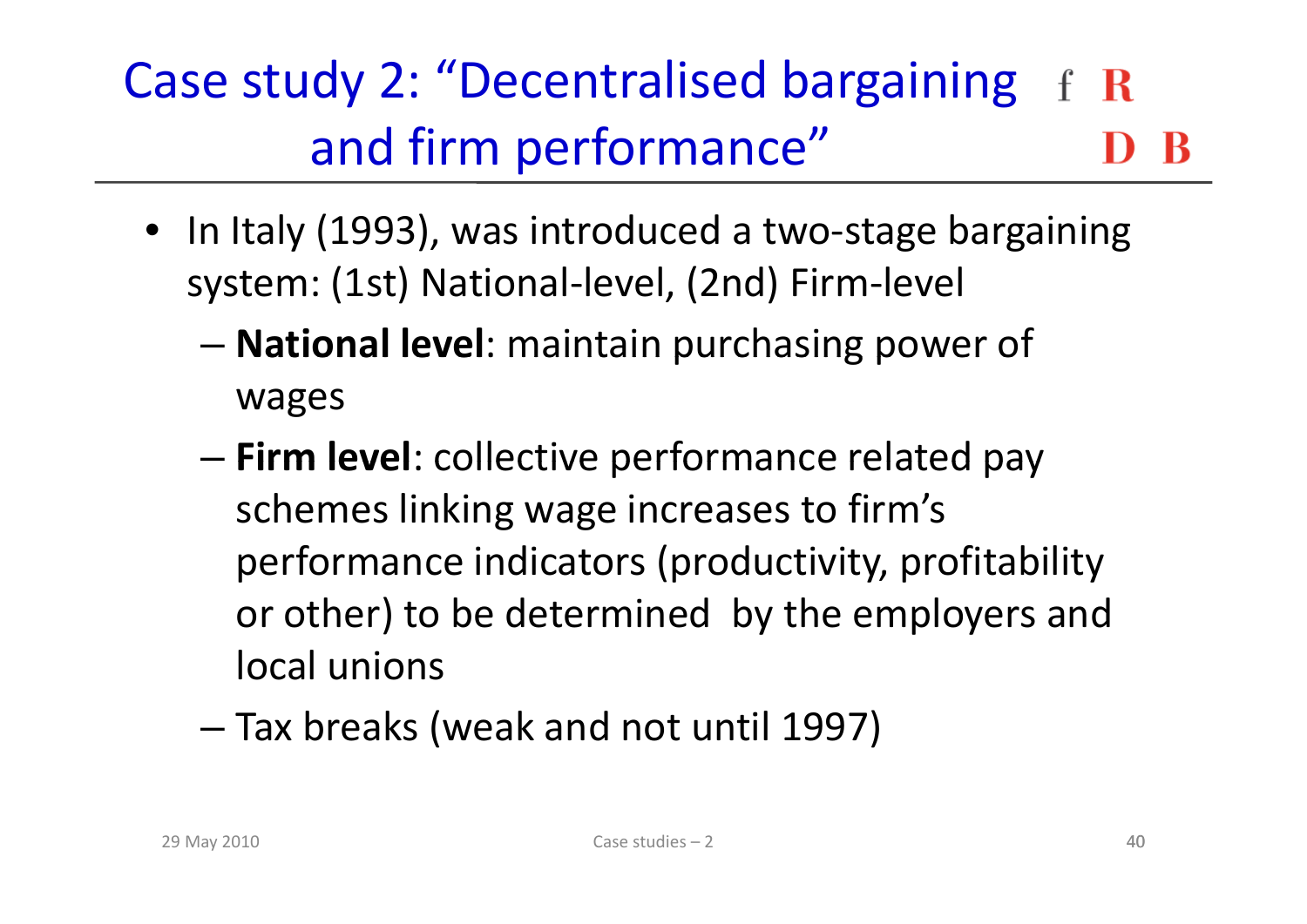### Case study 2: "Decentralised bargaining and firm performance"

- In Italy (1993), was introduced <sup>a</sup> two‐stage bargaining system: (1st) National‐level, (2nd) Firm‐level
	- – **National level**: maintain purchasing power of wages
	- **Firm level**: collective performance related pay schemes linking wage increases to firm's performance indicators (productivity, profitability or other) to be determined by the employers and local unions
	- – $-$  Tax breaks (weak and not until 1997)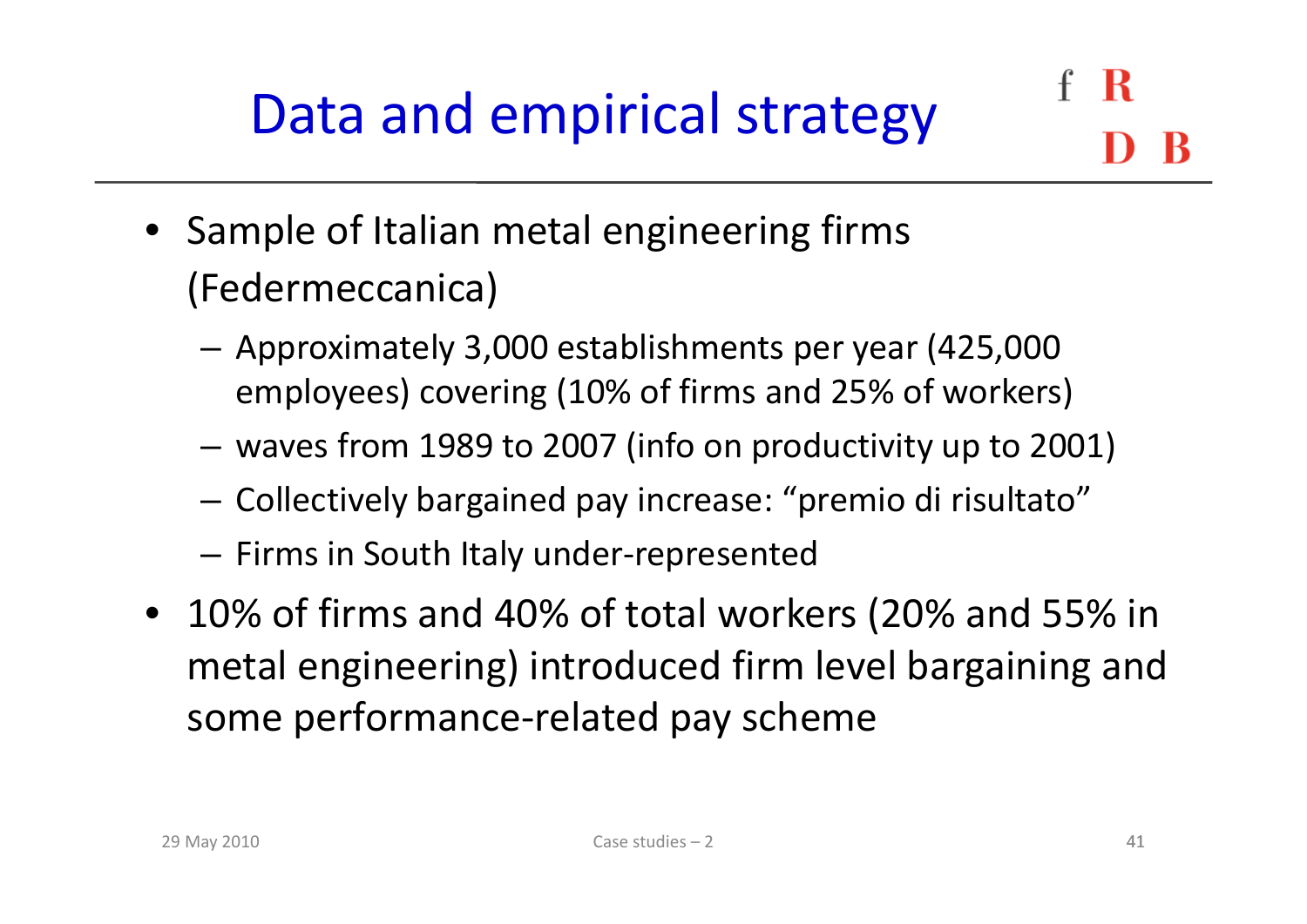- Sample of Italian metal engineering firms (Federmeccanica)
	- – Approximately 3,000 establishments per year (425,000 employees) covering (10% of firms and 25% of workers)
	- $-$  waves from 1989 to 2007 (info on productivity up to 2001)
	- –Collectively bargained pay increase: "premio di risultato"
	- –Firms in South Italy under‐represented
- 10% of firms and 40% of total workers (20% and 55% in metal engineering) introduced firm level bargaining and some performance‐related pay scheme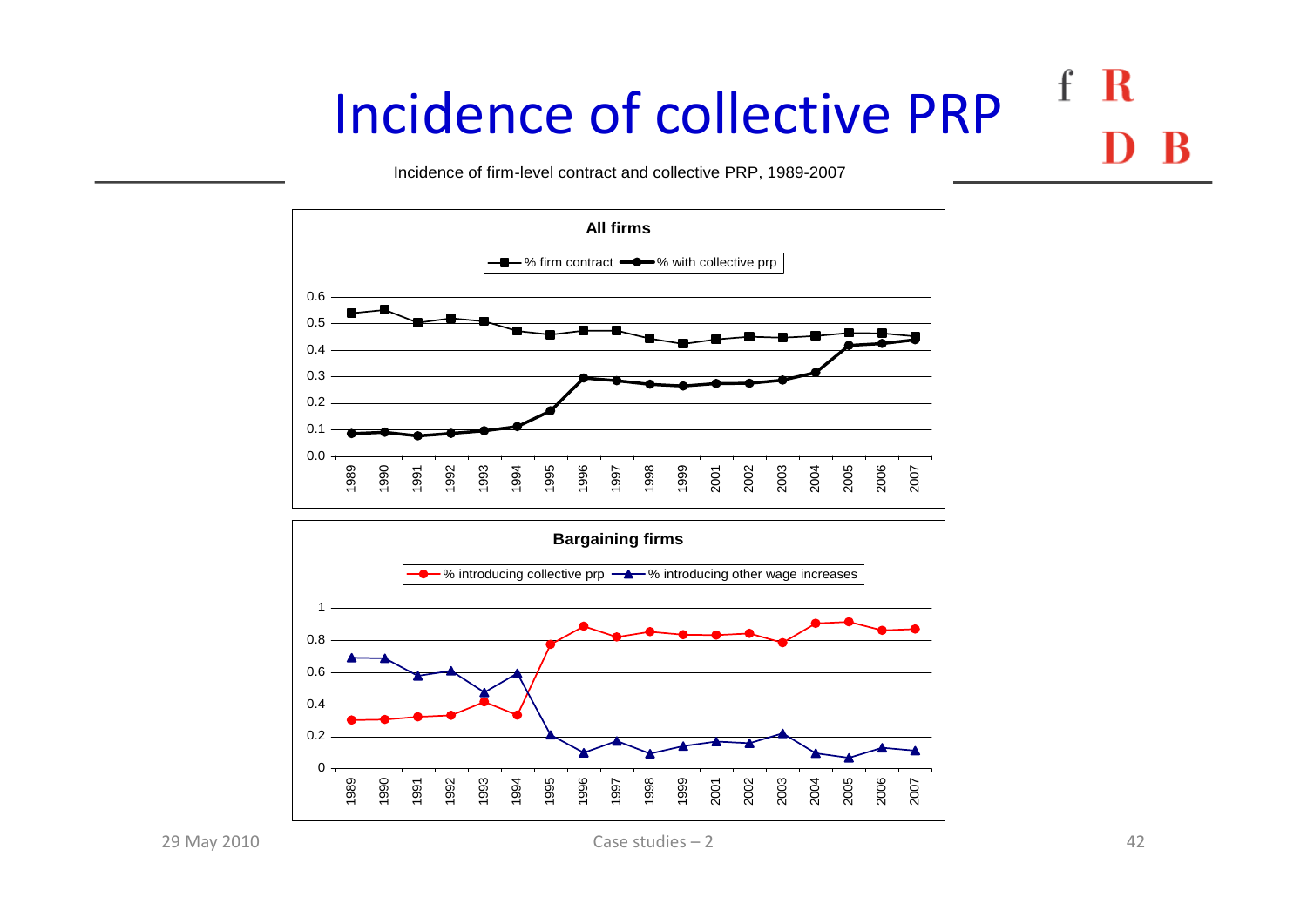#### R  $\mathbf{f}$ Incidence of collective PRP

Incidence of firm-level contract and collective PRP, 1989-2007





29 May 2010

May 2010 42 Case studies – 2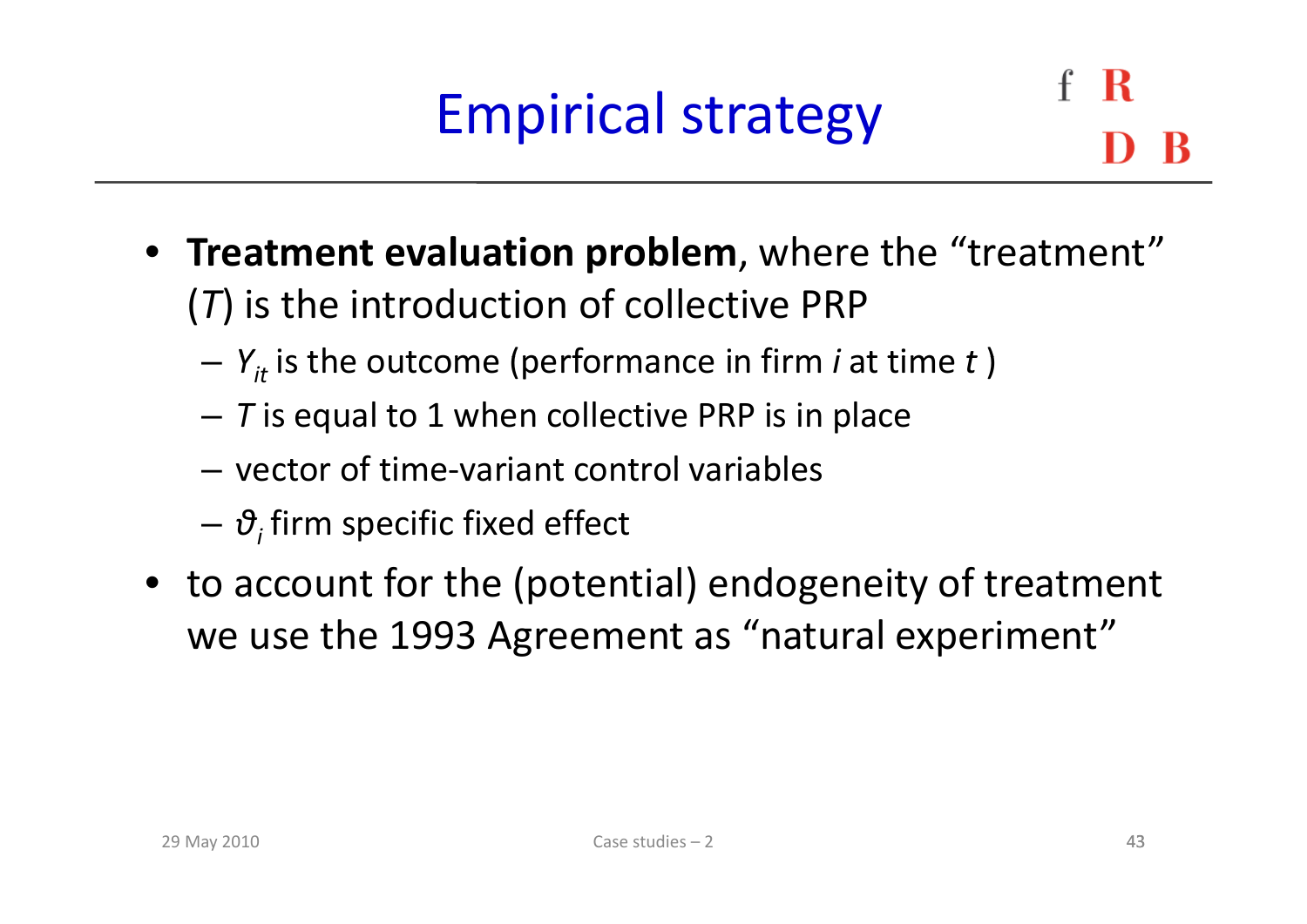# Empirical strategy

- **Treatment evaluation problem**, where the "treatment" (*T*) is the introduction of collective PRP
	- – $Y_{it}$  is the outcome (performance in firm *i* at time *t*)
	- *T* is equal to 1 when collective PRP is in place
	- vector of time-variant control variables
	- –*θ<sup>i</sup>* firm specific fixed effect
- to account for the (potential) endogeneity of treatment we use the 1993 Agreement as "natural experiment"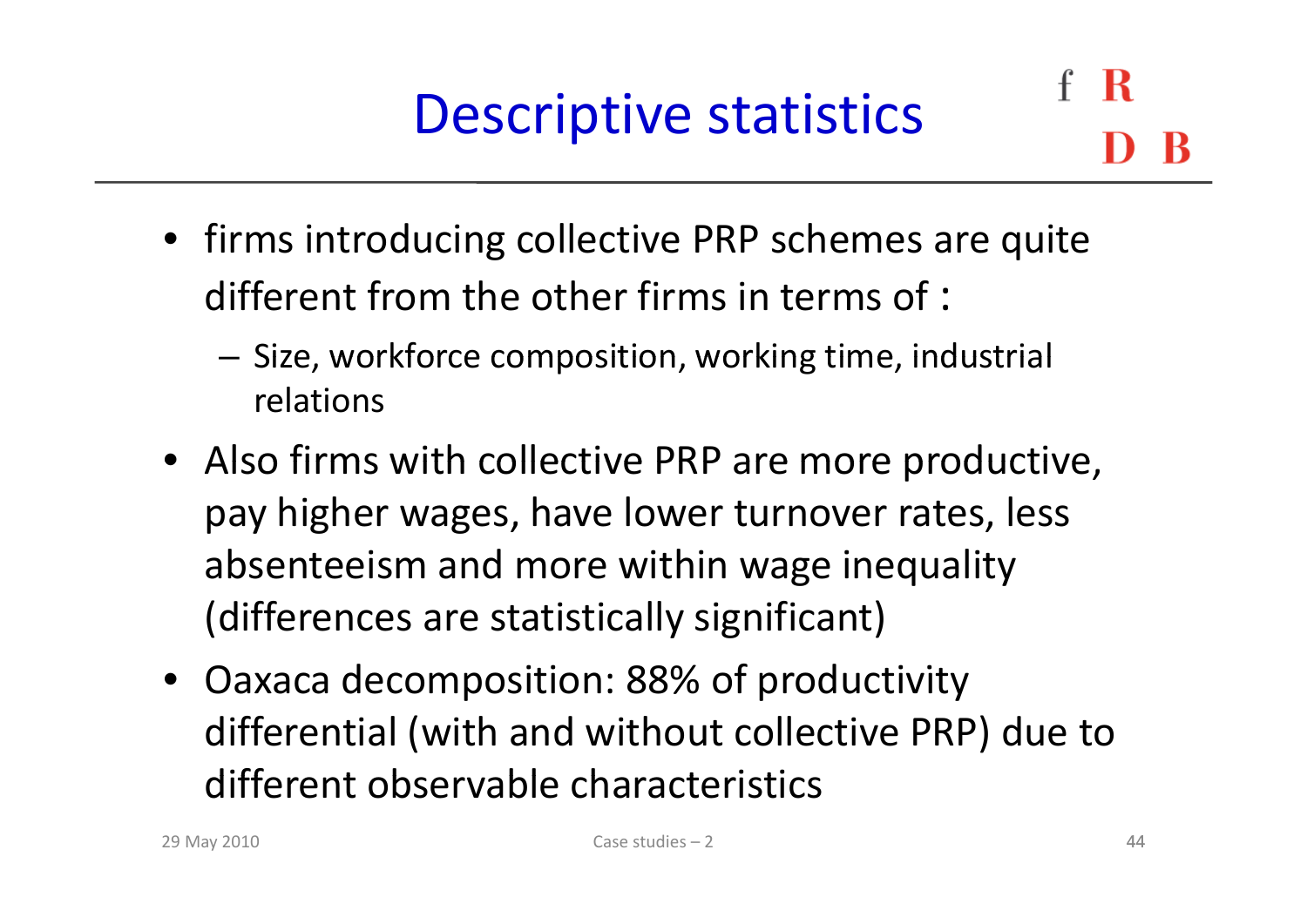# Descriptive statistics

- firms introducing collective PRP schemes are quite different from the other firms in terms of :
	- $-$  Size, workforce composition, working time, industrial relations
- Also firms with collective PRP are more productive, pay higher wages, have lower turnover rates, less absenteeism and more within wage inequality (differences are statistically significant)
- Oaxaca decomposition: 88% of productivity differential (with and without collective PRP) due to different observable characteristics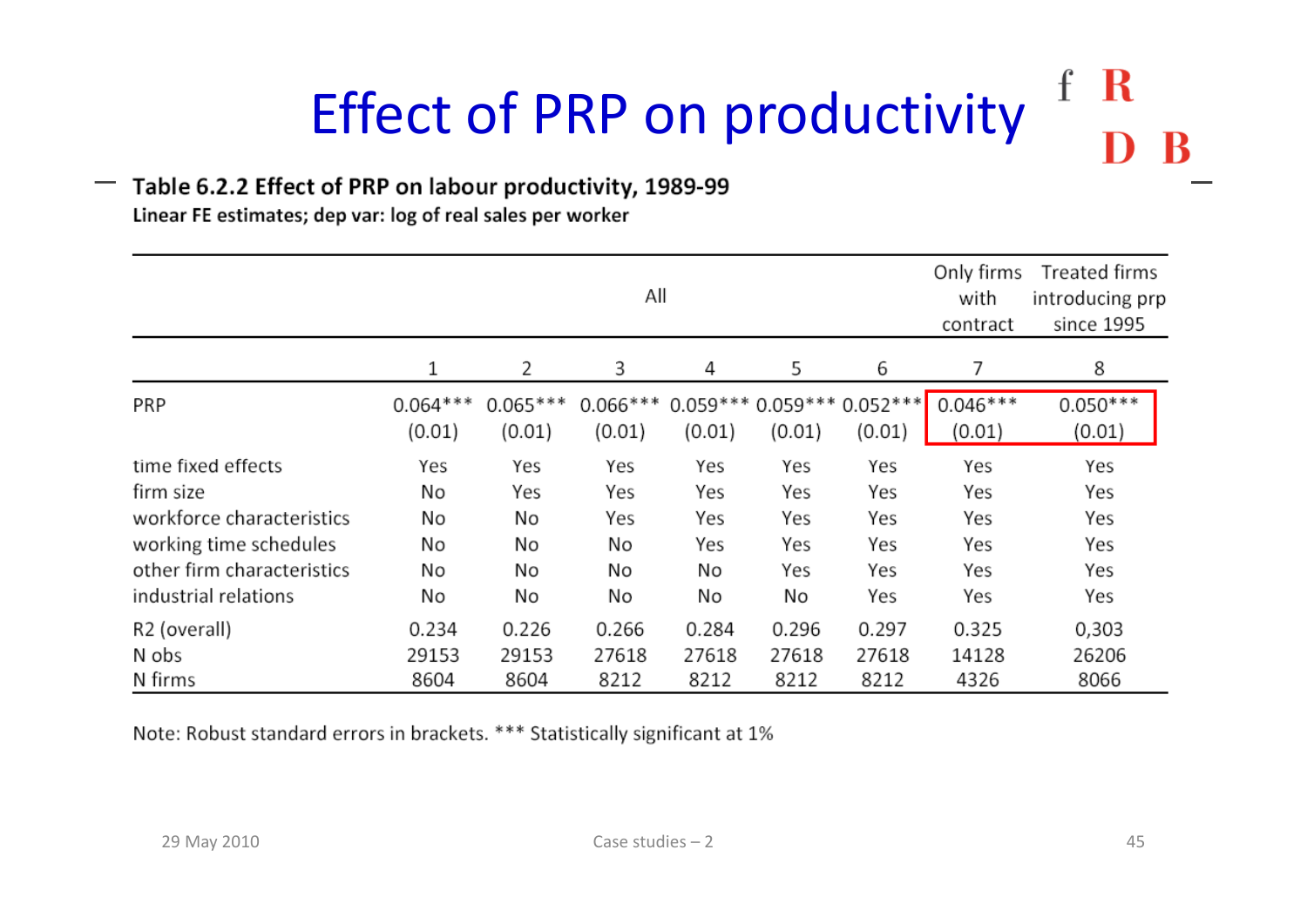#### $\mathbf R$  $\mathbf f$ Effect of PRP on productivity

#### $-$  Table 6.2.2 Effect of PRP on labour productivity, 1989-99

Linear FE estimates; dep var: log of real sales per worker

|                                                                                                                                              | All                               |                                    |                                     |                                      | Only firms<br>with<br>contract        | Treated firms<br>introducing prp<br>since 1995 |                                        |                                        |
|----------------------------------------------------------------------------------------------------------------------------------------------|-----------------------------------|------------------------------------|-------------------------------------|--------------------------------------|---------------------------------------|------------------------------------------------|----------------------------------------|----------------------------------------|
|                                                                                                                                              | 1                                 | 2                                  | 3                                   | 4                                    | 5                                     | 6                                              |                                        | 8                                      |
| PRP                                                                                                                                          | $0.064***$<br>(0.01)              | $0.065***$<br>(0.01)               | $0.066***$<br>(0.01)                | (0.01)                               | (0.01)                                | $0.059***0.059***0.052***$<br>(0.01)           | $0.046***$<br>(0.01)                   | $0.050***$<br>(0.01)                   |
| time fixed effects<br>firm size<br>workforce characteristics<br>working time schedules<br>other firm characteristics<br>industrial relations | Yes<br>No<br>No<br>No<br>No<br>No | Yes<br>Yes<br>No<br>No<br>No<br>No | Yes<br>Yes<br>Yes<br>No<br>No<br>No | Yes<br>Yes<br>Yes<br>Yes<br>No<br>No | Yes<br>Yes<br>Yes<br>Yes<br>Yes<br>No | Yes<br>Yes<br>Yes<br>Yes<br>Yes<br>Yes         | Yes<br>Yes<br>Yes<br>Yes<br>Yes<br>Yes | Yes<br>Yes<br>Yes<br>Yes<br>Yes<br>Yes |
| R2 (overall)<br>N obs<br>N firms                                                                                                             | 0.234<br>29153<br>8604            | 0.226<br>29153<br>8604             | 0.266<br>27618<br>8212              | 0.284<br>27618<br>8212               | 0.296<br>27618<br>8212                | 0.297<br>27618<br>8212                         | 0.325<br>14128<br>4326                 | 0,303<br>26206<br>8066                 |

Note: Robust standard errors in brackets. \*\*\* Statistically significant at 1%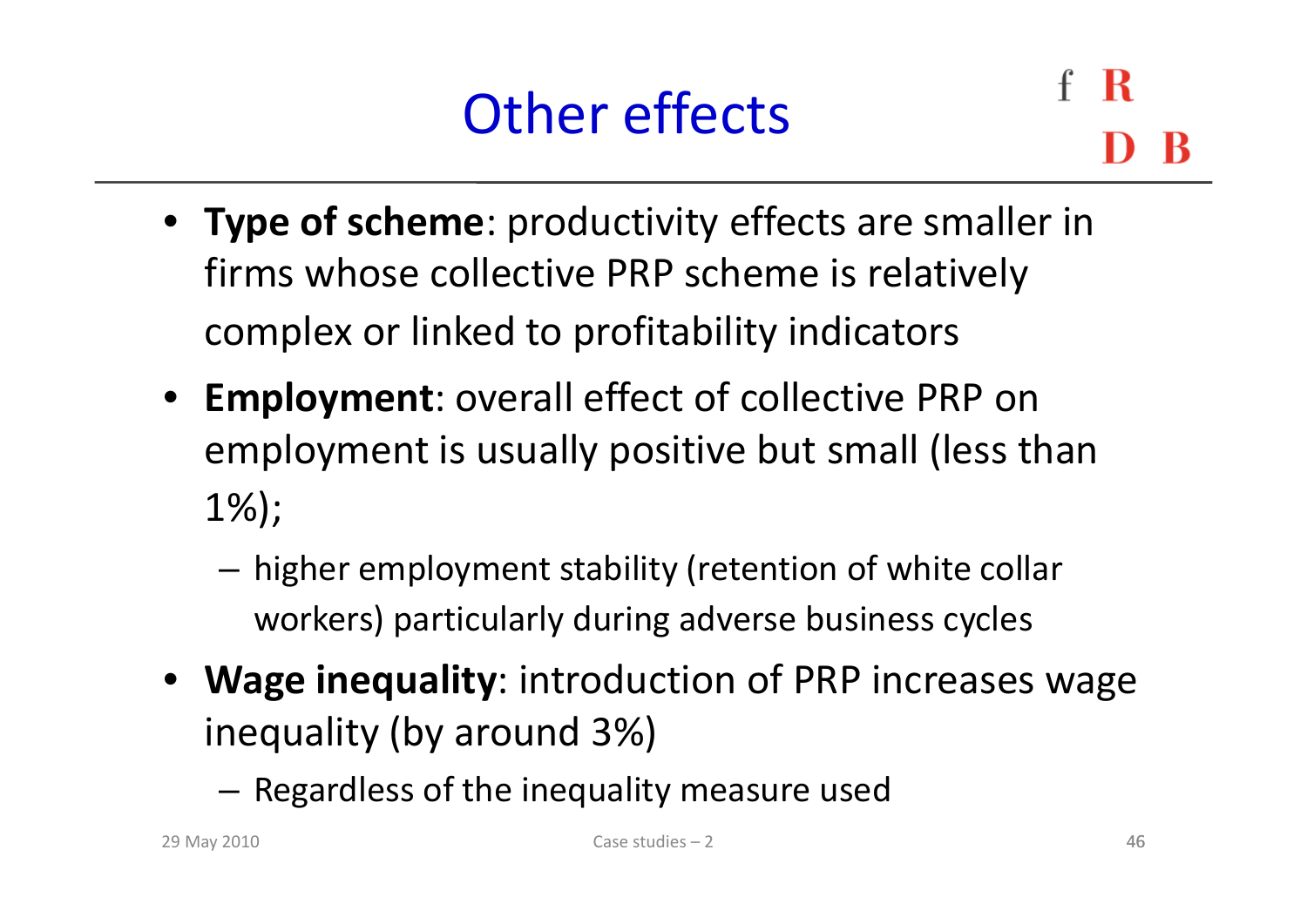### Other effects

- **Type of scheme**: productivity effects are smaller in firms whose collective PRP scheme is relatively complex or linked to profitability indicators
- **Employment**: overall effect of collective PRP on employment is usually positive but small (less than 1%);
	- – $-$  higher employment stability (retention of white collar workers) particularly during adverse business cycles
- Wage inequality: introduction of PRP increases wage inequality (by around 3%)
	- – $-$  Regardless of the inequality measure used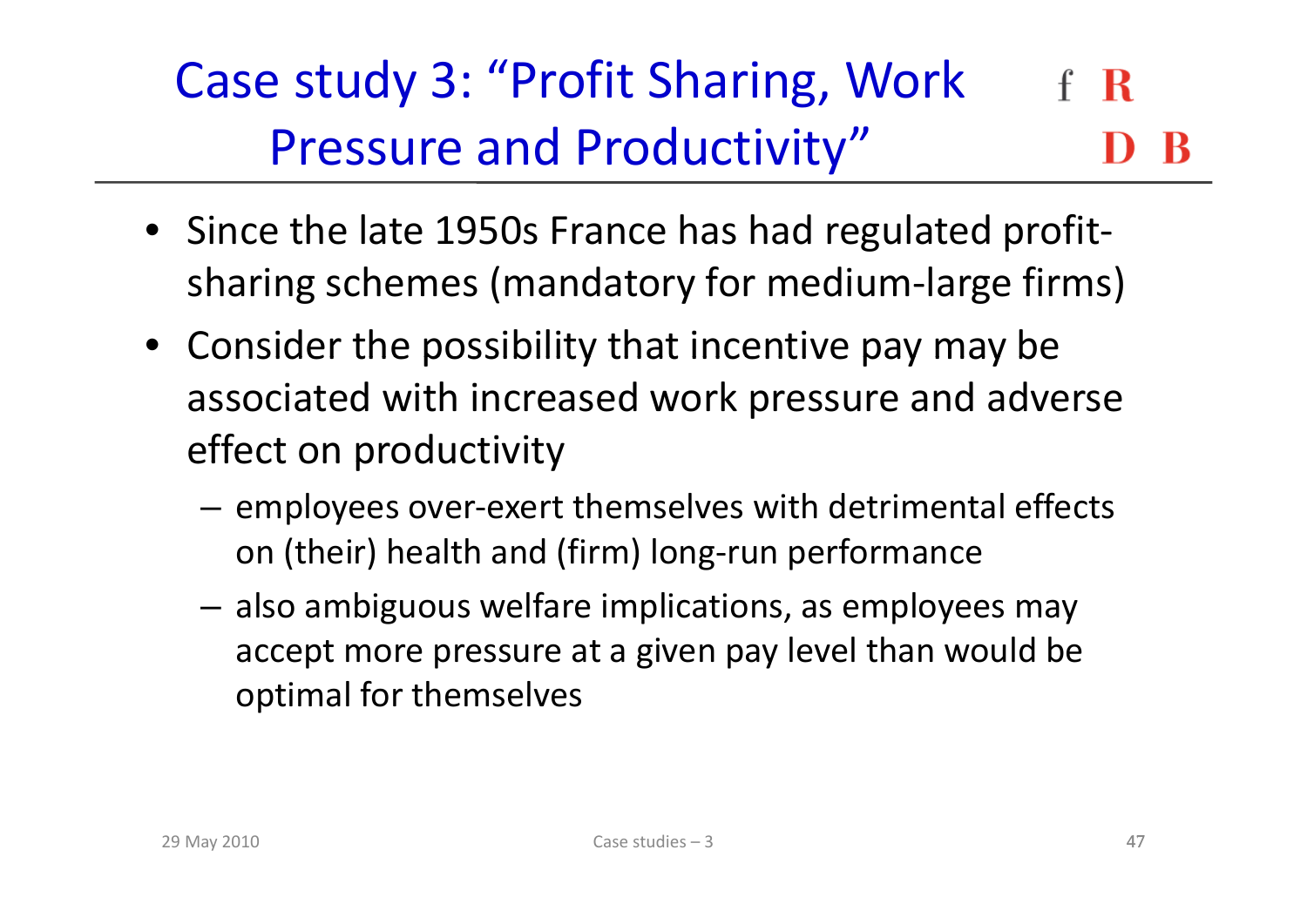#### Case study 3: "Profit Sharing, Work R Pressure and Productivity"

- Since the late 1950s France has had regulated profit‐ sharing schemes (mandatory for medium‐large firms)
- Consider the possibility that incentive pay may be associated with increased work pressure and adverse effect on productivity
	- – $-$  employees over-exert themselves with detrimental effects on (their) health and (firm) long-run performance
	- – $-$  also ambiguous welfare implications, as employees may accept more pressure at <sup>a</sup> given pay level than would be optimal for themselves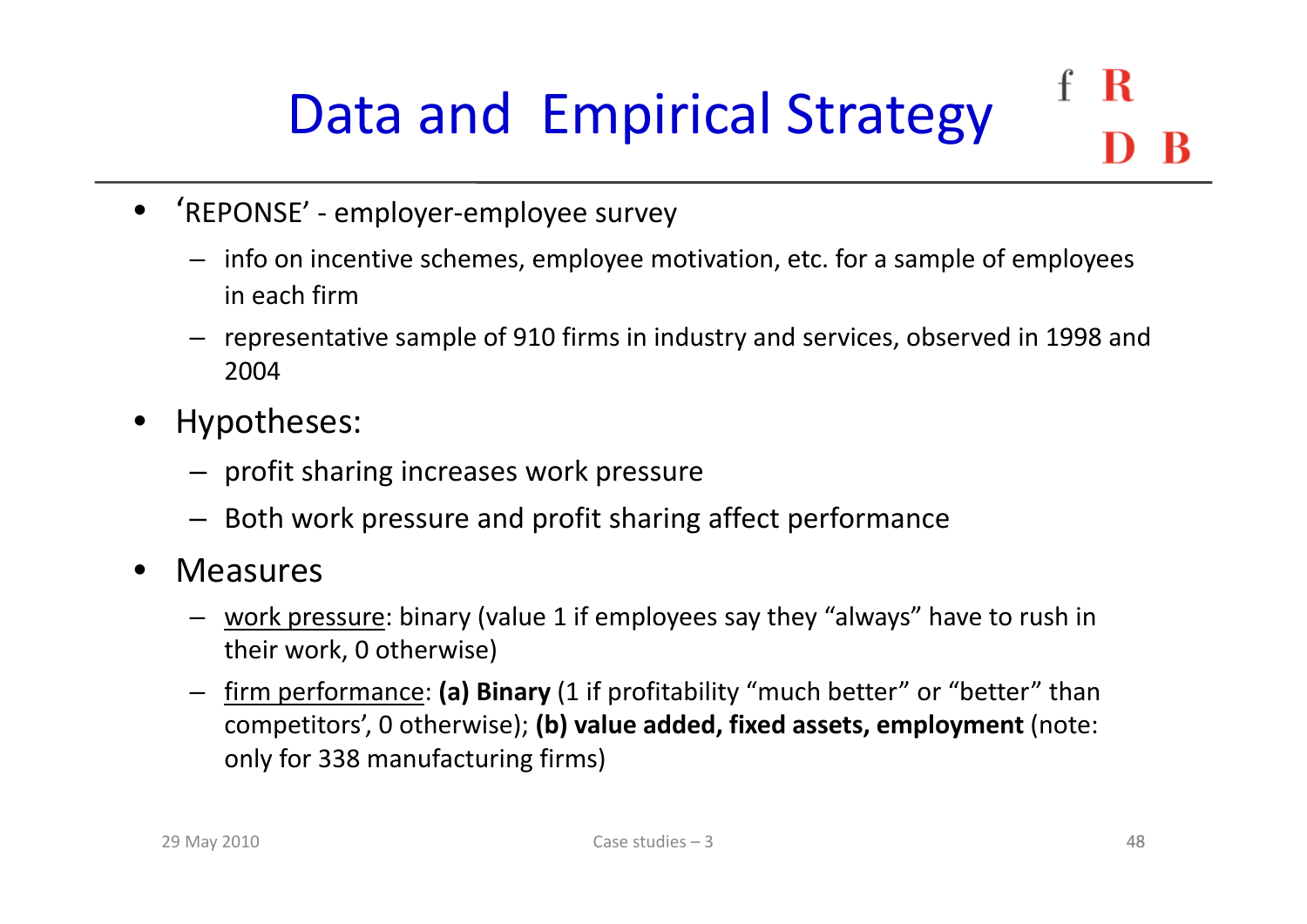### R Data and Empirical Strategy

- 'REPONSE' ‐ employer‐employee survey
	- $-$  info on incentive schemes, employee motivation, etc. for a sample of employees in each firm
	- representative sample of 910 firms in industry and services, observed in 1998 and 2004
- • Hypotheses:
	- $-$  profit sharing increases work pressure
	- Both work pressure and profit sharing affect performance
- • Measures
	- work pressure: binary (value 1 if employees say they "always" have to rush in their work, 0 otherwise)
	- firm performance: **(a) Binary** (1 if profitability "much better" or "better" than competitors', 0 otherwise); **(b) value added, fixed assets, employment** (note: only for 338 manufacturing firms)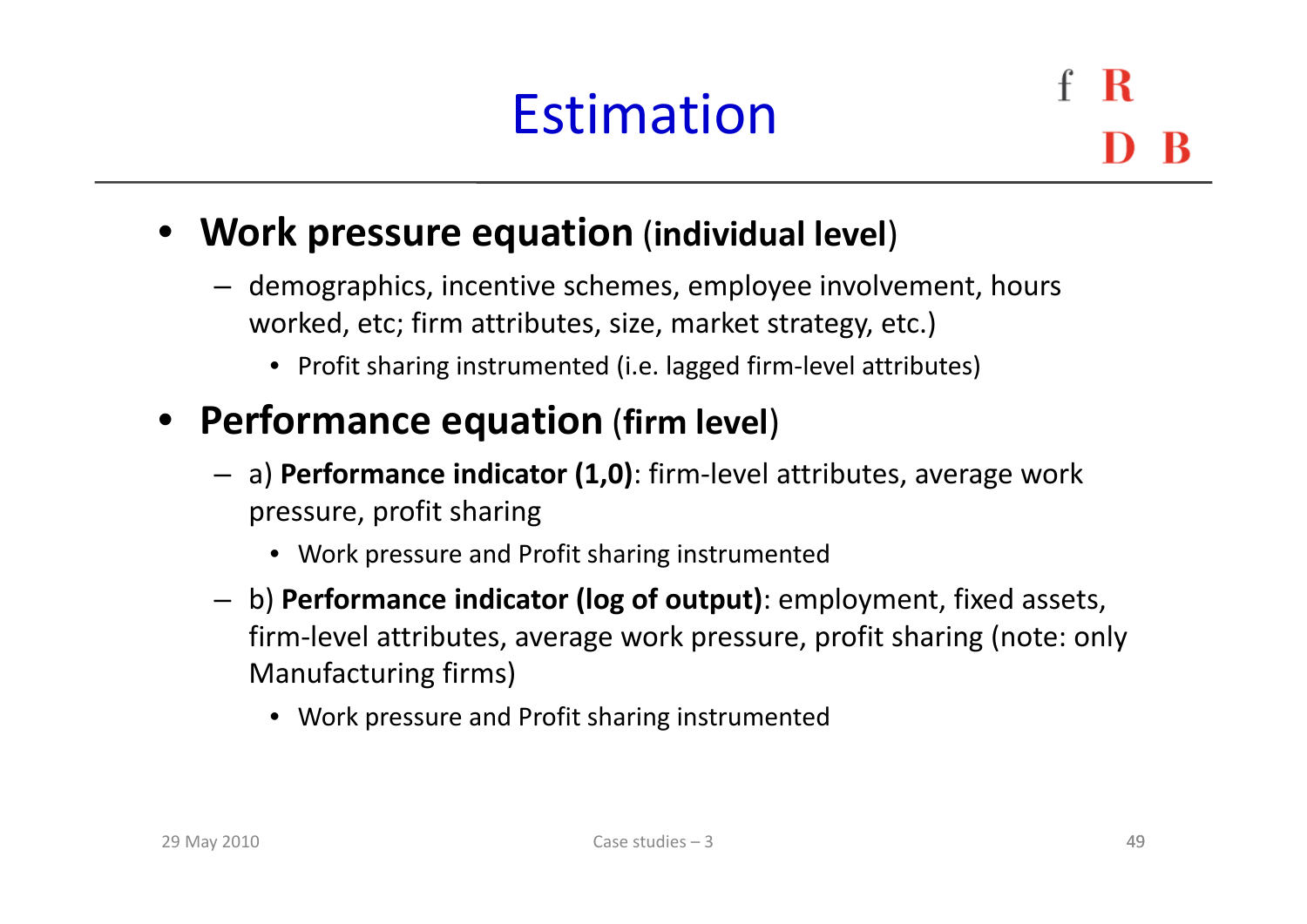### Estimation

R

#### • **Work pressure equation** (**individual level**)

- demographics, incentive schemes, employee involvement, hours worked, etc; firm attributes, size, market strategy, etc.)
	- Profit sharing instrumented (i.e. lagged firm-level attributes)

#### • **Performance equation** (**firm level**)

- a) **Performance indicator (1,0)**: firm‐level attributes, average work pressure, profit sharing
	- Work pressure and Profit sharing instrumented
- b) **Performance indicator (log of output)**: employment, fixed assets, firm‐level attributes, average work pressure, profit sharing (note: only Manufacturing firms)
	- Work pressure and Profit sharing instrumented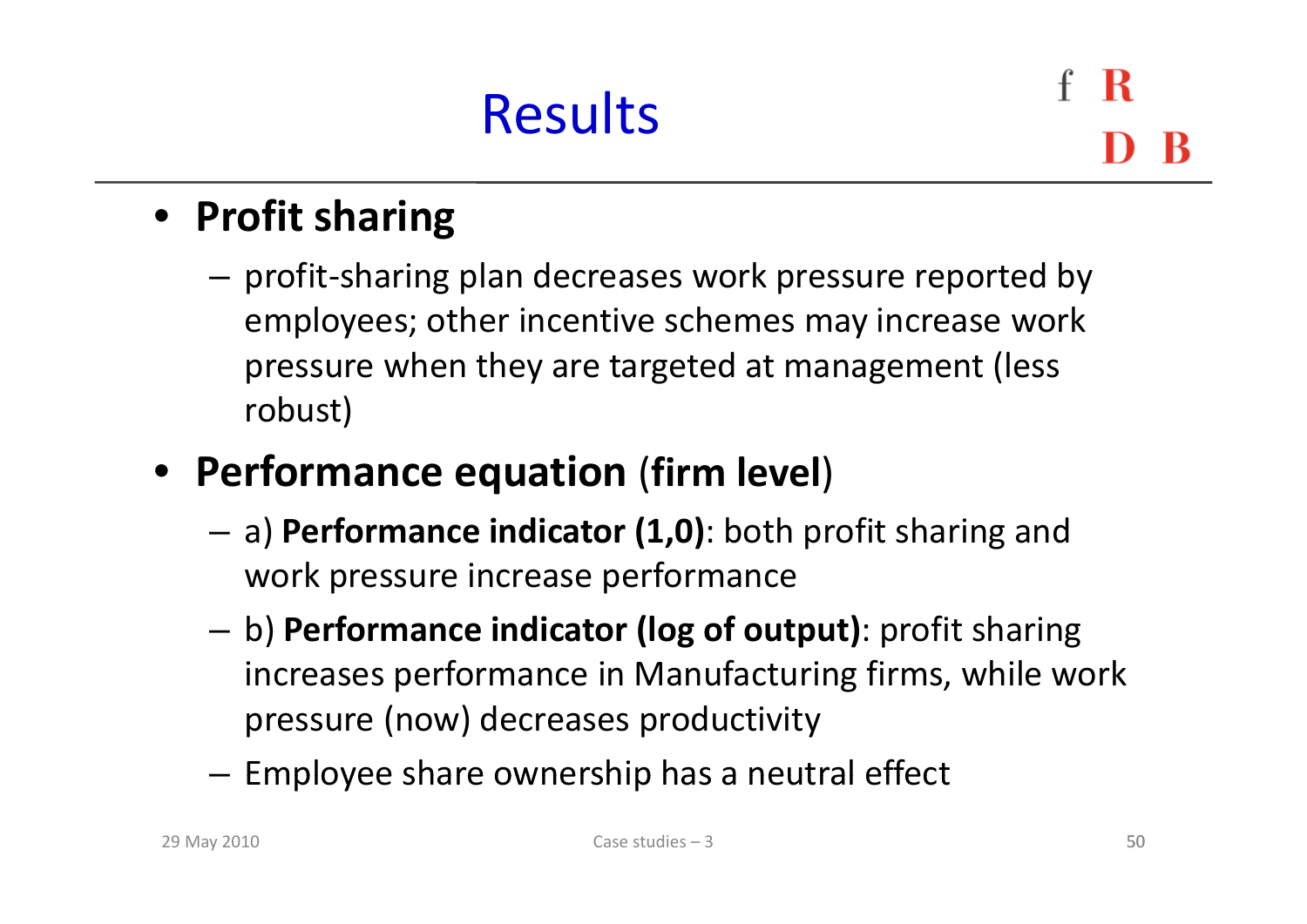### • **Profit sharing**

- – profit‐sharing plan decreases work pressure reported by employees; other incentive schemes may increase work pressure when they are targeted at management (less robust)
- **P f er ormance equation** (**firm l l eve** )
	- a) **Performance indicator (1,0)**: both profit sharing and work pressure increase performance
	- – b) **Performance indicator (log of output)**: profit sharing increases performance in Manufacturing firms, while work pressure (now) decreases productivity
	- $-$  Employee share ownership has a neutral effect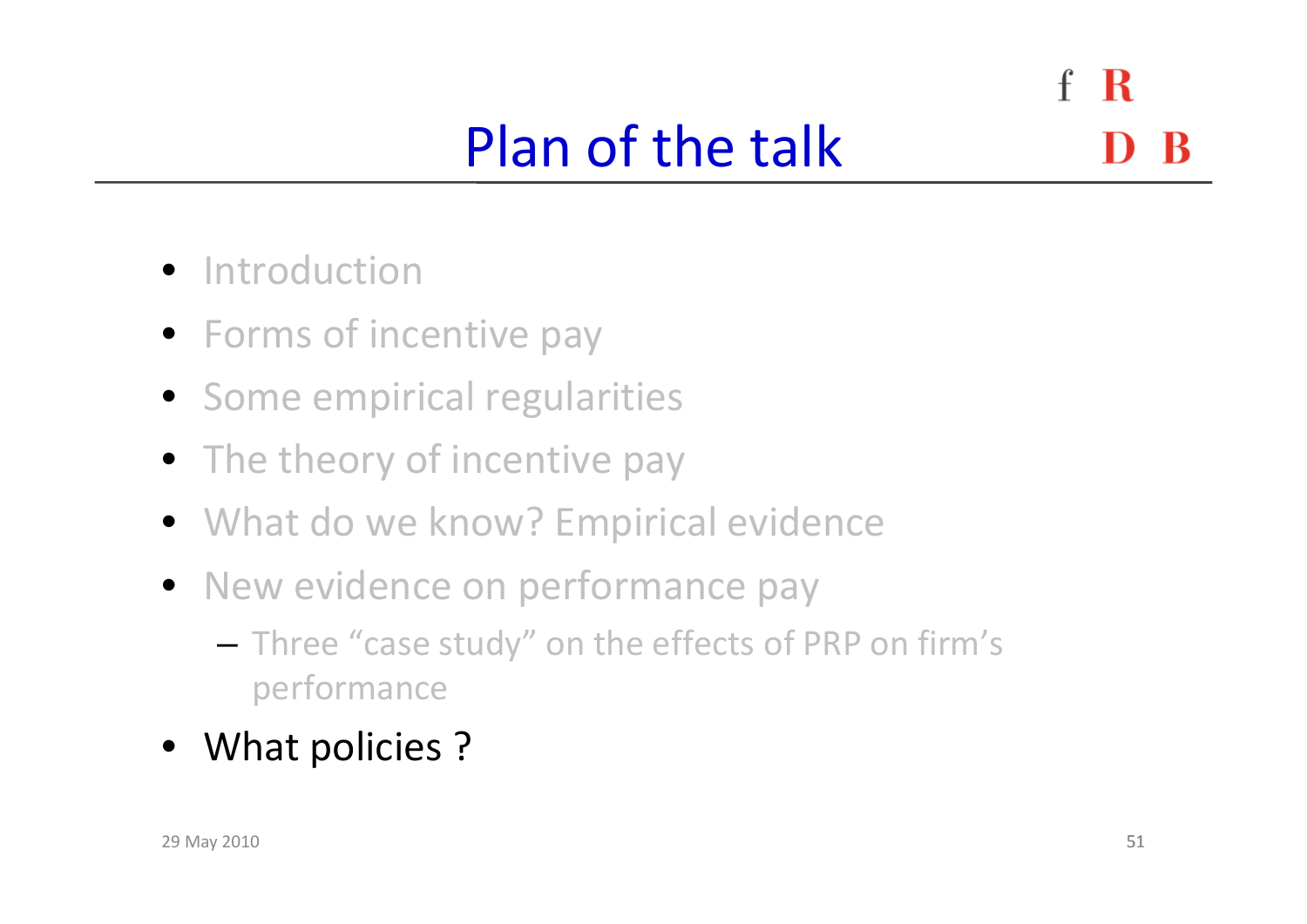$f \, R$ Plan of the talk

- **•** Introduction
- Forms of incentive pay
- Some empirical regularities
- The theory of incentive pay
- What do we know? Empirical evidence
- New evidence on performance pay
	- – $-$  Three "case study" on the effects of PRP on firm's performance
- What policies ?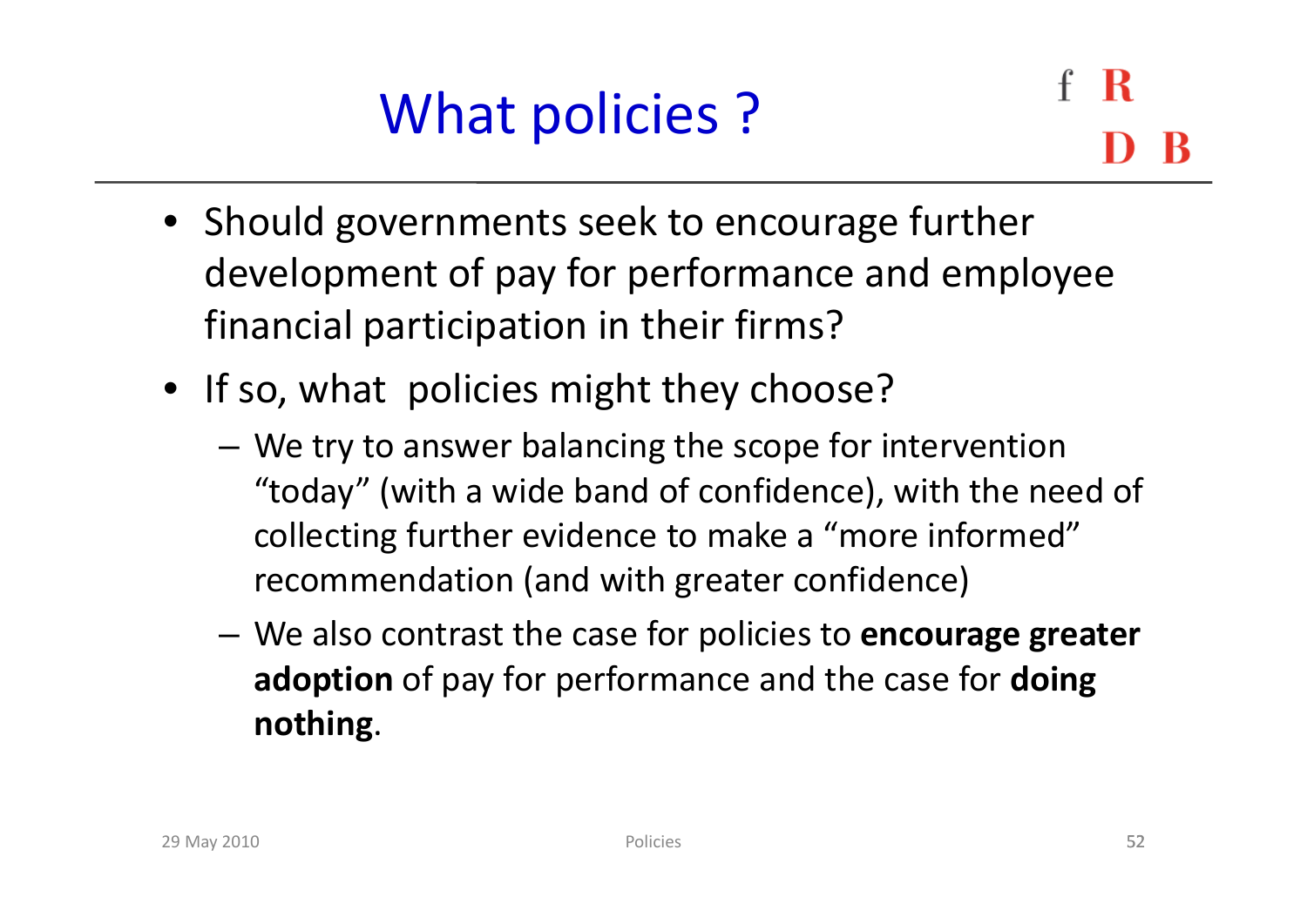- Should governments seek to encourage further development of pay for performance and employee financial participation in their firms?
- If so, what policies might they choose?
	- – We try to answer balancing the scope for intervention "today" (with <sup>a</sup> wide band of confidence), with the need of collecting further evidence to make <sup>a</sup> "more informed" recommendation (and with greater confidence)
	- We also contrast the case for policies to **encourage greater adoption** of pay for performance and the case for **doing nothing**.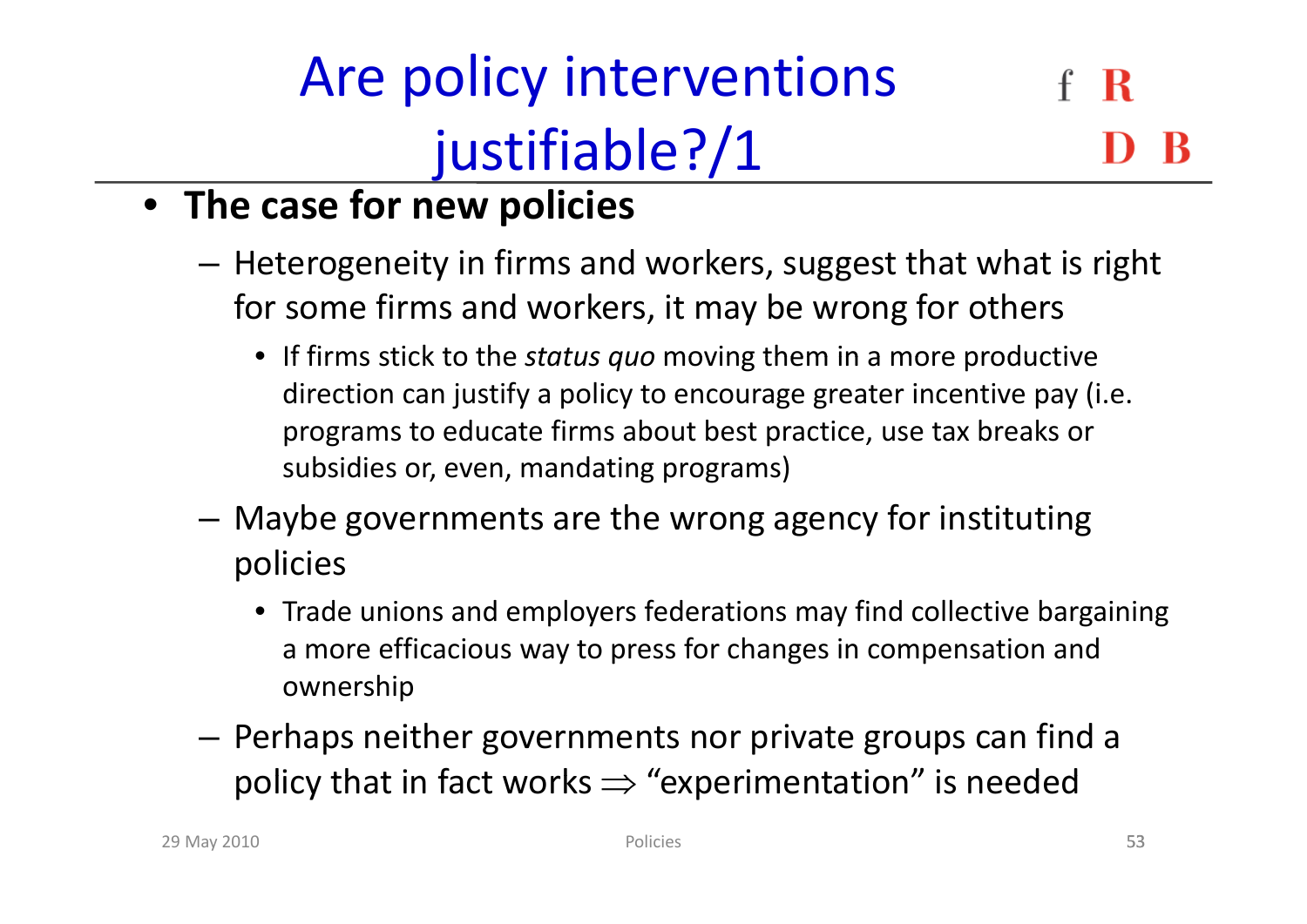### Are policy interventions R justifiable?/1

### • **The case for new policies**

- – $-$  Heterogeneity in firms and workers, suggest that what is right for some firms and workers, it may be wrong for others
	- If firms stick to the *status quo* moving them in <sup>a</sup> more productive direction can justify <sup>a</sup> policy to encourage greater incentive pay (i.e. programs to educate firms about best practice, use tax breaks or subsidies or, even, mandating programs)
- – Maybe governments are the wrong agency for instituting policies
	- Trade unions and employers federations may find collective bargaining a more efficacious way to press for changes in compensation and ownership
- Perhaps neither governments nor private groups can find <sup>a</sup> policy that in fact works  $\Rightarrow$  "experimentation" is needed<br>Policies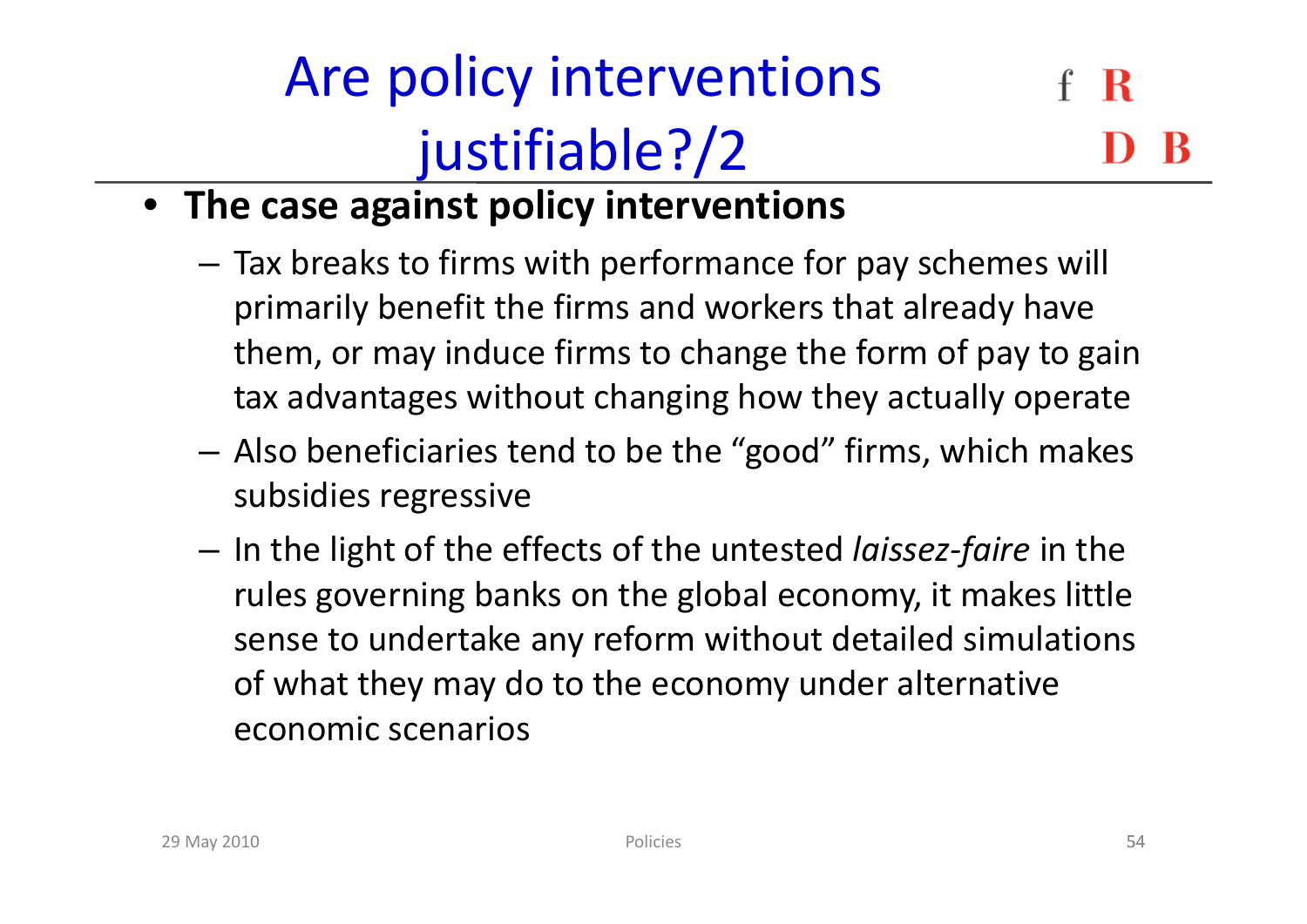## Are policy interventions justifiable?/2

- **The case against policy interventions**
	- – $-$  Tax breaks to firms with performance for pay schemes will primarily benefit the firms and workers that already have them, or may induce firms to change the form of pay to gain tax advantages without changing how they actually operate
	- – Also beneficiaries tend to be the "good" firms, which makes subsidies regressive
	- – In the light of the effects of the untested *laissez‐faire* in the rules governing banks on the global economy, it makes little sense to undertake any reform without detailed simulations of what they may do to the economy under alternative economic scenarios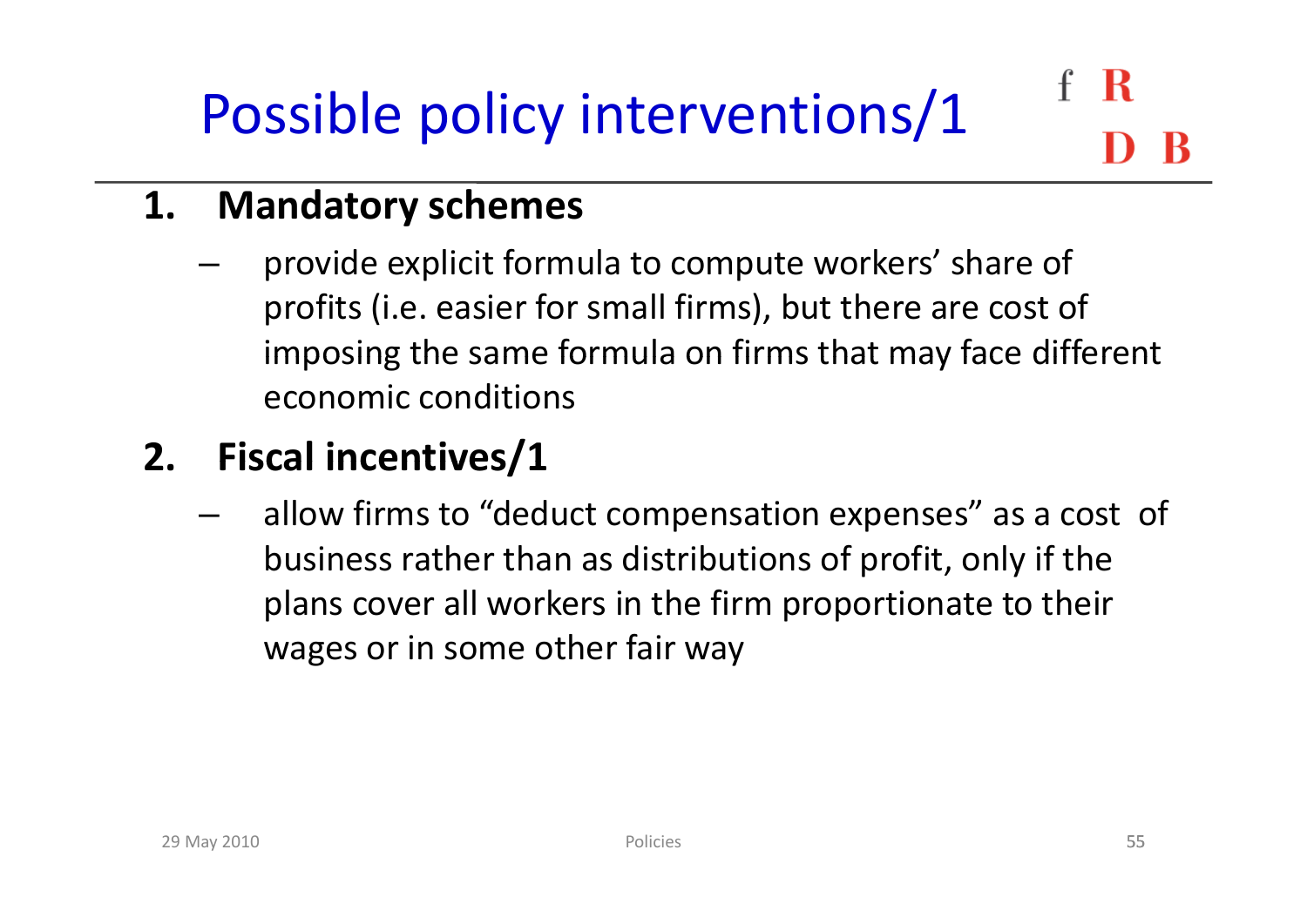### R Possible policy interventions/1

#### **1. Mandatory schemes**

–provide explicit formula to compute workers' share of profits (i.e. easier for small firms), but there are cost of imposing the same formula on firms that may face different economic conditions

### **2. Fiscal incentives/1**

– allow firms to "deduct compensation expenses" as <sup>a</sup> cost of business rather than as distributions of profit, only if the plans cover all workers in the firm proportionate to their wages or in some other fair way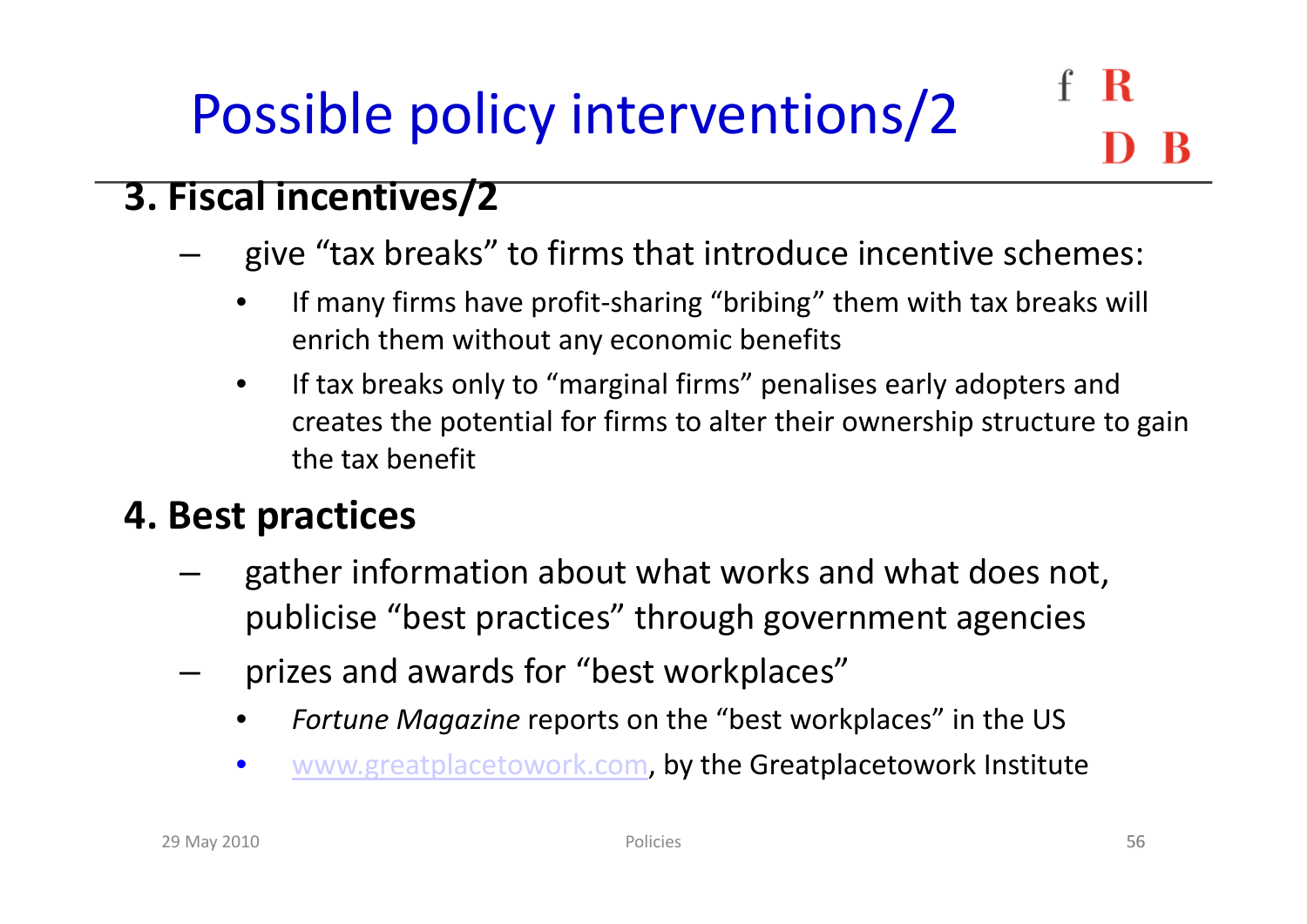### R Possible policy interventions/2

#### **3. Fiscal incentives/2**

- – give "tax breaks" to firms that introduce incentive schemes:
	- • If many firms have profit‐sharing "bribing" them with tax breaks will enrich them without any economic benefits
	- $\bullet$ • If tax breaks only to "marginal firms" penalises early adopters and creates the potential for firms to alter their ownership structure to gain the tax benefit

#### **4. Best practices**

- –gather information about what works and what does not, publicise "best practices" through government agencies
- –prizes and awards for "best workplaces"
	- •*Fortune Magazine* reports on the "best workplaces" in the US
	- $\bullet$ • www.greatplacetowork.com, by the Greatplacetowork Institute